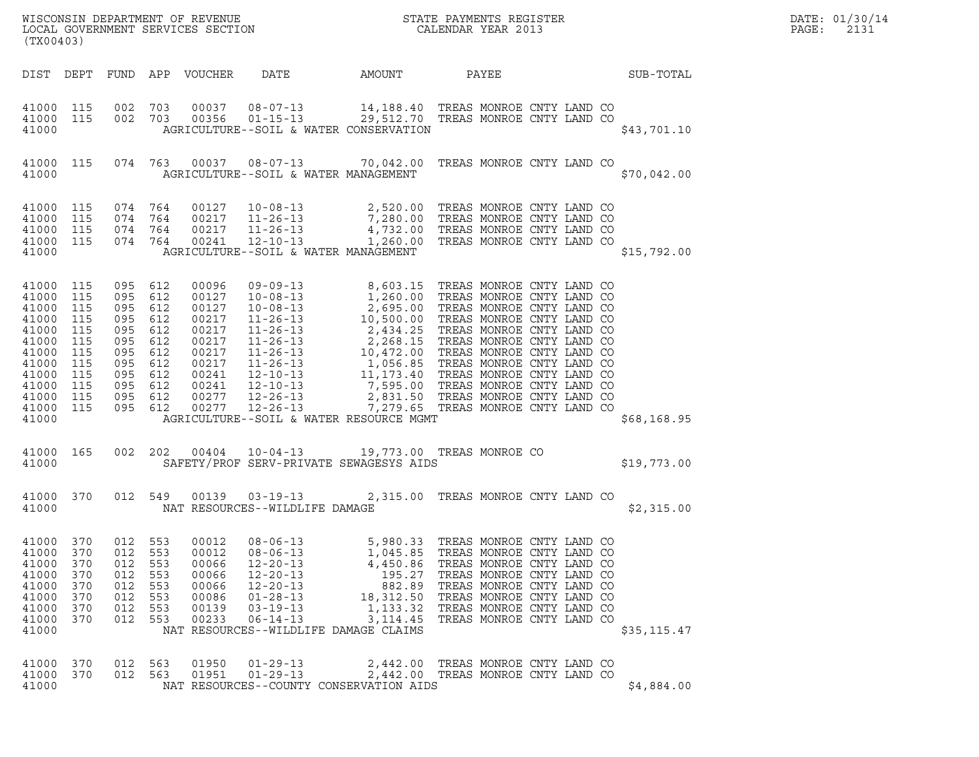| (TX00403)                                                                                                             |                                                                           |                                                                                                  |                                                      |                                                                                                          | ${\tt WISCONSIN} \begin{tabular}{l} DEPARTMENT OF REVIEW \\ LOCAL BONERNMENT SERVICES SECTION \\ \end{tabular}$                                                                                                                                                                                                                                   |                                                                                            |                                                                                                                                                                                                                                      |              | DATE: 01/30/14<br>PAGE:<br>2131 |
|-----------------------------------------------------------------------------------------------------------------------|---------------------------------------------------------------------------|--------------------------------------------------------------------------------------------------|------------------------------------------------------|----------------------------------------------------------------------------------------------------------|---------------------------------------------------------------------------------------------------------------------------------------------------------------------------------------------------------------------------------------------------------------------------------------------------------------------------------------------------|--------------------------------------------------------------------------------------------|--------------------------------------------------------------------------------------------------------------------------------------------------------------------------------------------------------------------------------------|--------------|---------------------------------|
| DIST DEPT                                                                                                             |                                                                           |                                                                                                  |                                                      | FUND APP VOUCHER                                                                                         | DATE                                                                                                                                                                                                                                                                                                                                              | AMOUNT                                                                                     | PAYEE                                                                                                                                                                                                                                | SUB-TOTAL    |                                 |
| 41000 115<br>41000 115<br>41000                                                                                       |                                                                           | 002 703<br>002 703                                                                               |                                                      | 00037<br>00356                                                                                           | 08-07-13<br>01-15-13 29,512.70 TREAS MONROE CNTY LAND CO<br>AGRICULTURE--SOIL & WATER CONSERVATION                                                                                                                                                                                                                                                | 14,188.40 TREAS MONROE CNTY LAND CO                                                        |                                                                                                                                                                                                                                      | \$43,701.10  |                                 |
| 41000 115<br>41000                                                                                                    |                                                                           |                                                                                                  |                                                      |                                                                                                          | 074  763  00037  08-07-13  70,042.00  TREAS MONROE CNTY LAND CO<br>AGRICULTURE--SOIL & WATER MANAGEMENT                                                                                                                                                                                                                                           |                                                                                            |                                                                                                                                                                                                                                      | \$70,042.00  |                                 |
| 41000 115<br>41000<br>41000<br>41000 115<br>41000                                                                     | 115<br>115                                                                | 074 764<br>074 764<br>074 764<br>074 764                                                         |                                                      | 00127<br>00217<br>00217<br>00241                                                                         | 10-08-13 2,520.00 TREAS MONROE CNTY LAND CO<br>11-26-13 7,280.00 TREAS MONROE CNTY LAND CO<br>11-26-13 4,732.00 TREAS MONROE CNTY LAND CO<br>12-10-13 1,260.00 TREAS MONROE CNTY LAND CO<br>AGRICULTURE--SOIL & WATER MANAGEMENT                                                                                                                  |                                                                                            |                                                                                                                                                                                                                                      | \$15,792.00  |                                 |
| 41000 115<br>41000<br>41000<br>41000<br>41000<br>41000<br>41000<br>41000<br>41000<br>41000<br>41000<br>41000<br>41000 | 115<br>115<br>115<br>115<br>115<br>115<br>115<br>115<br>115<br>115<br>115 | 095 612<br>095<br>095<br>095<br>095<br>095<br>095<br>095<br>095 612<br>095<br>095 612<br>095 612 | 612<br>612<br>612<br>612<br>612<br>612<br>612<br>612 | 00096<br>00127<br>00127<br>00217<br>00217<br>00217<br>00217<br>00217<br>00241<br>00241<br>00277<br>00277 | 09-09-13 8,603.15 TREAS MONROE CNTY LAND CO<br>09-09-13 8,603.15 TREAS MONROE CNTY LAND CO<br>10-08-13 1,260.00 TREAS MONROE CNTY LAND CO<br>10-08-13 2,695.00 TREAS MONROE CNTY LAND CO<br>11-26-13 10,500.00 TREAS MONROE CNTY LAND CO<br>11-26-13 2,434.25 TREAS MONROE CNTY LAND<br>$12 - 26 - 13$<br>AGRICULTURE--SOIL & WATER RESOURCE MGMT | 7,279.65 TREAS MONROE CNTY LAND CO                                                         |                                                                                                                                                                                                                                      | \$68,168.95  |                                 |
| 41000 165<br>41000                                                                                                    |                                                                           | 002                                                                                              | 202                                                  | 00404                                                                                                    | $10 - 04 - 13$<br>SAFETY/PROF SERV-PRIVATE SEWAGESYS AIDS                                                                                                                                                                                                                                                                                         | 19,773.00 TREAS MONROE CO                                                                  |                                                                                                                                                                                                                                      | \$19,773.00  |                                 |
| 41000 370<br>41000                                                                                                    |                                                                           | 012 549                                                                                          |                                                      | 00139                                                                                                    | $03 - 19 - 13$<br>NAT RESOURCES--WILDLIFE DAMAGE                                                                                                                                                                                                                                                                                                  |                                                                                            | 2,315.00 TREAS MONROE CNTY LAND CO                                                                                                                                                                                                   | \$2,315.00   |                                 |
| 41000<br>41000<br>41000<br>41000<br>41000<br>41000<br>41000<br>41000<br>41000                                         | 370<br>370<br>370<br>370<br>370<br>370<br>370<br>370                      | 012<br>012<br>012<br>012<br>012<br>012<br>012<br>012                                             | 553<br>553<br>553<br>553<br>553<br>553<br>553<br>553 | 00012<br>00012<br>00066<br>00066<br>00066<br>00086<br>00139<br>00233                                     | $08 - 06 - 13$<br>$08 - 06 - 13$<br>$12 - 20 - 13$<br>$12 - 20 - 13$<br>$12 - 20 - 13$<br>$01 - 28 - 13$<br>$03 - 19 - 13$<br>$06 - 14 - 13$<br>NAT RESOURCES--WILDLIFE DAMAGE CLAIMS                                                                                                                                                             | 5,980.33<br>1,045.85<br>4,450.86<br>195.27<br>882.89<br>18,312.50<br>1,133.32<br>3, 114.45 | TREAS MONROE CNTY LAND CO<br>TREAS MONROE CNTY LAND CO<br>TREAS MONROE CNTY LAND CO<br>TREAS MONROE CNTY LAND CO<br>TREAS MONROE CNTY LAND CO<br>TREAS MONROE CNTY LAND CO<br>TREAS MONROE CNTY LAND CO<br>TREAS MONROE CNTY LAND CO | \$35, 115.47 |                                 |
| 41000<br>41000<br>41000                                                                                               | 370<br>370                                                                | 012 563<br>012 563                                                                               |                                                      | 01950<br>01951                                                                                           | $01 - 29 - 13$<br>$01 - 29 - 13$<br>NAT RESOURCES--COUNTY CONSERVATION AIDS                                                                                                                                                                                                                                                                       | 2,442.00<br>2,442.00                                                                       | TREAS MONROE CNTY LAND CO<br>TREAS MONROE CNTY LAND CO                                                                                                                                                                               | \$4,884.00   |                                 |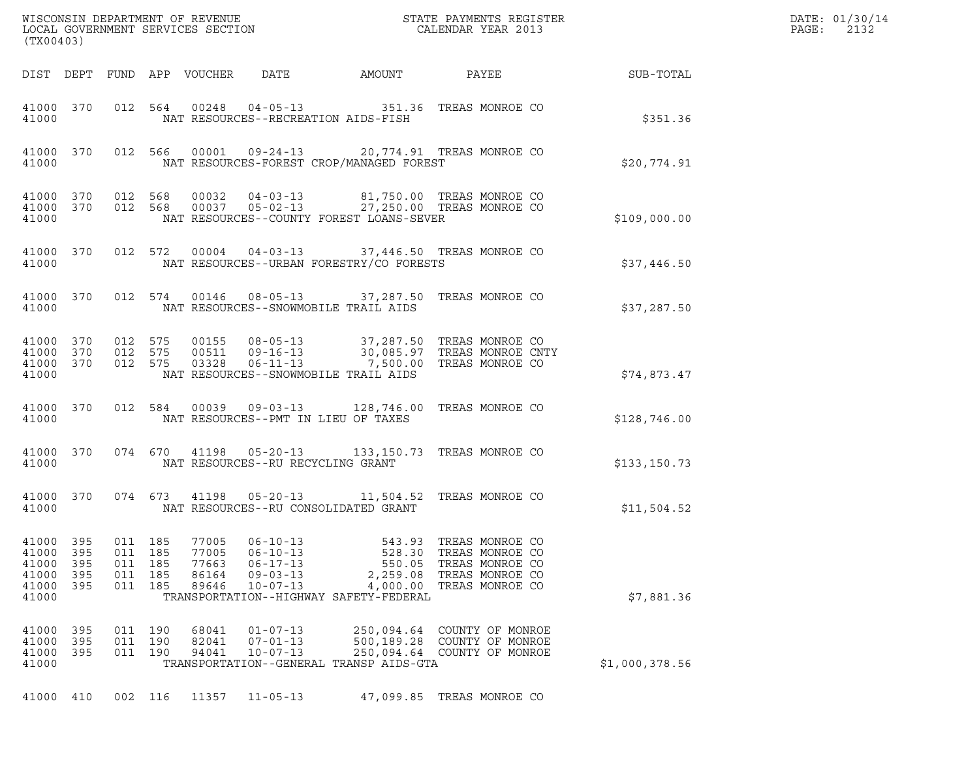| (TX00403)                                          |                                     |                   |                                         |                                           |                                                                                        |                                                                                                                                                                                                   |       |                                                                                             |                | DATE: 01/30/14<br>$\mathtt{PAGE:}$<br>2132 |
|----------------------------------------------------|-------------------------------------|-------------------|-----------------------------------------|-------------------------------------------|----------------------------------------------------------------------------------------|---------------------------------------------------------------------------------------------------------------------------------------------------------------------------------------------------|-------|---------------------------------------------------------------------------------------------|----------------|--------------------------------------------|
|                                                    |                                     |                   |                                         | DIST DEPT FUND APP VOUCHER                |                                                                                        | DATE AMOUNT                                                                                                                                                                                       | PAYEE |                                                                                             | SUB-TOTAL      |                                            |
| 41000                                              | 41000 370                           |                   |                                         |                                           |                                                                                        | 012 564 00248 04-05-13 351.36 TREAS MONROE CO<br>NAT RESOURCES--RECREATION AIDS-FISH                                                                                                              |       |                                                                                             | \$351.36       |                                            |
| 41000                                              | 41000 370                           |                   |                                         |                                           |                                                                                        | 012 566 00001 09-24-13 20,774.91 TREAS MONROE CO<br>NAT RESOURCES-FOREST CROP/MANAGED FOREST                                                                                                      |       |                                                                                             | \$20,774.91    |                                            |
| 41000                                              | 41000 370<br>41000 370              |                   |                                         |                                           |                                                                                        | NAT RESOURCES--COUNTY FOREST LOANS-SEVER                                                                                                                                                          |       |                                                                                             | \$109,000.00   |                                            |
| 41000                                              | 41000 370                           |                   |                                         |                                           |                                                                                        | 012 572 00004 04-03-13 37,446.50 TREAS MONROE CO<br>NAT RESOURCES--URBAN FORESTRY/CO FORESTS                                                                                                      |       |                                                                                             | \$37,446.50    |                                            |
| 41000                                              | 41000 370                           |                   |                                         |                                           |                                                                                        | 012 574 00146 08-05-13 37,287.50 TREAS MONROE CO<br>NAT RESOURCES--SNOWMOBILE TRAIL AIDS                                                                                                          |       |                                                                                             | \$37,287.50    |                                            |
| 41000                                              | 41000 370<br>41000 370<br>41000 370 |                   |                                         |                                           |                                                                                        | 012 575 00155 08-05-13 37,287.50 TREAS MONROE CO<br>012 575 00511 09-16-13 30,085.97 TREAS MONROE CNTY<br>012 575 03328 06-11-13 7,500.00 TREAS MONROE CO<br>NAT RESOURCES--SNOWMOBILE TRAIL AIDS |       |                                                                                             | \$74,873.47    |                                            |
| 41000                                              | 41000 370                           |                   |                                         |                                           |                                                                                        | 012 584 00039 09-03-13 128,746.00 TREAS MONROE CO<br>NAT RESOURCES--PMT IN LIEU OF TAXES                                                                                                          |       |                                                                                             | \$128,746.00   |                                            |
| 41000                                              | 41000 370                           |                   |                                         |                                           | NAT RESOURCES--RU RECYCLING GRANT                                                      | 074 670 41198 05-20-13 133,150.73 TREAS MONROE CO                                                                                                                                                 |       |                                                                                             | \$133, 150.73  |                                            |
| 41000                                              | 41000 370                           |                   |                                         |                                           |                                                                                        | 074 673 41198 05-20-13 11,504.52 TREAS MONROE CO<br>NAT RESOURCES--RU CONSOLIDATED GRANT                                                                                                          |       |                                                                                             | \$11,504.52    |                                            |
| 41000<br>41000<br>41000<br>41000<br>41000<br>41000 | 395<br>395<br>395<br>- 395<br>- 395 | 011<br>011<br>011 | 011 185<br>185<br>185<br>185<br>011 185 | 77005<br>77005<br>77663<br>86164<br>89646 | $06 - 10 - 13$<br>$06 - 10 - 13$<br>$06 - 17 - 13$<br>$09 - 03 - 13$<br>$10 - 07 - 13$ | 543.93<br>528.30<br>550.05<br>2,259.08<br>4,000.00<br>TRANSPORTATION--HIGHWAY SAFETY-FEDERAL                                                                                                      |       | TREAS MONROE CO<br>TREAS MONROE CO<br>TREAS MONROE CO<br>TREAS MONROE CO<br>TREAS MONROE CO | \$7,881.36     |                                            |
| 41000<br>41000<br>41000<br>41000                   | - 395<br>- 395<br>395               | 011               | 011 190<br>190<br>011 190               | 68041<br>82041<br>94041                   | $01 - 07 - 13$<br>$07 - 01 - 13$<br>$10 - 07 - 13$                                     | 250,094.64<br>500,189.28 COUNTY OF MONROE<br>250,094.64 COUNTY OF MONROE<br>TRANSPORTATION--GENERAL TRANSP AIDS-GTA                                                                               |       | COUNTY OF MONROE                                                                            | \$1,000,378.56 |                                            |
|                                                    | 41000 410                           |                   |                                         | 002 116 11357 11-05-13                    |                                                                                        | 47,099.85 TREAS MONROE CO                                                                                                                                                                         |       |                                                                                             |                |                                            |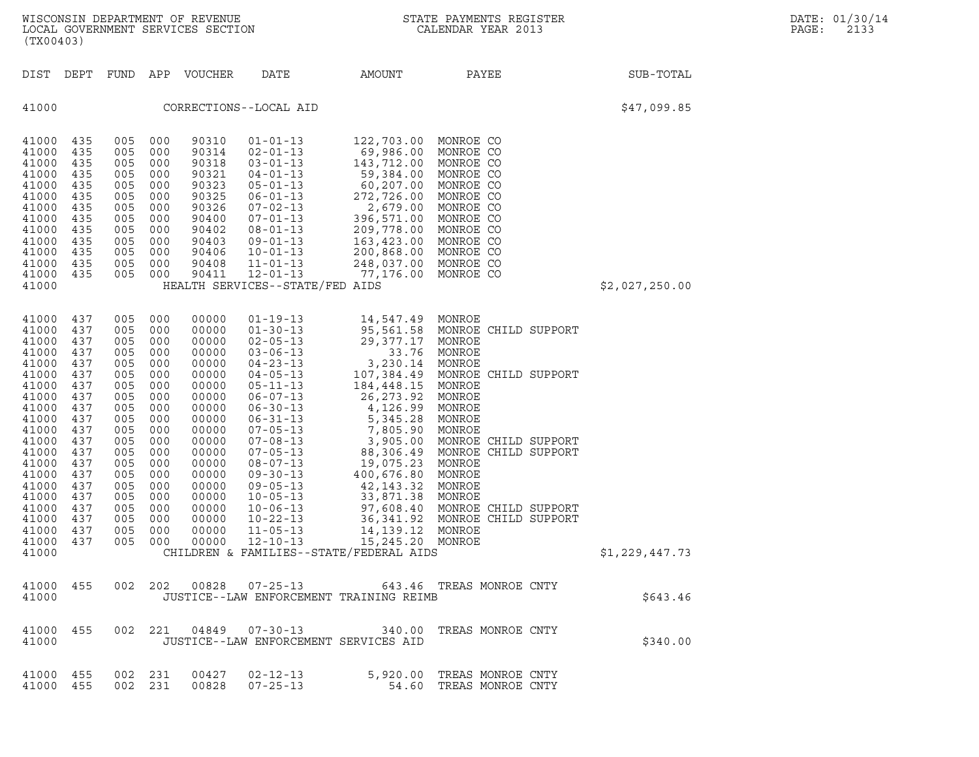| (TX00403)                                                                                                                                                                                 |                                                                                                                                          |                                                                                                                                          |                                                                                                                                          | WISCONSIN DEPARTMENT OF REVENUE<br>LOCAL GOVERNMENT SERVICES SECTION                                                                                                             | $\mathbf N$                                                                                                                                                                                                                                                                                                                                                          |                                                                                                                                                                                                                                                                                                                                                                        | STATE PAYMENTS REGISTER<br>CALENDAR YEAR 2013                                                                                                                                                                                                                                            |                | DATE: 01/30/14<br>PAGE:<br>2133 |
|-------------------------------------------------------------------------------------------------------------------------------------------------------------------------------------------|------------------------------------------------------------------------------------------------------------------------------------------|------------------------------------------------------------------------------------------------------------------------------------------|------------------------------------------------------------------------------------------------------------------------------------------|----------------------------------------------------------------------------------------------------------------------------------------------------------------------------------|----------------------------------------------------------------------------------------------------------------------------------------------------------------------------------------------------------------------------------------------------------------------------------------------------------------------------------------------------------------------|------------------------------------------------------------------------------------------------------------------------------------------------------------------------------------------------------------------------------------------------------------------------------------------------------------------------------------------------------------------------|------------------------------------------------------------------------------------------------------------------------------------------------------------------------------------------------------------------------------------------------------------------------------------------|----------------|---------------------------------|
| DIST DEPT                                                                                                                                                                                 |                                                                                                                                          |                                                                                                                                          |                                                                                                                                          | FUND APP VOUCHER                                                                                                                                                                 | DATE                                                                                                                                                                                                                                                                                                                                                                 | AMOUNT                                                                                                                                                                                                                                                                                                                                                                 | PAYEE                                                                                                                                                                                                                                                                                    | SUB-TOTAL      |                                 |
| 41000                                                                                                                                                                                     |                                                                                                                                          |                                                                                                                                          |                                                                                                                                          |                                                                                                                                                                                  | CORRECTIONS--LOCAL AID                                                                                                                                                                                                                                                                                                                                               | \$47,099.85                                                                                                                                                                                                                                                                                                                                                            |                                                                                                                                                                                                                                                                                          |                |                                 |
| 41000<br>41000<br>41000<br>41000<br>41000<br>41000<br>41000<br>41000<br>41000<br>41000<br>41000<br>41000<br>41000<br>41000                                                                | 435<br>435<br>435<br>435<br>435<br>435<br>435<br>435<br>435<br>435<br>435<br>435<br>435                                                  | 005<br>005<br>005<br>005<br>005<br>005<br>005<br>005<br>005<br>005<br>005<br>005<br>005                                                  | 000<br>000<br>000<br>000<br>000<br>000<br>000<br>000<br>000<br>000<br>000<br>000<br>000                                                  | 90310<br>90314<br>90318<br>90321<br>90323<br>90325<br>90326<br>90400<br>90402<br>90403<br>90406<br>90408<br>90411                                                                | $01 - 01 - 13$<br>$02 - 01 - 13$<br>$03 - 01 - 13$<br>$04 - 01 - 13$<br>$05 - 01 - 13$<br>$06 - 01 - 13$<br>$07 - 02 - 13$<br>$07 - 01 - 13$<br>$08 - 01 - 13$<br>09-01-13<br>$10 - 01 - 13$<br>$11 - 01 - 13$<br>$12 - 01 - 13$<br>HEALTH SERVICES--STATE/FED AIDS                                                                                                  | 122,703.00<br>69,986.00<br>143,712.00<br>59,384.00<br>60,207.00<br>272,726.00<br>2,679.00<br>396,571.00<br>209,778.00<br>163,423.00<br>200,868.00<br>248,037.00<br>77,176.00                                                                                                                                                                                           | MONROE CO<br>MONROE CO<br>MONROE CO<br>MONROE CO<br>MONROE CO<br>MONROE CO<br>MONROE CO<br>MONROE CO<br>MONROE CO<br>MONROE CO<br>MONROE CO<br>MONROE CO<br>MONROE CO                                                                                                                    | \$2,027,250.00 |                                 |
| 41000<br>41000<br>41000<br>41000<br>41000<br>41000<br>41000<br>41000<br>41000<br>41000<br>41000<br>41000<br>41000<br>41000<br>41000<br>41000<br>41000<br>41000<br>41000<br>41000<br>41000 | 437<br>437<br>437<br>437<br>437<br>437<br>437<br>437<br>437<br>437<br>437<br>437<br>437<br>437<br>437<br>437<br>437<br>437<br>437<br>437 | 005<br>005<br>005<br>005<br>005<br>005<br>005<br>005<br>005<br>005<br>005<br>005<br>005<br>005<br>005<br>005<br>005<br>005<br>005<br>005 | 000<br>000<br>000<br>000<br>000<br>000<br>000<br>000<br>000<br>000<br>000<br>000<br>000<br>000<br>000<br>000<br>000<br>000<br>000<br>000 | 00000<br>00000<br>00000<br>00000<br>00000<br>00000<br>00000<br>00000<br>00000<br>00000<br>00000<br>00000<br>00000<br>00000<br>00000<br>00000<br>00000<br>00000<br>00000<br>00000 | $01 - 19 - 13$<br>$01 - 30 - 13$<br>$02 - 05 - 13$<br>$03 - 06 - 13$<br>$04 - 23 - 13$<br>$04 - 05 - 13$<br>$05 - 11 - 13$<br>$06 - 07 - 13$<br>$06 - 30 - 13$<br>$06 - 31 - 13$<br>$07 - 05 - 13$<br>$07 - 08 - 13$<br>$07 - 05 - 13$<br>$08 - 07 - 13$<br>$09 - 30 - 13$<br>$09 - 05 - 13$<br>$10 - 05 - 13$<br>$10 - 06 - 13$<br>$10 - 22 - 13$<br>$11 - 05 - 13$ | 14,547.49<br>95,561.58<br>29,377.17<br>33.76<br>3,230.14<br>107,384.49<br>184,448.15<br>26,273.92<br>4,126.99<br>5,345.28<br>7,8uJ.<br>3,905.00<br>3,906.49<br>88,306.49<br>19,075.23<br>400,676.80<br>42,143.32<br>33,871.38<br>97,608.40<br>36,341.92<br>14, 139. 12<br>41000 437 005 000 00000 12-10-13 15,245.20 MONROE<br>CHILDREN & FAMILIES--STATE/FEDERAL AIDS | MONROE<br>MONROE CHILD SUPPORT<br>MONROE<br>MONROE<br>MONROE<br>MONROE CHILD SUPPORT<br>MONROE<br>MONROE<br>MONROE<br>MONROE<br>MONROE<br>MONROE CHILD SUPPORT<br>MONROE CHILD SUPPORT<br>MONROE<br>MONROE<br>MONROE<br>MONROE<br>MONROE CHILD SUPPORT<br>MONROE CHILD SUPPORT<br>MONROE | \$1,229,447.73 |                                 |
| 41000 455<br>41000                                                                                                                                                                        |                                                                                                                                          |                                                                                                                                          |                                                                                                                                          |                                                                                                                                                                                  |                                                                                                                                                                                                                                                                                                                                                                      | JUSTICE--LAW ENFORCEMENT TRAINING REIMB                                                                                                                                                                                                                                                                                                                                | 002  202  00828  07-25-13  643.46  TREAS MONROE CNTY                                                                                                                                                                                                                                     | \$643.46       |                                 |
| 41000 455<br>41000                                                                                                                                                                        |                                                                                                                                          |                                                                                                                                          |                                                                                                                                          |                                                                                                                                                                                  |                                                                                                                                                                                                                                                                                                                                                                      | JUSTICE--LAW ENFORCEMENT SERVICES AID                                                                                                                                                                                                                                                                                                                                  | 002  221  04849  07-30-13  340.00  TREAS MONROE CNTY                                                                                                                                                                                                                                     | \$340.00       |                                 |
| 41000 455<br>41000 455                                                                                                                                                                    |                                                                                                                                          | 002 231                                                                                                                                  | 002 231                                                                                                                                  |                                                                                                                                                                                  | $00427$ $02 - 12 - 13$<br>00828  07-25-13                                                                                                                                                                                                                                                                                                                            |                                                                                                                                                                                                                                                                                                                                                                        | 5,920.00 TREAS MONROE CNTY<br>54.60 TREAS MONROE CNTY                                                                                                                                                                                                                                    |                |                                 |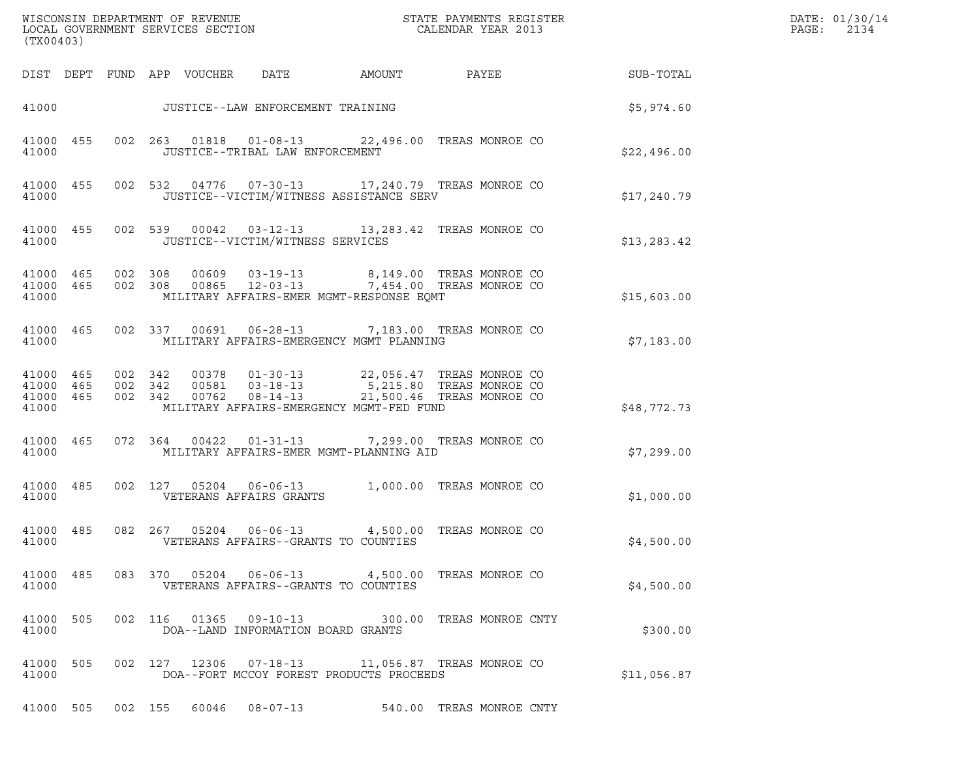| (TX00403)                                    |           |                   |         |                            |                                           |                                                                                                                                                                                                       |                          |              | DATE: 01/30/14<br>$\mathtt{PAGE}$ :<br>2134 |
|----------------------------------------------|-----------|-------------------|---------|----------------------------|-------------------------------------------|-------------------------------------------------------------------------------------------------------------------------------------------------------------------------------------------------------|--------------------------|--------------|---------------------------------------------|
|                                              |           |                   |         | DIST DEPT FUND APP VOUCHER | DATE                                      | AMOUNT                                                                                                                                                                                                | <b>PAYEE</b> PAYEE       | SUB-TOTAL    |                                             |
|                                              |           |                   |         |                            |                                           | 41000 JUSTICE--LAW ENFORCEMENT TRAINING                                                                                                                                                               |                          | \$5,974.60   |                                             |
| 41000 455<br>41000                           |           |                   |         |                            | JUSTICE--TRIBAL LAW ENFORCEMENT           | 002  263  01818  01-08-13  22,496.00  TREAS MONROE CO                                                                                                                                                 |                          | \$22,496.00  |                                             |
| 41000 455<br>41000                           |           |                   |         |                            |                                           | 002 532 04776 07-30-13 17,240.79 TREAS MONROE CO<br>JUSTICE--VICTIM/WITNESS ASSISTANCE SERV                                                                                                           |                          | \$17,240.79  |                                             |
| 41000 455<br>41000                           |           |                   |         |                            | JUSTICE--VICTIM/WITNESS SERVICES          | 002 539 00042 03-12-13 13,283.42 TREAS MONROE CO                                                                                                                                                      |                          | \$13, 283.42 |                                             |
| 41000 465<br>41000 465<br>41000              |           |                   |         |                            |                                           | 002 308 00609 03-19-13 8,149.00 TREAS MONROE CO<br>002 308 00865 12-03-13 7,454.00 TREAS MONROE CO<br>MILITARY AFFAIRS-EMER MGMT-RESPONSE EQMT                                                        |                          | \$15,603.00  |                                             |
| 41000                                        | 41000 465 |                   |         |                            |                                           | 002 337 00691 06-28-13 7,183.00 TREAS MONROE CO<br>MILITARY AFFAIRS-EMERGENCY MGMT PLANNING                                                                                                           |                          | \$7,183.00   |                                             |
| 41000 465<br>41000 465<br>41000 465<br>41000 |           |                   | 002 342 | 002 342 00762              |                                           | 002 342 00378 01-30-13 22,056.47 TREAS MONROE CO<br>00581    03-18-13    5,215.80 TREAS MONROE    CO<br>00762    08-14-13    21,500.46 TREAS MONROE    CO<br>MILITARY AFFAIRS-EMERGENCY MGMT-FED FUND |                          | \$48,772.73  |                                             |
| 41000                                        | 41000 465 |                   |         | 072 364 00422              |                                           | 01-31-13 7,299.00 TREAS MONROE CO<br>MILITARY AFFAIRS-EMER MGMT-PLANNING AID                                                                                                                          |                          | \$7,299.00   |                                             |
| 41000                                        | 41000 485 |                   |         | 002 127 05204              | $06 - 06 - 13$<br>VETERANS AFFAIRS GRANTS |                                                                                                                                                                                                       | 1,000.00 TREAS MONROE CO | \$1,000.00   |                                             |
| 41000                                        | 41000 485 |                   |         | 082 267 05204 06-06-13     | VETERANS AFFAIRS--GRANTS TO COUNTIES      |                                                                                                                                                                                                       | 4,500.00 TREAS MONROE CO | \$4,500.00   |                                             |
| 41000                                        | 41000 485 |                   |         |                            | VETERANS AFFAIRS--GRANTS TO COUNTIES      | 083 370 05204 06-06-13 4,500.00 TREAS MONROE CO                                                                                                                                                       |                          | \$4,500.00   |                                             |
| 41000 505<br>41000                           |           |                   |         |                            | DOA--LAND INFORMATION BOARD GRANTS        | 002  116  01365  09-10-13  300.00  TREAS MONROE CNTY                                                                                                                                                  |                          | \$300.00     |                                             |
| 41000 505<br>41000                           |           |                   |         |                            |                                           | 002 127 12306 07-18-13 11,056.87 TREAS MONROE CO<br>DOA--FORT MCCOY FOREST PRODUCTS PROCEEDS                                                                                                          |                          | \$11,056.87  |                                             |
|                                              |           | 41000 505 002 155 |         |                            | 60046 08-07-13                            |                                                                                                                                                                                                       | 540.00 TREAS MONROE CNTY |              |                                             |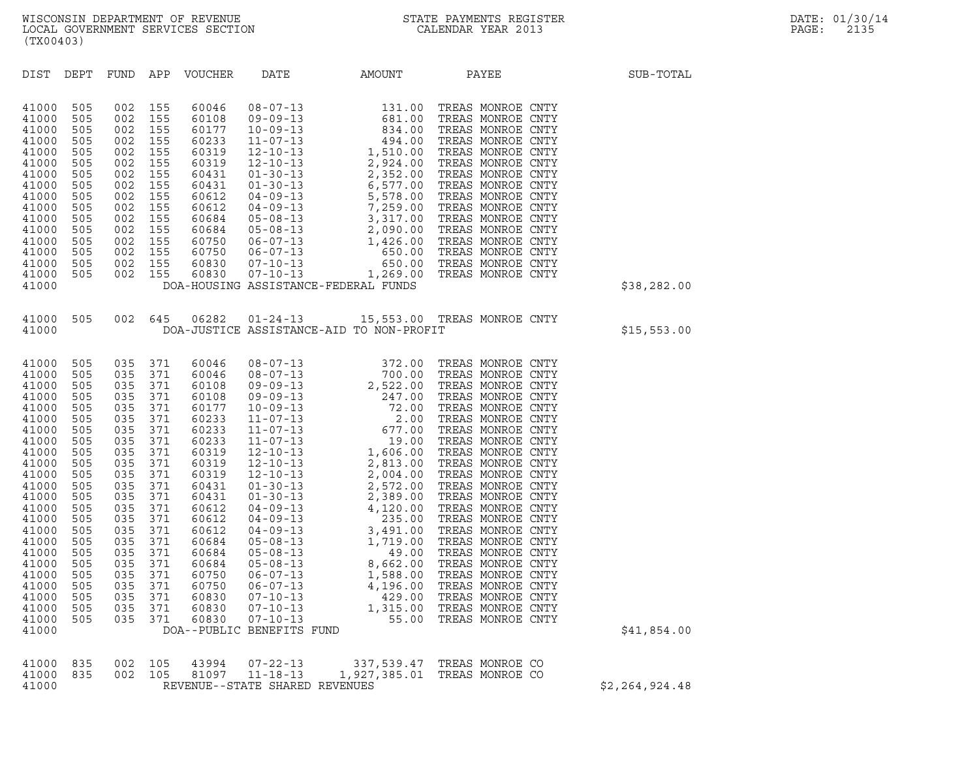| (TX00403)                                                                                                                                                                                                                     |                                                                                                |                                                                                                                |                                                                                                        |                            |      |                                                                                                                                                                                                                                                                                         |             |
|-------------------------------------------------------------------------------------------------------------------------------------------------------------------------------------------------------------------------------|------------------------------------------------------------------------------------------------|----------------------------------------------------------------------------------------------------------------|--------------------------------------------------------------------------------------------------------|----------------------------|------|-----------------------------------------------------------------------------------------------------------------------------------------------------------------------------------------------------------------------------------------------------------------------------------------|-------------|
|                                                                                                                                                                                                                               |                                                                                                |                                                                                                                |                                                                                                        | DIST DEPT FUND APP VOUCHER | DATE | AMOUNT PAYEE                                                                                                                                                                                                                                                                            | SUB-TOTAL   |
| 41000<br>41000<br>41000<br>41000<br>41000<br>41000<br>41000<br>41000<br>41000<br>41000<br>41000<br>41000<br>41000<br>41000<br>41000<br>41000<br>41000                                                                         | 505<br>505<br>505<br>505<br>505<br>505<br>505<br>505<br>505<br>505<br>505<br>505<br>505<br>505 | 002<br>002<br>002<br>002<br>002<br>002<br>002<br>002<br>002<br>002<br>002<br>002<br>505 002 155<br>505 002 155 | 002 155<br>155<br>155<br>155<br>155<br>155<br>155<br>155<br>155<br>155<br>155<br>155<br>155<br>002 155 |                            |      | DOA-HOUSING ASSISTANCE-FEDERAL FUNDS                                                                                                                                                                                                                                                    | \$38,282.00 |
| 41000<br>41000                                                                                                                                                                                                                |                                                                                                |                                                                                                                |                                                                                                        |                            |      | 505 002 645 06282 01-24-13 15,553.00 TREAS MONROE CNTY<br>DOA-JUSTICE ASSISTANCE-AID TO NON-PROFIT                                                                                                                                                                                      | \$15,553.00 |
| 41000<br>41000<br>41000<br>41000<br>41000<br>41000<br>41000<br>41000<br>41000<br>41000<br>41000<br>41000<br>41000<br>41000<br>41000<br>41000<br>41000<br>41000<br>41000<br>41000<br>41000<br>41000<br>41000<br>41000<br>41000 |                                                                                                |                                                                                                                |                                                                                                        |                            |      | $\begin{tabular}{cccc} 1505&035&371&60046&08-07-13&372.00 &TREAS MONRODE CNTY\\ 505&035&371&60046&08-07-13&700.00 &TREAS MONRODE CNTY\\ 505&035&371&60108&09-09-13&2,522.00 &TREAS MONRODE CNTY\\ 505&035&371&60108&09-09-13&72.00 &TREAS MONRODE CNTY\\ 505&035&371&60127&10-09-13&72$ | \$41,854.00 |
| 41000                                                                                                                                                                                                                         | 835<br>41000 835                                                                               | 002 105                                                                                                        |                                                                                                        |                            |      | 002 105 43994 07-22-13 337,539.47 TREAS MONROE CO<br>002 105 81097 11-18-13 1,927,385.01 TREAS MONROE CO                                                                                                                                                                                |             |

|       |  |  | 41000 835 002 105 43994 07-22-13 | 337,539.47 TREAS MONROE CO   |                |
|-------|--|--|----------------------------------|------------------------------|----------------|
|       |  |  | 41000 835 002 105 81097 11-18-13 | 1,927,385.01 TREAS MONROE CO |                |
| 41000 |  |  | REVENUE--STATE SHARED REVENUES   |                              | \$2,264,924.48 |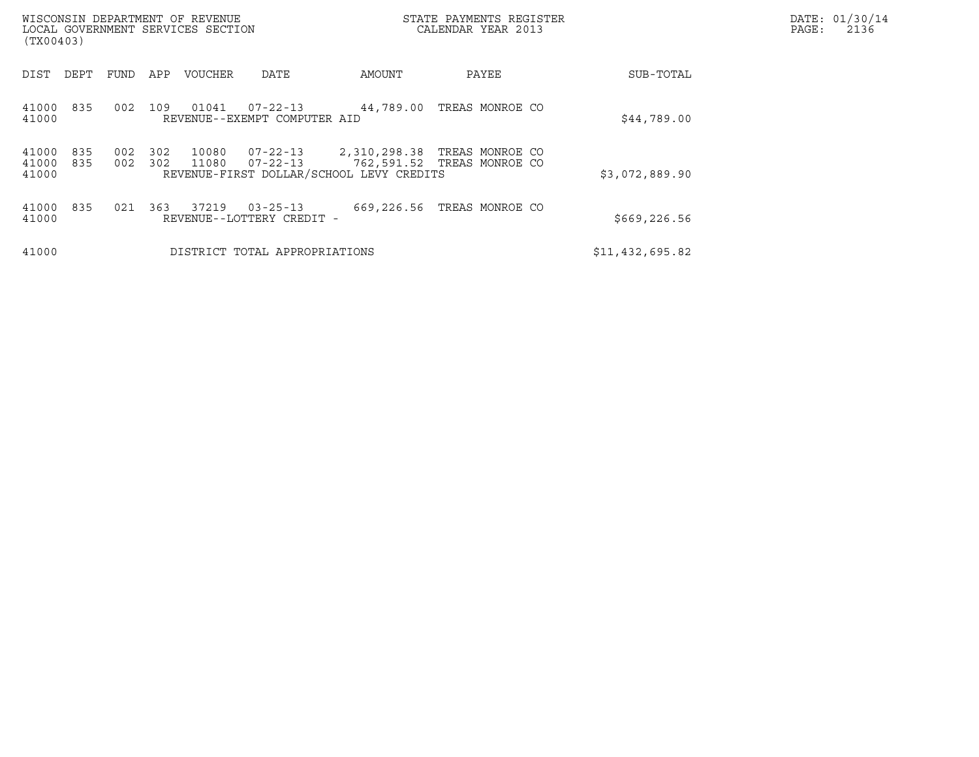| (TX00403)               |            |            |            | WISCONSIN DEPARTMENT OF REVENUE<br>LOCAL GOVERNMENT SERVICES SECTION |                                                |                                                          | STATE PAYMENTS REGISTER<br>CALENDAR YEAR 2013 |                 | DATE: 01/30/14<br>PAGE:<br>2136 |
|-------------------------|------------|------------|------------|----------------------------------------------------------------------|------------------------------------------------|----------------------------------------------------------|-----------------------------------------------|-----------------|---------------------------------|
| DIST                    | DEPT       | FUND       | APP        | <b>VOUCHER</b>                                                       | DATE                                           | AMOUNT                                                   | PAYEE                                         | SUB-TOTAL       |                                 |
| 41000<br>41000          | 835        | 002        | 109        | 01041                                                                | $07 - 22 - 13$<br>REVENUE--EXEMPT COMPUTER AID | 44,789.00                                                | TREAS MONROE CO                               | \$44,789.00     |                                 |
| 41000<br>41000<br>41000 | 835<br>835 | 002<br>002 | 302<br>302 | 10080<br>11080                                                       | 07-22-13<br>07-22-13                           | 2,310,298.38<br>REVENUE-FIRST DOLLAR/SCHOOL LEVY CREDITS | TREAS MONROE CO<br>762,591.52 TREAS MONROE CO | \$3,072,889.90  |                                 |
| 41000<br>41000          | 835        | 021        | 363        | 37219                                                                | $03 - 25 - 13$<br>REVENUE--LOTTERY CREDIT -    | 669,226.56                                               | TREAS MONROE CO                               | \$669, 226.56   |                                 |
| 41000                   |            |            |            |                                                                      | DISTRICT TOTAL APPROPRIATIONS                  |                                                          |                                               | \$11,432,695.82 |                                 |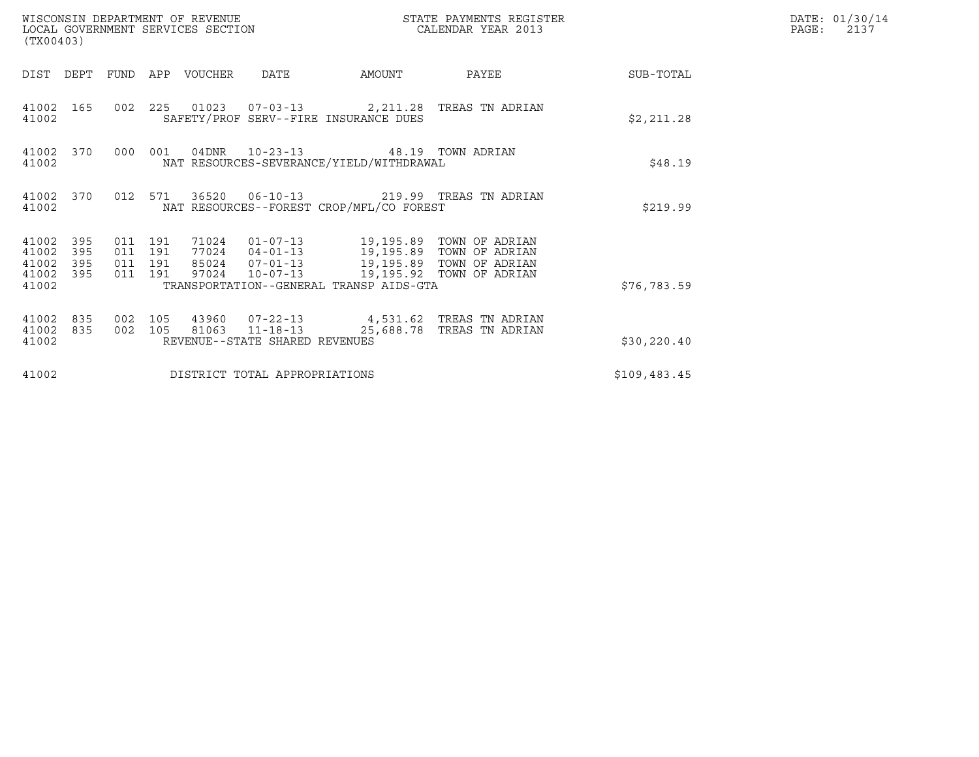| (TX00403)                                     |                   |                               |         | WISCONSIN DEPARTMENT OF REVENUE<br>LOCAL GOVERNMENT SERVICES SECTION |                                | STATE PAYMENTS REGISTER<br>CALENDAR YEAR 2013                                                                                                                                                                 |                                                 |              | DATE: 01/30/14<br>$\mathtt{PAGE:}$<br>2137 |
|-----------------------------------------------|-------------------|-------------------------------|---------|----------------------------------------------------------------------|--------------------------------|---------------------------------------------------------------------------------------------------------------------------------------------------------------------------------------------------------------|-------------------------------------------------|--------------|--------------------------------------------|
| DIST DEPT                                     |                   | FUND                          |         | APP VOUCHER                                                          | DATE                           | AMOUNT                                                                                                                                                                                                        | PAYEE                                           | SUB-TOTAL    |                                            |
| 41002                                         | 41002 165         |                               |         |                                                                      |                                | SAFETY/PROF SERV--FIRE INSURANCE DUES                                                                                                                                                                         | 002 225 01023 07-03-13 2,211.28 TREAS TN ADRIAN | \$2,211.28   |                                            |
| 41002                                         | 41002 370         |                               | 000 001 |                                                                      |                                | 04DNR  10-23-13  48.19 TOWN ADRIAN<br>NAT RESOURCES-SEVERANCE/YIELD/WITHDRAWAL                                                                                                                                |                                                 | \$48.19      |                                            |
| 41002                                         | 41002 370         |                               | 012 571 |                                                                      |                                | NAT RESOURCES--FOREST CROP/MFL/CO FOREST                                                                                                                                                                      |                                                 | \$219.99     |                                            |
| 41002 395<br>41002<br>41002<br>41002<br>41002 | 395<br>395<br>395 | 011 191<br>011 191<br>011 191 | 011 191 |                                                                      | 97024 10-07-13                 | 71024  01-07-13  19,195.89  TOWN OF ADRIAN<br>77024  04-01-13  19,195.89  TOWN OF ADRIAN<br>85024  07-01-13  19,195.89  TOWN OF ADRIAN<br>19,195.92 TOWN OF ADRIAN<br>TRANSPORTATION--GENERAL TRANSP AIDS-GTA |                                                 | \$76,783.59  |                                            |
| 41002<br>41002<br>41002                       | 835<br>835        | 002<br>002 105                | 105     |                                                                      | REVENUE--STATE SHARED REVENUES | 81063 11-18-13 25,688.78 TREAS TN ADRIAN                                                                                                                                                                      | 43960  07-22-13  4,531.62  TREAS TN ADRIAN      | \$30, 220.40 |                                            |
| 41002                                         |                   |                               |         |                                                                      | DISTRICT TOTAL APPROPRIATIONS  |                                                                                                                                                                                                               |                                                 | \$109,483.45 |                                            |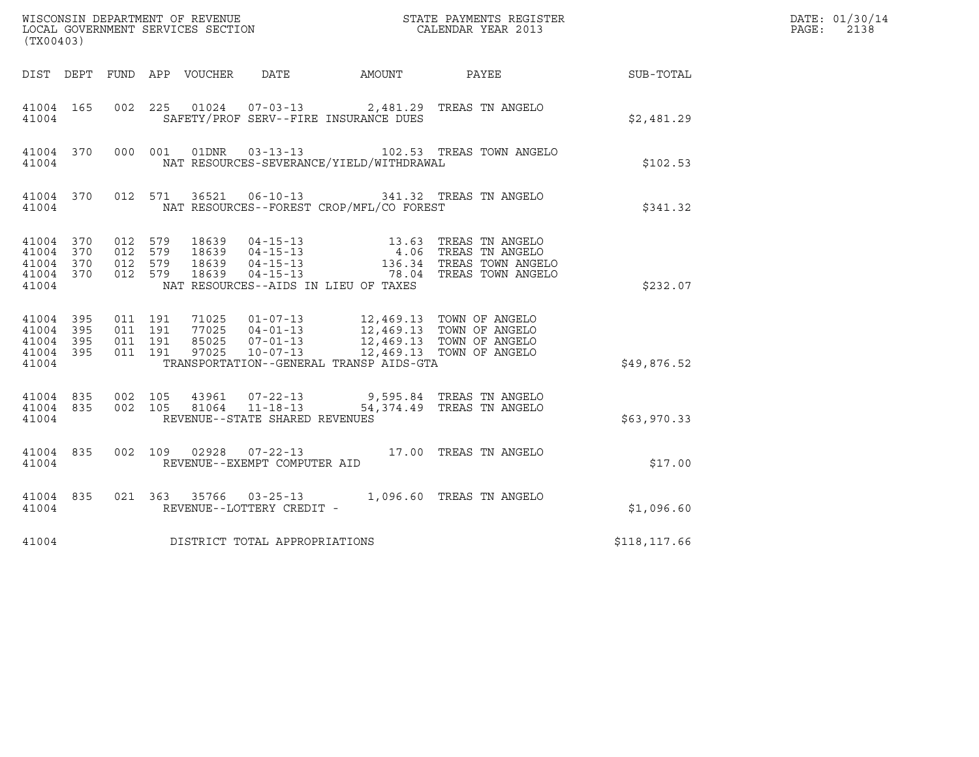| (TX00403)                                    |                                            |                               |         |               |                                |                                          |                                                                                                                                                                                                                                                                             |              | DATE: 01/30/14<br>$\mathtt{PAGE}$ :<br>2138 |
|----------------------------------------------|--------------------------------------------|-------------------------------|---------|---------------|--------------------------------|------------------------------------------|-----------------------------------------------------------------------------------------------------------------------------------------------------------------------------------------------------------------------------------------------------------------------------|--------------|---------------------------------------------|
|                                              |                                            |                               |         |               |                                |                                          | DIST DEPT FUND APP VOUCHER DATE AMOUNT PAYEE SUB-TOTAL                                                                                                                                                                                                                      |              |                                             |
| 41004                                        | 41004 165                                  |                               |         |               |                                | SAFETY/PROF SERV--FIRE INSURANCE DUES    | 002 225 01024 07-03-13 2,481.29 TREAS TN ANGELO                                                                                                                                                                                                                             | \$2,481.29   |                                             |
| 41004                                        |                                            |                               |         |               |                                | NAT RESOURCES-SEVERANCE/YIELD/WITHDRAWAL | 41004 370 000 001 01DNR 03-13-13 102.53 TREAS TOWN ANGELO                                                                                                                                                                                                                   | \$102.53     |                                             |
| 41004                                        |                                            |                               |         |               |                                | NAT RESOURCES--FOREST CROP/MFL/CO FOREST | 41004 370 012 571 36521 06-10-13 341.32 TREAS TN ANGELO                                                                                                                                                                                                                     | \$341.32     |                                             |
| 41004 370<br>41004 370<br>41004 370<br>41004 | 41004 370                                  | 012 579<br>012 579<br>012 579 |         | 012 579 18639 |                                | NAT RESOURCES--AIDS IN LIEU OF TAXES     | $\begin{tabular}{lllllllllllllllllllll} 18639 & 04-15-13 & 13.63 & \text{TREAS TN ANGELO} \\ 18639 & 04-15-13 & 4.06 & \text{TREAS TN ANGELO} \\ 18639 & 04-15-13 & 136.34 & \text{TREAS TOWN ANGELO} \\ 18639 & 04-15-13 & 78.04 & \text{TREAS TOWN ANGELO} \end{tabular}$ | \$232.07     |                                             |
| 41004<br>41004                               | 41004 395<br>395<br>41004 395<br>41004 395 | 011 191<br>011 191<br>011 191 | 011 191 |               |                                | TRANSPORTATION--GENERAL TRANSP AIDS-GTA  | 71025  01-07-13  12,469.13  TOWN OF ANGELO<br>77025  04-01-13  12,469.13  TOWN OF ANGELO<br>85025  07-01-13  12,469.13  TOWN OF ANGELO<br>97025  10-07-13  12,469.13  TOWN OF ANGELO                                                                                        | \$49,876.52  |                                             |
| 41004                                        | 41004 835 002 105<br>41004 835             | 002 105                       |         |               | REVENUE--STATE SHARED REVENUES |                                          | 43961   07-22-13   9,595.84 TREAS TN ANGELO<br>81064   11-18-13   54,374.49 TREAS TN ANGELO                                                                                                                                                                                 | \$63,970.33  |                                             |
| 41004                                        | 41004 835                                  |                               |         |               | REVENUE--EXEMPT COMPUTER AID   |                                          | 002 109 02928 07-22-13 17.00 TREAS TN ANGELO                                                                                                                                                                                                                                | \$17.00      |                                             |
|                                              |                                            |                               |         |               |                                |                                          | 41004 835 021 363 35766 03-25-13 1,096.60 TREAS TN ANGELO 41004 REVENUE--LOTTERY CREDIT -                                                                                                                                                                                   | \$1,096.60   |                                             |
| 41004                                        |                                            |                               |         |               | DISTRICT TOTAL APPROPRIATIONS  |                                          |                                                                                                                                                                                                                                                                             | \$118,117.66 |                                             |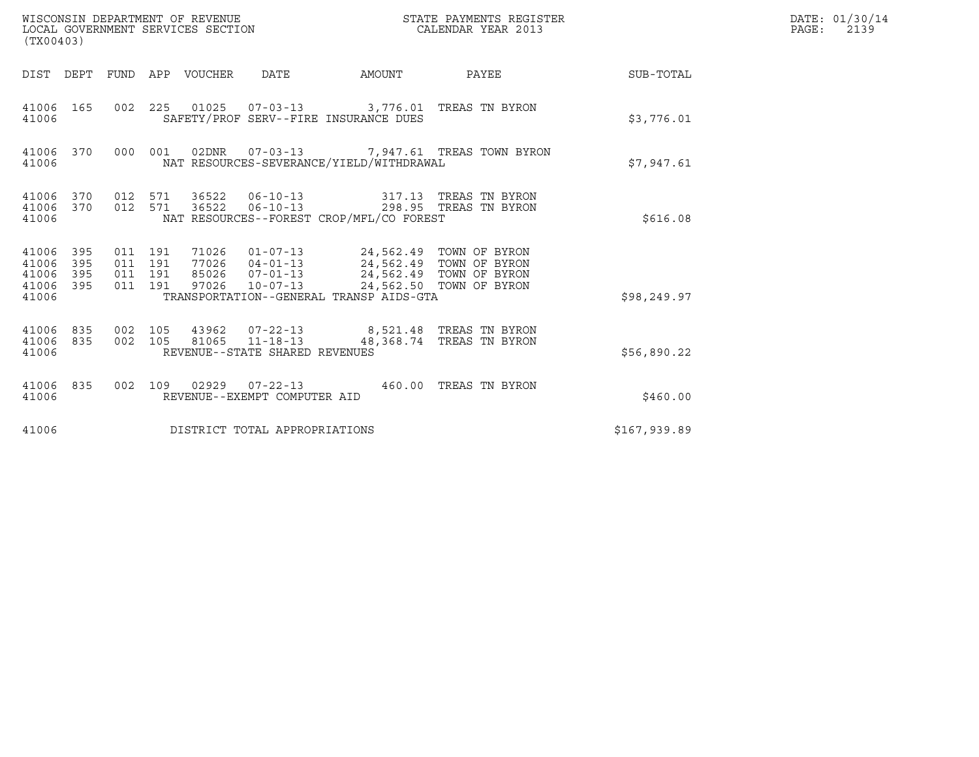| WISCONSIN DEPARTMENT OF REVENUE<br>LOCAL GOVERNMENT SERVICES SECTION<br>(TX00403) |                    |                    |       |                                |                                                                                                                                                                                                           | STATE PAYMENTS REGISTER<br>CALENDAR YEAR 2013 |              | DATE: 01/30/14<br>$\mathtt{PAGE:}$<br>2139 |
|-----------------------------------------------------------------------------------|--------------------|--------------------|-------|--------------------------------|-----------------------------------------------------------------------------------------------------------------------------------------------------------------------------------------------------------|-----------------------------------------------|--------------|--------------------------------------------|
| DIST DEPT FUND APP VOUCHER DATE                                                   |                    |                    |       |                                | AMOUNT                                                                                                                                                                                                    | PAYEE                                         | SUB-TOTAL    |                                            |
| 41006 165<br>41006                                                                |                    | 002 225            |       |                                | 01025  07-03-13  3,776.01 TREAS TN BYRON<br>SAFETY/PROF SERV--FIRE INSURANCE DUES                                                                                                                         |                                               | \$3,776.01   |                                            |
| 41006 370<br>41006                                                                |                    | 000 001            |       |                                | NAT RESOURCES-SEVERANCE/YIELD/WITHDRAWAL                                                                                                                                                                  | 02DNR  07-03-13  7,947.61 TREAS TOWN BYRON    | \$7,947.61   |                                            |
| 41006 370<br>41006 370<br>41006                                                   |                    | 012 571<br>012 571 |       |                                | 36522   06-10-13   317.13   TREAS TN BYRON<br>36522  06-10-13  298.95  TREAS TN BYRON<br>NAT RESOURCES--FOREST CROP/MFL/CO FOREST                                                                         |                                               | \$616.08     |                                            |
| 41006 395<br>395<br>41006<br>41006<br>395<br>41006<br>395<br>41006                | 011 191<br>011 191 | 011 191<br>011 191 | 97026 | $10 - 07 - 13$                 | 71026  01-07-13  24,562.49  TOWN OF BYRON<br>77026  04-01-13  24,562.49  TOWN OF BYRON<br>85026  07-01-13  24,562.49  TOWN OF BYRON<br>24,562.50 TOWN OF BYRON<br>TRANSPORTATION--GENERAL TRANSP AIDS-GTA |                                               | \$98, 249.97 |                                            |
| 41006 835<br>41006 835<br>41006                                                   | 002 105<br>002 105 |                    |       | REVENUE--STATE SHARED REVENUES | 43962  07-22-13  8,521.48  TREAS TN BYRON<br>81065 11-18-13 48,368.74 TREAS TN BYRON                                                                                                                      |                                               | \$56,890.22  |                                            |
| 41006 835<br>41006                                                                | 002 109            |                    |       | REVENUE--EXEMPT COMPUTER AID   | 02929   07-22-13   460.00 TREAS TN BYRON                                                                                                                                                                  |                                               | \$460.00     |                                            |
| 41006                                                                             |                    |                    |       | DISTRICT TOTAL APPROPRIATIONS  |                                                                                                                                                                                                           |                                               | \$167,939.89 |                                            |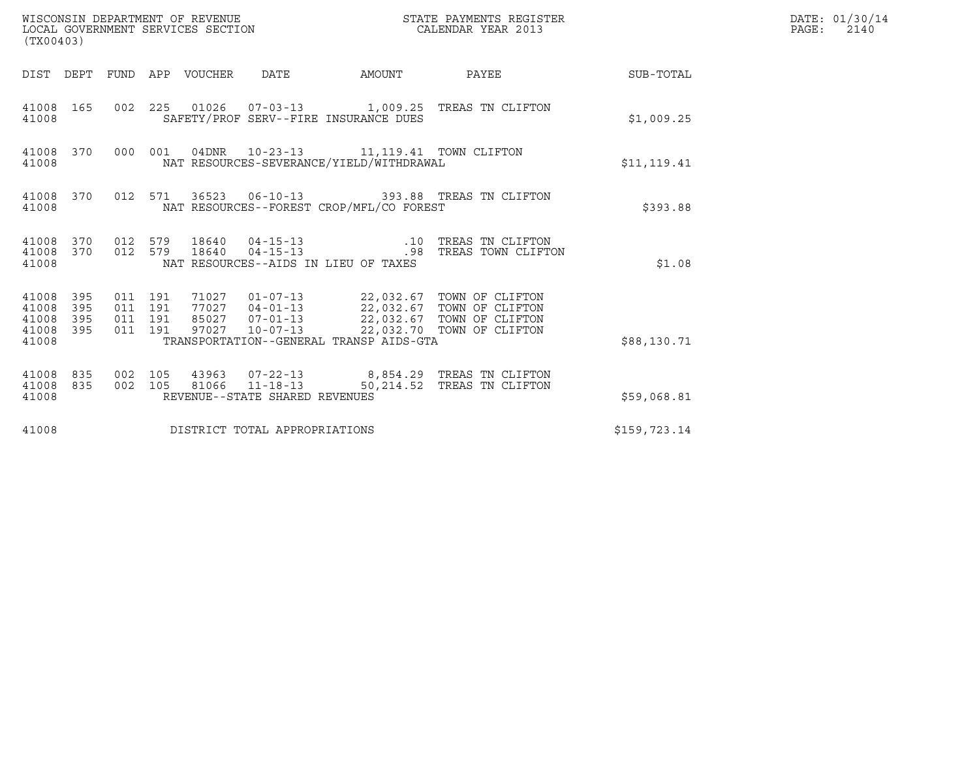| WISCONSIN DEPARTMENT OF REVENUE<br>LOCAL GOVERNMENT SERVICES SECTION<br>(TX00403) |                                          |       |                                                                                           | STATE PAYMENTS REGISTER<br>CALENDAR YEAR 2013                                                                                                                                            |              | DATE: 01/30/14<br>$\mathtt{PAGE:}$<br>2140 |
|-----------------------------------------------------------------------------------|------------------------------------------|-------|-------------------------------------------------------------------------------------------|------------------------------------------------------------------------------------------------------------------------------------------------------------------------------------------|--------------|--------------------------------------------|
| DIST DEPT FUND APP VOUCHER                                                        |                                          |       | DATE                                                                                      |                                                                                                                                                                                          |              |                                            |
| 41008 165<br>41008                                                                |                                          |       | SAFETY/PROF SERV--FIRE INSURANCE DUES                                                     | 002 225 01026 07-03-13 1,009.25 TREAS TN CLIFTON                                                                                                                                         | \$1,009.25   |                                            |
| 41008 370<br>41008                                                                |                                          |       | 000 001 04DNR 10-23-13 11,119.41 TOWN CLIFTON<br>NAT RESOURCES-SEVERANCE/YIELD/WITHDRAWAL |                                                                                                                                                                                          | \$11,119.41  |                                            |
| 41008 370<br>41008                                                                |                                          |       | NAT RESOURCES--FOREST CROP/MFL/CO FOREST                                                  | 012 571 36523 06-10-13 393.88 TREAS TN CLIFTON                                                                                                                                           | \$393.88     |                                            |
| 41008 370 012 579<br>41008 370<br>41008                                           | 012 579                                  |       | $18640$ $04-15-13$<br>$18640$ $04-15-13$<br>NAT RESOURCES--AIDS IN LIEU OF TAXES          | .10 TREAS TN CLIFTON<br>.98 TREAS TOWN CLIFTON                                                                                                                                           | \$1.08       |                                            |
| 395<br>41008<br>395<br>41008<br>41008<br>395<br>395<br>41008<br>41008             | 011 191<br>011 191<br>011 191<br>011 191 |       | TRANSPORTATION--GENERAL TRANSP AIDS-GTA                                                   | 71027  01-07-13  22,032.67  TOWN OF CLIFTON<br>77027  04-01-13  22,032.67  TOWN OF CLIFTON<br>85027  07-01-13  22,032.67  TOWN OF CLIFTON<br>97027  10-07-13  22,032.70  TOWN OF CLIFTON | \$88,130.71  |                                            |
| 41008<br>835<br>835<br>41008<br>41008                                             | 002 105<br>002 105                       | 81066 | $11 - 18 - 13$<br>REVENUE--STATE SHARED REVENUES                                          | 43963 07-22-13 8,854.29 TREAS TN CLIFTON<br>50,214.52 TREAS TN CLIFTON                                                                                                                   | \$59,068.81  |                                            |
| 41008                                                                             |                                          |       | DISTRICT TOTAL APPROPRIATIONS                                                             |                                                                                                                                                                                          | \$159,723.14 |                                            |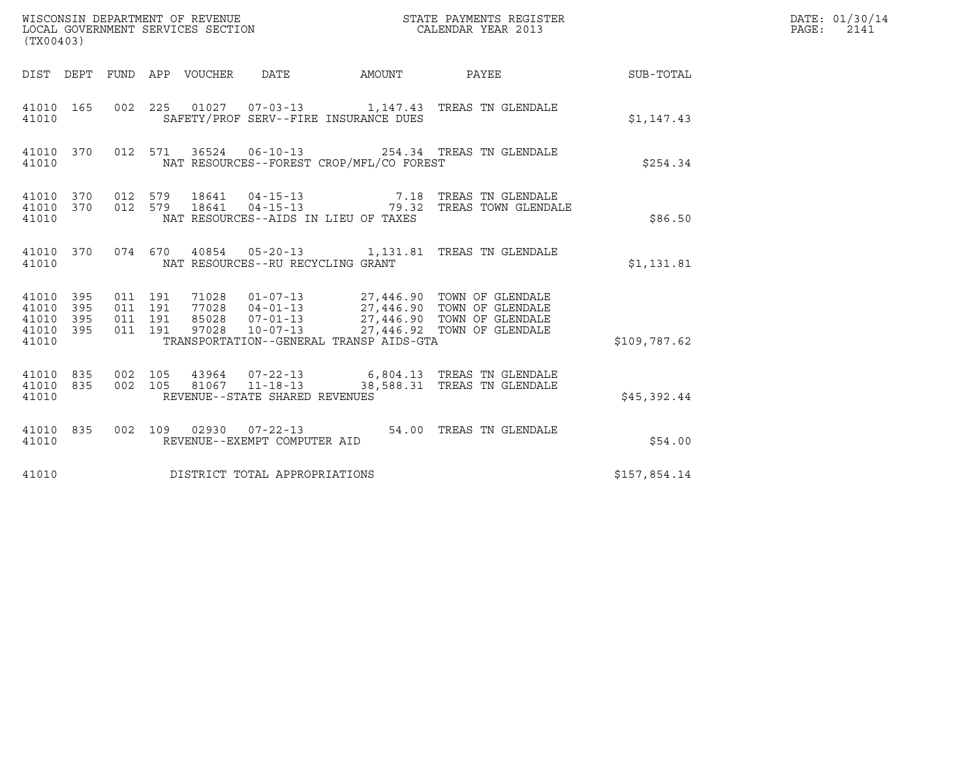| (TX00403)                                                          |                                          |       |                                                  |                                          |                                                                                                                                                                            |              | DATE: 01/30/14<br>$\mathtt{PAGE}$ :<br>2141 |
|--------------------------------------------------------------------|------------------------------------------|-------|--------------------------------------------------|------------------------------------------|----------------------------------------------------------------------------------------------------------------------------------------------------------------------------|--------------|---------------------------------------------|
|                                                                    |                                          |       |                                                  |                                          | DIST DEPT FUND APP VOUCHER DATE AMOUNT PAYEE TO SUB-TOTAL                                                                                                                  |              |                                             |
| 41010 165<br>41010                                                 |                                          |       |                                                  | SAFETY/PROF SERV--FIRE INSURANCE DUES    | 002 225 01027 07-03-13 1,147.43 TREAS TN GLENDALE                                                                                                                          | \$1,147.43   |                                             |
| 41010 370<br>41010                                                 |                                          |       |                                                  | NAT RESOURCES--FOREST CROP/MFL/CO FOREST | 012 571 36524 06-10-13 254.34 TREAS TN GLENDALE                                                                                                                            | \$254.34     |                                             |
| 41010 370<br>41010 370<br>41010                                    | 012 579<br>012 579                       |       |                                                  | NAT RESOURCES--AIDS IN LIEU OF TAXES     | 18641  04-15-13  7.18  TREAS TN GLENDALE<br>18641  04-15-13  79.32  TREAS TOWN GLENDALE                                                                                    | \$86.50      |                                             |
| 41010 370<br>41010                                                 |                                          |       | NAT RESOURCES--RU RECYCLING GRANT                |                                          | 074 670 40854 05-20-13 1,131.81 TREAS TN GLENDALE                                                                                                                          | \$1,131.81   |                                             |
| 41010 395<br>41010<br>395<br>41010<br>395<br>395<br>41010<br>41010 | 011 191<br>011 191<br>011 191<br>011 191 | 97028 | $10 - 07 - 13$                                   | TRANSPORTATION--GENERAL TRANSP AIDS-GTA  | 71028  01-07-13  27,446.90  TOWN OF GLENDALE<br>77028  04-01-13  27,446.90  TOWN OF GLENDALE<br>85028  07-01-13  27,446.90  TOWN OF GLENDALE<br>27,446.92 TOWN OF GLENDALE | \$109,787.62 |                                             |
| 41010 835<br>41010 835<br>41010                                    | 002 105<br>002 105                       |       | 81067 11-18-13<br>REVENUE--STATE SHARED REVENUES |                                          | 38,588.31 TREAS TN GLENDALE                                                                                                                                                | \$45,392.44  |                                             |
| 41010 835<br>41010                                                 |                                          |       | REVENUE--EXEMPT COMPUTER AID                     |                                          | 002 109 02930 07-22-13 54.00 TREAS TN GLENDALE                                                                                                                             | \$54.00      |                                             |
| 41010                                                              |                                          |       | DISTRICT TOTAL APPROPRIATIONS                    |                                          |                                                                                                                                                                            | \$157,854.14 |                                             |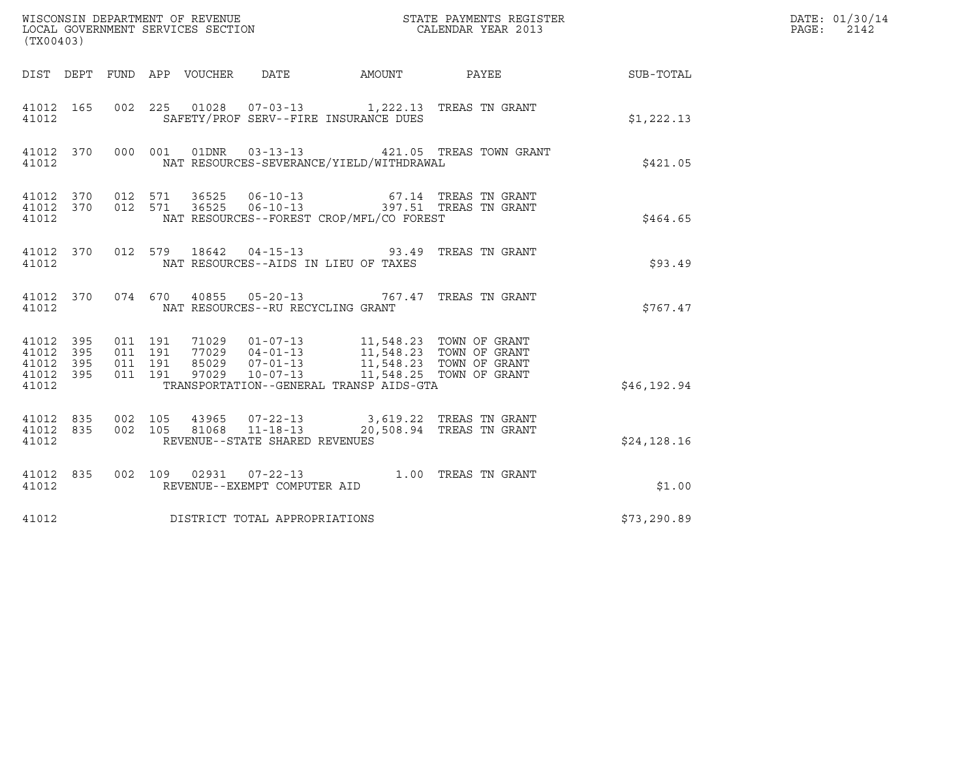| ${\tt WISCOONSIM\ DEPARTMENT\ OF\ REVENUE}\qquad \qquad {\tt STATE\ PAYMENTS\ REGISTER\ LOCAL\ GOVERNMENT\ SERVICES\ SECTION\qquad \qquad {\tt CALENDAR\ YEAR\ 2013}$<br>(TX00403) |           |                                          |  |                                   |                                                                                                                                                                                                                                                                 |                                                            |              | DATE: 01/30/14<br>PAGE:<br>2142 |
|------------------------------------------------------------------------------------------------------------------------------------------------------------------------------------|-----------|------------------------------------------|--|-----------------------------------|-----------------------------------------------------------------------------------------------------------------------------------------------------------------------------------------------------------------------------------------------------------------|------------------------------------------------------------|--------------|---------------------------------|
|                                                                                                                                                                                    |           |                                          |  |                                   |                                                                                                                                                                                                                                                                 | DIST DEPT FUND APP VOUCHER DATE AMOUNT PAYEE THE SUB-TOTAL |              |                                 |
| 41012                                                                                                                                                                              |           |                                          |  |                                   | 41012 165 002 225 01028 07-03-13 1,222.13 TREAS TN GRANT<br>SAFETY/PROF SERV--FIRE INSURANCE DUES                                                                                                                                                               |                                                            | \$1,222.13   |                                 |
| 41012                                                                                                                                                                              |           |                                          |  |                                   | NAT RESOURCES-SEVERANCE/YIELD/WITHDRAWAL                                                                                                                                                                                                                        | 41012 370 000 001 01DNR 03-13-13 421.05 TREAS TOWN GRANT   | \$421.05     |                                 |
| 41012                                                                                                                                                                              |           |                                          |  |                                   | $\begin{array}{cccccccc} 41012 & 370 & 012 & 571 & 36525 & 06-10-13 & & & & & & & 67.14 & \text{TREAS TN GRANT} \\ 41012 & 370 & 012 & 571 & 36525 & 06-10-13 & & & & & 397.51 & \text{TREAS TN GRANT} \end{array}$<br>NAT RESOURCES--FOREST CROP/MFL/CO FOREST |                                                            | \$464.65     |                                 |
| 41012                                                                                                                                                                              |           |                                          |  |                                   | 41012 370 012 579 18642 04-15-13 93.49 TREAS TN GRANT<br>NAT RESOURCES--AIDS IN LIEU OF TAXES                                                                                                                                                                   |                                                            | \$93.49      |                                 |
| 41012                                                                                                                                                                              |           |                                          |  | NAT RESOURCES--RU RECYCLING GRANT | 41012 370 074 670 40855 05-20-13 767.47 TREAS TN GRANT                                                                                                                                                                                                          |                                                            | \$767.47     |                                 |
| 41012 395<br>41012<br>41012 395<br>41012 395<br>41012                                                                                                                              | 395       | 011 191<br>011 191<br>011 191<br>011 191 |  |                                   | 71029   01-07-13   11,548.23   TOWN OF GRANT<br>77029   04-01-13   11,548.23   TOWN OF GRANT<br>85029   07-01-13   11,548.23   TOWN OF GRANT<br>97029   10-07-13   11,548.25   TOWN OF GRANT<br>TRANSPORTATION--GENERAL TRANSP AIDS-GTA                         |                                                            | \$46,192.94  |                                 |
| 41012 835<br>41012                                                                                                                                                                 | 41012 835 |                                          |  | REVENUE--STATE SHARED REVENUES    | 002 105 43965 07-22-13 3,619.22 TREAS TN GRANT<br>002 105 81068 11-18-13 20,508.94 TREAS TN GRANT                                                                                                                                                               |                                                            | \$24,128.16  |                                 |
| 41012                                                                                                                                                                              |           |                                          |  | REVENUE--EXEMPT COMPUTER AID      | 41012 835 002 109 02931 07-22-13 1.00 TREAS TN GRANT                                                                                                                                                                                                            |                                                            | \$1.00       |                                 |
| 41012                                                                                                                                                                              |           |                                          |  | DISTRICT TOTAL APPROPRIATIONS     |                                                                                                                                                                                                                                                                 |                                                            | \$73, 290.89 |                                 |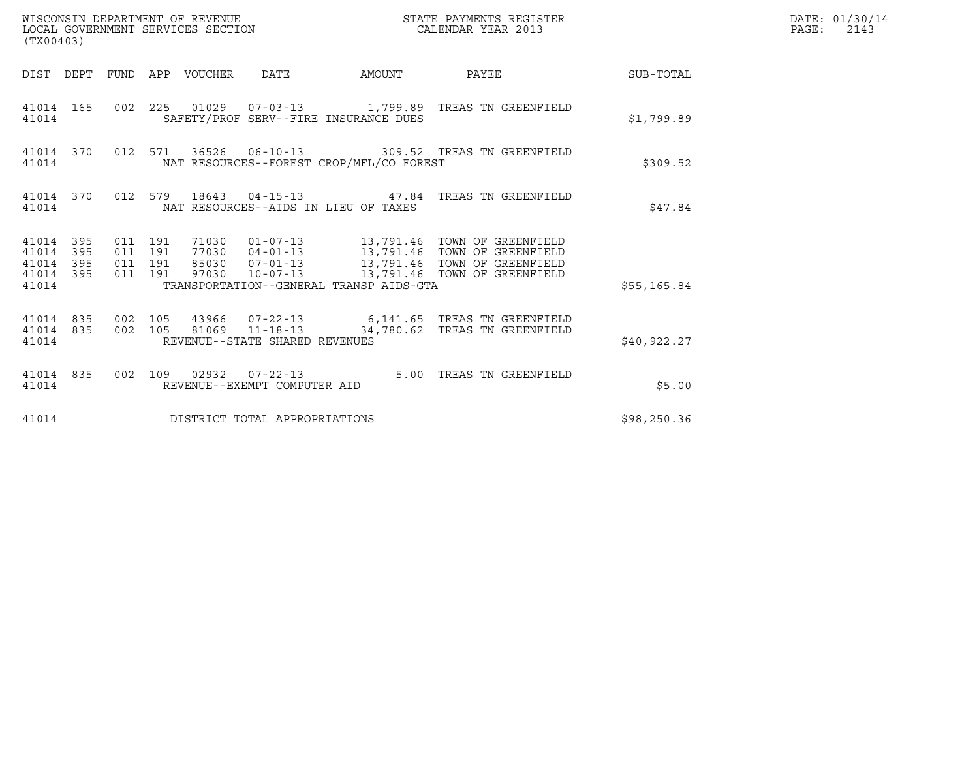| (TX00403)                                                 |                                          | WISCONSIN DEPARTMENT OF REVENUE<br>LOCAL GOVERNMENT SERVICES SECTION | STATE PAYMENTS REGISTER<br>CALENDAR YEAR 2013 |                                                                                                                                                                                                      |              | DATE: 01/30/14<br>$\mathtt{PAGE:}$<br>2143 |
|-----------------------------------------------------------|------------------------------------------|----------------------------------------------------------------------|-----------------------------------------------|------------------------------------------------------------------------------------------------------------------------------------------------------------------------------------------------------|--------------|--------------------------------------------|
| DIST DEPT FUND APP VOUCHER DATE                           |                                          |                                                                      |                                               | AMOUNT PAYEE SUB-TOTAL                                                                                                                                                                               |              |                                            |
| 41014                                                     |                                          |                                                                      | SAFETY/PROF SERV--FIRE INSURANCE DUES         | 41014 165 002 225 01029 07-03-13 1,799.89 TREAS TN GREENFIELD                                                                                                                                        | \$1,799.89   |                                            |
| 41014                                                     |                                          |                                                                      | NAT RESOURCES--FOREST CROP/MFL/CO FOREST      | 41014 370 012 571 36526 06-10-13 309.52 TREAS TN GREENFIELD                                                                                                                                          | \$309.52     |                                            |
| 41014                                                     |                                          |                                                                      | NAT RESOURCES--AIDS IN LIEU OF TAXES          | 41014 370 012 579 18643 04-15-13 47.84 TREAS TN GREENFIELD                                                                                                                                           | \$47.84      |                                            |
| 41014 395<br>41014 395<br>41014 395<br>41014 395<br>41014 | 011 191<br>011 191<br>011 191<br>011 191 |                                                                      | TRANSPORTATION--GENERAL TRANSP AIDS-GTA       | 71030  01-07-13  13,791.46  TOWN OF GREENFIELD<br>77030  04-01-13  13,791.46  TOWN OF GREENFIELD<br>85030  07-01-13  13,791.46  TOWN OF GREENFIELD<br>97030  10-07-13  13,791.46  TOWN OF GREENFIELD | \$55, 165.84 |                                            |
| 41014 835<br>41014                                        |                                          | REVENUE--STATE SHARED REVENUES                                       |                                               | 41014 835 002 105 43966 07-22-13 6,141.65 TREAS TN GREENFIELD<br>002 105 81069 11-18-13 34,780.62 TREAS TN GREENFIELD                                                                                | \$40,922.27  |                                            |
| 41014                                                     |                                          | REVENUE--EXEMPT COMPUTER AID                                         |                                               | 41014 835 002 109 02932 07-22-13 5.00 TREAS TN GREENFIELD                                                                                                                                            | \$5.00       |                                            |
| 41014                                                     |                                          | DISTRICT TOTAL APPROPRIATIONS                                        |                                               |                                                                                                                                                                                                      | \$98, 250.36 |                                            |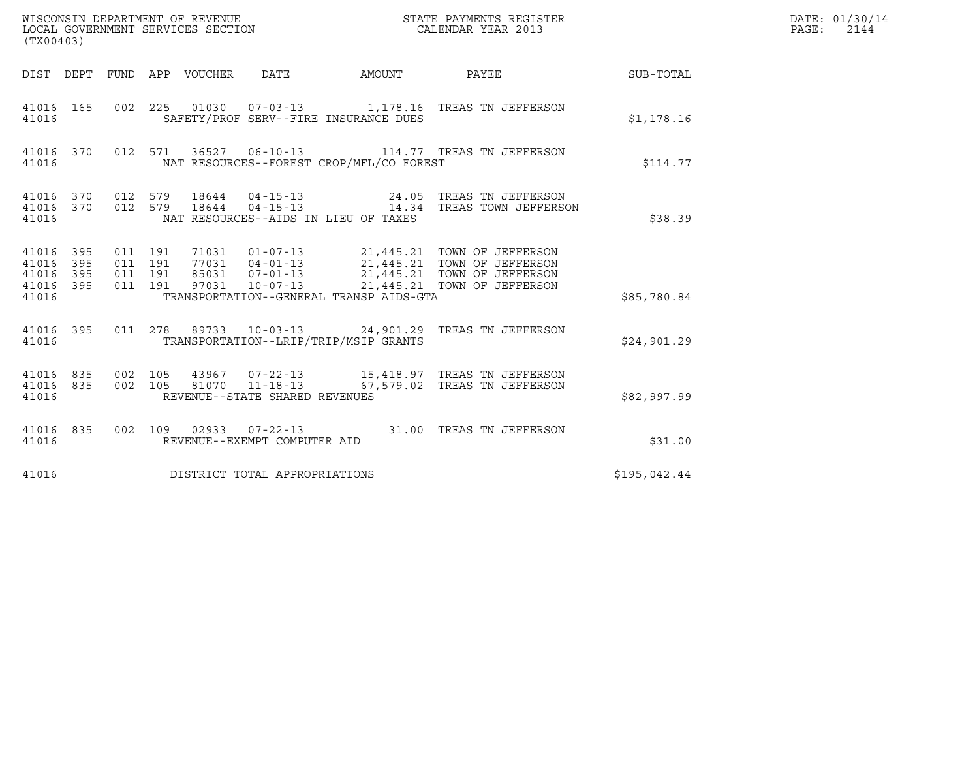| WISCONSIN DEPARTMENT OF REVENUE<br>LOCAL GOVERNMENT SERVICES SECTION<br>(TX00403)                                                |                                                                                                                                                                                                  | STATE PAYMENTS REGISTER<br>CALENDAR YEAR 2013 |              | DATE: 01/30/14<br>PAGE: 2144 |
|----------------------------------------------------------------------------------------------------------------------------------|--------------------------------------------------------------------------------------------------------------------------------------------------------------------------------------------------|-----------------------------------------------|--------------|------------------------------|
| DIST DEPT FUND APP VOUCHER DATE AMOUNT PAYEE THE SUB-TOTAL                                                                       |                                                                                                                                                                                                  |                                               |              |                              |
| 41016 165<br>41016                                                                                                               | 002  225  01030  07-03-13  1,178.16  TREAS TN JEFFERSON<br>SAFETY/PROF SERV--FIRE INSURANCE DUES                                                                                                 |                                               | \$1,178.16   |                              |
| 41016 370 012 571 36527 06-10-13 114.77 TREAS TN JEFFERSON<br>41016                                                              | NAT RESOURCES--FOREST CROP/MFL/CO FOREST                                                                                                                                                         |                                               | \$114.77     |                              |
| $41016$ 370 012 579 18644 04-15-13 24.05 TREAS TN JEFFERSON 41016 370 012 579 18644 04-15-13 14.34 TREAS TOWN JEFFERSON<br>41016 | NAT RESOURCES--AIDS IN LIEU OF TAXES                                                                                                                                                             |                                               | \$38.39      |                              |
| 41016 395<br>011 191<br>011 191<br>395<br>41016<br>395<br>011 191<br>41016<br>41016 395<br>011 191                               | 71031  01-07-13  21,445.21  TOWN OF JEFFERSON<br>77031  04-01-13  21,445.21  TOWN OF JEFFERSON<br>85031  07-01-13  21,445.21  TOWN OF JEFFERSON<br>97031  10-07-13  21,445.21  TOWN OF JEFFERSON |                                               |              |                              |
| 41016                                                                                                                            | TRANSPORTATION--GENERAL TRANSP AIDS-GTA                                                                                                                                                          |                                               | \$85,780.84  |                              |
| 41016 395 011 278 89733 10-03-13 24,901.29 TREAS TN JEFFERSON<br>41016                                                           | TRANSPORTATION--LRIP/TRIP/MSIP GRANTS                                                                                                                                                            |                                               | \$24.901.29  |                              |
| 41016 835 002 105 43967 07-22-13 15,418.97 TREAS TN JEFFERSON<br>002 105<br>41016 835<br>41016                                   | 81070  11-18-13   67,579.02  TREAS TN JEFFERSON<br>REVENUE--STATE SHARED REVENUES                                                                                                                |                                               | \$82,997.99  |                              |
| 41016 835<br>41016                                                                                                               | 002 109 02933 07-22-13 31.00 TREAS TN JEFFERSON<br>REVENUE--EXEMPT COMPUTER AID                                                                                                                  |                                               | \$31.00      |                              |
| DISTRICT TOTAL APPROPRIATIONS<br>41016                                                                                           |                                                                                                                                                                                                  |                                               | \$195,042.44 |                              |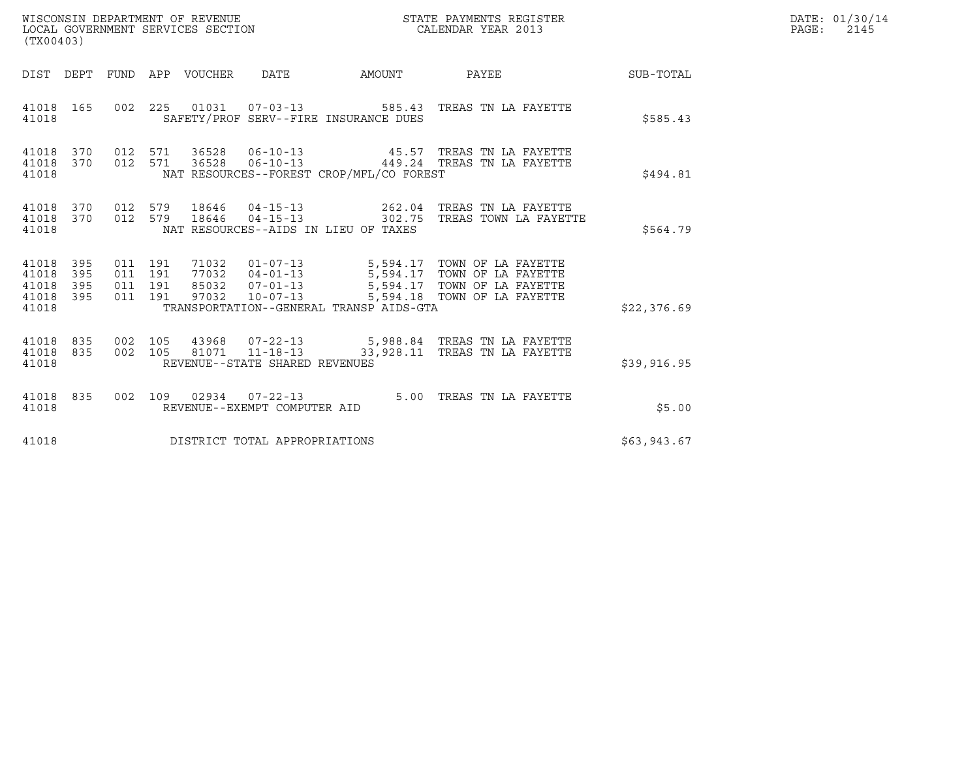| (TX00403)                                 |                          |                                          | WISCONSIN DEPARTMENT OF REVENUE<br>LOCAL GOVERNMENT SERVICES SECTION |                                                        |                                          | STATE PAYMENTS REGISTER<br>CALENDAR YEAR 2013                                                                                                                                           |             | DATE: 01/30/14<br>$\mathtt{PAGE:}$<br>2145 |
|-------------------------------------------|--------------------------|------------------------------------------|----------------------------------------------------------------------|--------------------------------------------------------|------------------------------------------|-----------------------------------------------------------------------------------------------------------------------------------------------------------------------------------------|-------------|--------------------------------------------|
| DIST DEPT                                 |                          |                                          | FUND APP VOUCHER                                                     | DATE                                                   | AMOUNT                                   | PAYEE                                                                                                                                                                                   | SUB-TOTAL   |                                            |
| 41018 165<br>41018                        |                          | 002 225                                  |                                                                      |                                                        | SAFETY/PROF SERV--FIRE INSURANCE DUES    |                                                                                                                                                                                         | \$585.43    |                                            |
| 41018<br>41018<br>41018                   | 370<br>370               | 012 571<br>012 571                       | 36528                                                                |                                                        | NAT RESOURCES--FOREST CROP/MFL/CO FOREST | 36528    06-10-13    45.57    TREAS TN LA FAYETTE<br>06-10-13 449.24 TREAS TN LA FAYETTE                                                                                                | \$494.81    |                                            |
| 41018 370<br>41018<br>41018               | 370                      | 012 579<br>012 579                       | 18646<br>18646                                                       | $04 - 15 - 13$                                         | NAT RESOURCES--AIDS IN LIEU OF TAXES     | 04-15-13 262.04 TREAS TN LA FAYETTE<br>302.75 TREAS TOWN LA FAYETTE                                                                                                                     | \$564.79    |                                            |
| 41018<br>41018<br>41018<br>41018<br>41018 | 395<br>395<br>395<br>395 | 011 191<br>011 191<br>011 191<br>011 191 |                                                                      |                                                        | TRANSPORTATION--GENERAL TRANSP AIDS-GTA  | 71032  01-07-13  5,594.17  TOWN OF LA FAYETTE<br>77032 04-01-13 5,594.17 TOWN OF LA FAYETTE<br>85032 07-01-13 5,594.17 TOWN OF LA FAYETTE<br>97032 10-07-13 5,594.18 TOWN OF LA FAYETTE | \$22,376.69 |                                            |
| 41018<br>41018<br>41018                   | 835<br>835               | 002 105<br>002 105                       |                                                                      | REVENUE--STATE SHARED REVENUES                         |                                          | 43968  07-22-13  5,988.84 TREAS TN LA FAYETTE<br>81071  11-18-13  33,928.11 TREAS TN LA FAYETTE                                                                                         | \$39,916.95 |                                            |
| 41018<br>41018                            | 835                      |                                          |                                                                      | 002 109 02934 07-22-13<br>REVENUE--EXEMPT COMPUTER AID |                                          | 5.00 TREAS TN LA FAYETTE                                                                                                                                                                | \$5.00      |                                            |
| 41018                                     |                          |                                          |                                                                      | DISTRICT TOTAL APPROPRIATIONS                          |                                          |                                                                                                                                                                                         | \$63,943.67 |                                            |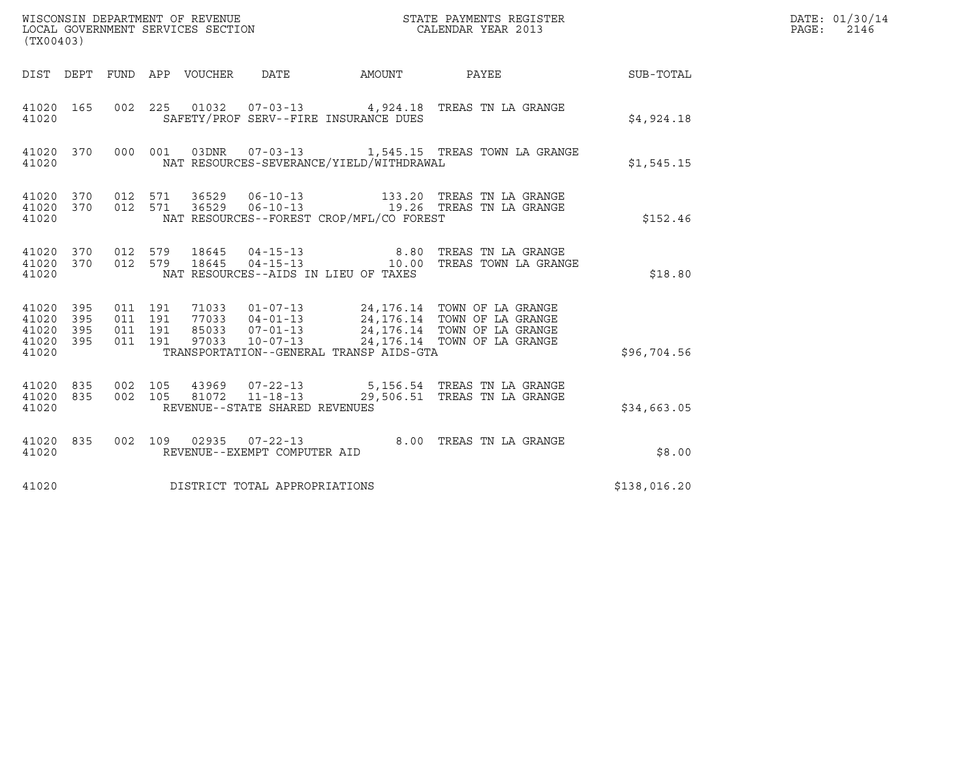| WISCONSIN DEPARTMENT OF REVENUE<br>LOCAL GOVERNMENT SERVICES SECTION<br>(TX00403)                                                         | CALENDAR YEAR 2013                                                                                                                                                                                                                                                                                                                                                    | STATE PAYMENTS REGISTER | DATE: 01/30/14<br>PAGE: 2146 |
|-------------------------------------------------------------------------------------------------------------------------------------------|-----------------------------------------------------------------------------------------------------------------------------------------------------------------------------------------------------------------------------------------------------------------------------------------------------------------------------------------------------------------------|-------------------------|------------------------------|
| DIST DEPT FUND APP VOUCHER DATE                                                                                                           | AMOUNT PAYEE                                                                                                                                                                                                                                                                                                                                                          | <b>SUB-TOTAL</b>        |                              |
| 41020 165<br>41020                                                                                                                        | 002 225 01032 07-03-13 4,924.18 TREAS TN LA GRANGE<br>SAFETY/PROF SERV--FIRE INSURANCE DUES                                                                                                                                                                                                                                                                           | \$4,924.18              |                              |
| 000 001 03DNR 07-03-13 1,545.15 TREAS TOWN LA GRANGE<br>41020 370<br>41020                                                                | NAT RESOURCES-SEVERANCE/YIELD/WITHDRAWAL                                                                                                                                                                                                                                                                                                                              | \$1,545.15              |                              |
| 012 571 36529 06-10-13 133.20 TREAS TN LA GRANGE<br>012 571 36529 06-10-13 19.26 TREAS TN LA GRANGE<br>41020 370<br>41020<br>370<br>41020 | NAT RESOURCES--FOREST CROP/MFL/CO FOREST                                                                                                                                                                                                                                                                                                                              | \$152.46                |                              |
| 012 579 18645 04-15-13 6.80 TREAS TN LA GRANGE<br>012 579 18645 04-15-13 10.00 TREAS TOWN LA GRANGE<br>41020 370<br>41020<br>370<br>41020 | NAT RESOURCES--AIDS IN LIEU OF TAXES                                                                                                                                                                                                                                                                                                                                  | \$18.80                 |                              |
| 41020<br>- 395<br>41020<br>395<br>41020<br>395<br>41020<br>395<br>41020                                                                   | $\begin{array}{cccc} 011 & 191 & 71033 & 01-07-13 & 24,176.14 & \text{TOWN OF LA GRANGE} \\ 011 & 191 & 77033 & 04-01-13 & 24,176.14 & \text{TOWN OF LA GRANGE} \\ 011 & 191 & 85033 & 07-01-13 & 24,176.14 & \text{TOWN OF LA GRANGE} \\ 011 & 191 & 97033 & 10-07-13 & 24,176.14 & \text{TOWN OF LA GRANGE} \end{array}$<br>TRANSPORTATION--GENERAL TRANSP AIDS-GTA | \$96,704.56             |                              |
| 41020<br>835<br>835<br>41020<br>REVENUE--STATE SHARED REVENUES<br>41020                                                                   | 002 105 43969 07-22-13 5,156.54 TREAS TN LA GRANGE<br>002 105 81072 11-18-13 29,506.51 TREAS TN LA GRANGE                                                                                                                                                                                                                                                             | \$34,663.05             |                              |
| 41020 835<br>41020<br>REVENUE--EXEMPT COMPUTER AID                                                                                        | 002 109 02935 07-22-13 8.00 TREAS TN LA GRANGE                                                                                                                                                                                                                                                                                                                        | \$8.00                  |                              |
| DISTRICT TOTAL APPROPRIATIONS<br>41020                                                                                                    |                                                                                                                                                                                                                                                                                                                                                                       | \$138,016.20            |                              |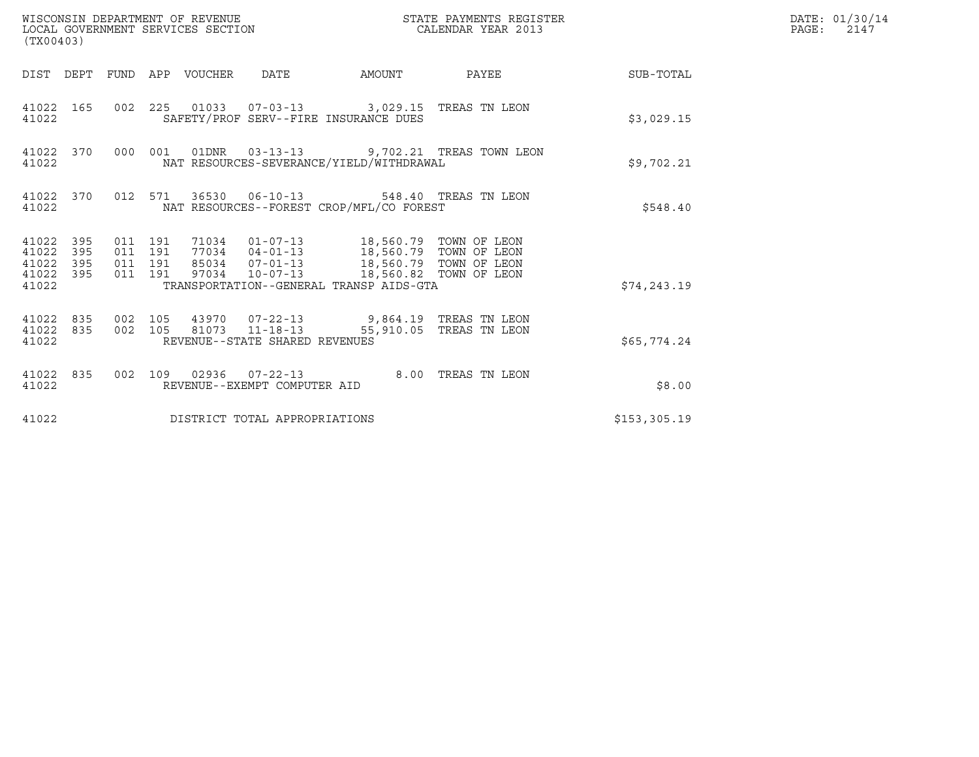| WISCONSIN DEPARTMENT OF REVENUE<br>LOCAL GOVERNMENT SERVICES SECTION<br>(TX00403) |     |                    |                    |                                 |                                                          |                                                                                                                                                                                                                         | STATE PAYMENTS REGISTER<br>CALENDAR YEAR 2013             |                        | DATE: 01/30/14<br>PAGE:<br>2147 |
|-----------------------------------------------------------------------------------|-----|--------------------|--------------------|---------------------------------|----------------------------------------------------------|-------------------------------------------------------------------------------------------------------------------------------------------------------------------------------------------------------------------------|-----------------------------------------------------------|------------------------|---------------------------------|
|                                                                                   |     |                    |                    | DIST DEPT FUND APP VOUCHER DATE |                                                          |                                                                                                                                                                                                                         |                                                           | AMOUNT PAYEE SUB-TOTAL |                                 |
| 41022 165<br>41022                                                                |     |                    |                    |                                 |                                                          | 002 225 01033 07-03-13 3,029.15 TREAS TN LEON<br>SAFETY/PROF SERV--FIRE INSURANCE DUES                                                                                                                                  |                                                           | \$3,029.15             |                                 |
| 41022                                                                             |     |                    |                    |                                 |                                                          | NAT RESOURCES-SEVERANCE/YIELD/WITHDRAWAL                                                                                                                                                                                | 41022 370 000 001 01DNR 03-13-13 9,702.21 TREAS TOWN LEON | \$9,702.21             |                                 |
| 41022                                                                             |     |                    |                    |                                 |                                                          | 41022 370 012 571 36530 06-10-13 548.40 TREAS TN LEON<br>NAT RESOURCES--FOREST CROP/MFL/CO FOREST                                                                                                                       |                                                           | \$548.40               |                                 |
| 41022 395<br>41022<br>41022 395<br>41022 395<br>41022                             | 395 | 011 191<br>011 191 | 011 191<br>011 191 |                                 |                                                          | 71034  01-07-13  18,560.79  TOWN OF LEON<br>77034  04-01-13  18,560.79  TOWN OF LEON<br>85034  07-01-13  18,560.79  TOWN OF LEON<br>97034  10-07-13  18,560.82  TOWN OF LEON<br>TRANSPORTATION--GENERAL TRANSP AIDS-GTA |                                                           | \$74, 243.19           |                                 |
| 41022 835<br>41022                                                                |     |                    |                    |                                 | 002 105 81073 11-18-13<br>REVENUE--STATE SHARED REVENUES | 41022 835 002 105 43970 07-22-13 9,864.19 TREAS TN LEON                                                                                                                                                                 | 55,910.05 TREAS TN LEON                                   | \$65,774.24            |                                 |
| 41022 835<br>41022                                                                |     |                    |                    |                                 | REVENUE--EXEMPT COMPUTER AID                             | 002 109 02936 07-22-13 8.00 TREAS TN LEON                                                                                                                                                                               |                                                           | \$8.00                 |                                 |
| 41022                                                                             |     |                    |                    |                                 | DISTRICT TOTAL APPROPRIATIONS                            |                                                                                                                                                                                                                         |                                                           | \$153, 305.19          |                                 |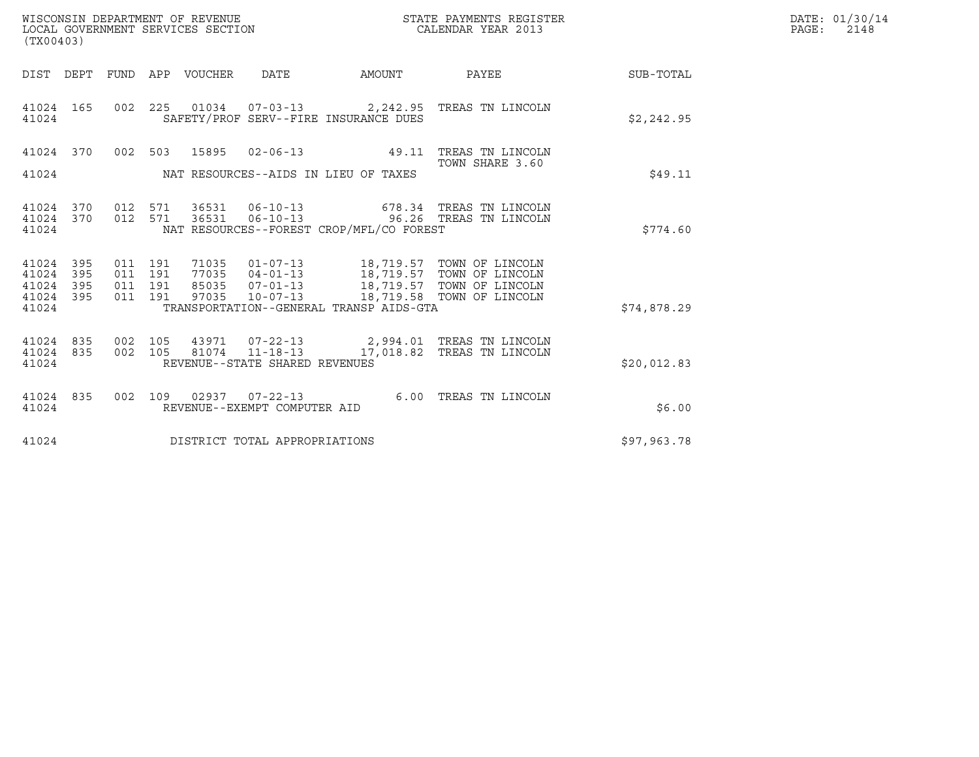| WISCONSIN DEPARTMENT OF REVENUE<br>LOCAL GOVERNMENT SERVICES SECTION | STATE PAYMENTS REGISTER<br>CALENDAR YEAR 2013 | DATE: 01/30/14<br>PAGE:<br>2148 |
|----------------------------------------------------------------------|-----------------------------------------------|---------------------------------|

| (TX00403)                                                 |  |  |  |  |                                |                                            |                                                                                                       |             | DATE: 01/30/14<br>$\mathtt{PAGE}$ :<br>2148 |
|-----------------------------------------------------------|--|--|--|--|--------------------------------|--------------------------------------------|-------------------------------------------------------------------------------------------------------|-------------|---------------------------------------------|
|                                                           |  |  |  |  |                                |                                            | DIST DEPT FUND APP VOUCHER DATE AMOUNT PAYEE                                                          | SUB-TOTAL   |                                             |
| 41024 165<br>41024                                        |  |  |  |  |                                | SAFETY/PROF SERV--FIRE INSURANCE DUES      | 002 225 01034 07-03-13 2,242.95 TREAS TN LINCOLN                                                      | \$2,242.95  |                                             |
|                                                           |  |  |  |  |                                |                                            | 41024 370 002 503 15895 02-06-13 49.11 TREAS TN LINCOLN<br>TOWN SHARE 3.60                            |             |                                             |
|                                                           |  |  |  |  |                                | 41024 NAT RESOURCES--AIDS IN LIEU OF TAXES |                                                                                                       | \$49.11     |                                             |
| 41024 370<br>41024 370<br>41024                           |  |  |  |  |                                | NAT RESOURCES--FOREST CROP/MFL/CO FOREST   | 012 571 36531 06-10-13 678.34 TREAS TN LINCOLN<br>012 571 36531 06-10-13 96.26 TREAS TN LINCOLN       | \$774.60    |                                             |
| 41024 395<br>41024 395<br>41024 395<br>41024 395<br>41024 |  |  |  |  |                                | TRANSPORTATION--GENERAL TRANSP AIDS-GTA    |                                                                                                       | \$74,878.29 |                                             |
| 41024 835<br>41024 835<br>41024                           |  |  |  |  | REVENUE--STATE SHARED REVENUES |                                            | 002 105 43971 07-22-13 2,994.01 TREAS TN LINCOLN<br>002 105 81074 11-18-13 17,018.82 TREAS TN LINCOLN | \$20,012.83 |                                             |
| 41024                                                     |  |  |  |  | REVENUE--EXEMPT COMPUTER AID   |                                            | 41024 835 002 109 02937 07-22-13 6.00 TREAS TN LINCOLN 41024                                          | \$6.00      |                                             |
| 41024                                                     |  |  |  |  | DISTRICT TOTAL APPROPRIATIONS  |                                            |                                                                                                       | \$97,963.78 |                                             |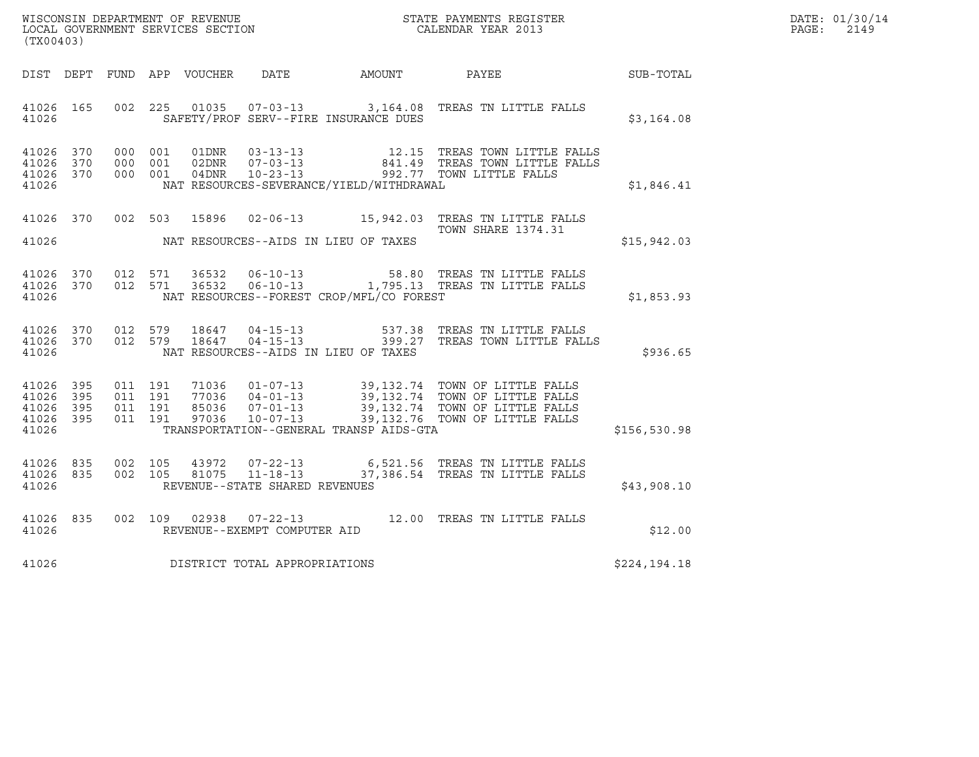| DATE: | 01/30/14 |
|-------|----------|
| PAGE: | 2149     |

| (TX00403)                                                 | WISCONSIN DEPARTMENT OF REVENUE<br>LOCAL GOVERNMENT SERVICES SECTION<br>CALENDAR YEAR 2013 |         |  |                                |                                              |                                                                                                                                                                  |               | DATE: 01/30/14<br>PAGE: 2149 |
|-----------------------------------------------------------|--------------------------------------------------------------------------------------------|---------|--|--------------------------------|----------------------------------------------|------------------------------------------------------------------------------------------------------------------------------------------------------------------|---------------|------------------------------|
|                                                           |                                                                                            |         |  |                                | DIST DEPT FUND APP VOUCHER DATE AMOUNT PAYEE | SUB-TOTAL                                                                                                                                                        |               |                              |
| 41026 165<br>41026                                        |                                                                                            |         |  |                                | SAFETY/PROF SERV--FIRE INSURANCE DUES        | 002 225 01035 07-03-13 3,164.08 TREAS TN LITTLE FALLS                                                                                                            | \$3,164.08    |                              |
| 41026 370<br>41026 370<br>41026 370<br>41026              |                                                                                            |         |  |                                | NAT RESOURCES-SEVERANCE/YIELD/WITHDRAWAL     | 000 001 01DNR 03-13-13 12.15 TREAS TOWN LITTLE FALLS<br>000 001 02DNR 07-03-13 841.49 TREAS TOWN LITTLE FALLS<br>000 001 04DNR 10-23-13 992.77 TOWN LITTLE FALLS | \$1,846.41    |                              |
|                                                           |                                                                                            |         |  |                                | 41026 MAT RESOURCES--AIDS IN LIEU OF TAXES   | 41026 370 002 503 15896 02-06-13 15,942.03 TREAS TN LITTLE FALLS<br>TOWN SHARE 1374.31                                                                           | \$15,942.03   |                              |
| 41026 370<br>41026 370<br>41026                           |                                                                                            |         |  |                                | NAT RESOURCES--FOREST CROP/MFL/CO FOREST     | 012 571 36532 06-10-13 58.80 TREAS TN LITTLE FALLS<br>012 571 36532 06-10-13 1,795.13 TREAS TN LITTLE FALLS                                                      | \$1,853.93    |                              |
| 41026 370<br>41026 370<br>41026                           |                                                                                            |         |  |                                | NAT RESOURCES--AIDS IN LIEU OF TAXES         | 012 579 18647 04-15-13 537.38 TREAS TN LITTLE FALLS<br>012 579 18647 04-15-13 399.27 TREAS TOWN LITTLE FALLS                                                     | \$936.65      |                              |
| 41026 395<br>41026 395<br>41026 395<br>41026 395<br>41026 |                                                                                            | 011 191 |  |                                | TRANSPORTATION--GENERAL TRANSP AIDS-GTA      |                                                                                                                                                                  | \$156, 530.98 |                              |
| 41026<br>835<br>41026 835<br>41026                        |                                                                                            |         |  | REVENUE--STATE SHARED REVENUES |                                              | 002 105 43972 07-22-13 6,521.56 TREAS TN LITTLE FALLS<br>002 105 81075 11-18-13 37,386.54 TREAS TN LITTLE FALLS                                                  | \$43,908.10   |                              |
| 835<br>41026<br>41026                                     |                                                                                            |         |  | REVENUE--EXEMPT COMPUTER AID   |                                              | 002 109 02938 07-22-13 12.00 TREAS TN LITTLE FALLS                                                                                                               | \$12.00       |                              |
| 41026                                                     |                                                                                            |         |  | DISTRICT TOTAL APPROPRIATIONS  |                                              |                                                                                                                                                                  | \$224,194.18  |                              |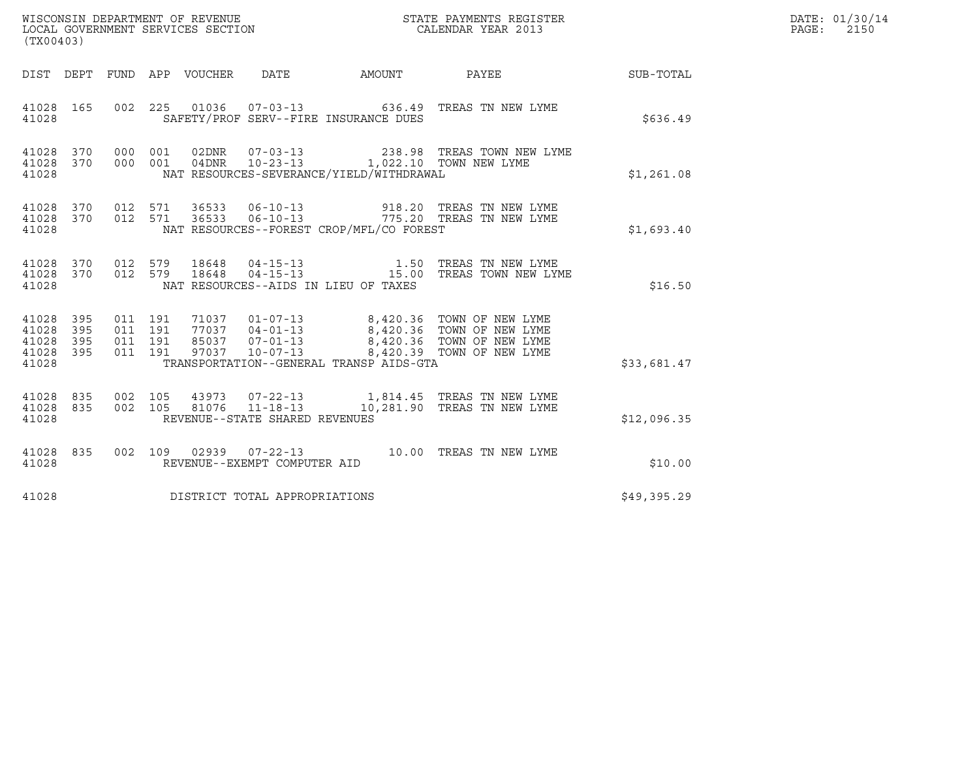|                                               | WISCONSIN DEPARTMENT OF REVENUE<br>LOCAL GOVERNMENT SERVICES SECTION<br>(TX00403) |                                          |  |                  |                                  |                                                                             | STATE PAYMENTS REGISTER<br>CALENDAR YEAR 2013                                                |             | DATE: 01/30/14<br>$\mathtt{PAGE:}$<br>2150 |
|-----------------------------------------------|-----------------------------------------------------------------------------------|------------------------------------------|--|------------------|----------------------------------|-----------------------------------------------------------------------------|----------------------------------------------------------------------------------------------|-------------|--------------------------------------------|
| DIST DEPT                                     |                                                                                   |                                          |  | FUND APP VOUCHER | DATE                             |                                                                             | AMOUNT PAYEE SUB-TOTAL                                                                       |             |                                            |
| 41028 165<br>41028                            |                                                                                   |                                          |  |                  |                                  | SAFETY/PROF SERV--FIRE INSURANCE DUES                                       | 002 225 01036 07-03-13 636.49 TREAS TN NEW LYME                                              | \$636.49    |                                            |
| 41028<br>41028                                | 41028 370<br>370                                                                  | 000 001<br>000 001                       |  | 02DNR<br>04DNR   | $07 - 03 - 13$                   | 10-23-13 1,022.10 TOWN NEW LYME<br>NAT RESOURCES-SEVERANCE/YIELD/WITHDRAWAL | 238.98 TREAS TOWN NEW LYME                                                                   | \$1,261.08  |                                            |
| 41028 370<br>41028<br>41028                   | 370                                                                               | 012 571<br>012 571                       |  | 36533            | 36533 06-10-13<br>$06 - 10 - 13$ | NAT RESOURCES--FOREST CROP/MFL/CO FOREST                                    | 918.20 TREAS TN NEW LYME<br>775.20 TREAS TN NEW LYME                                         | \$1,693.40  |                                            |
| 41028 370<br>41028<br>41028                   | 370                                                                               | 012 579<br>012 579                       |  | 18648<br>18648   |                                  | NAT RESOURCES--AIDS IN LIEU OF TAXES                                        |                                                                                              | \$16.50     |                                            |
| 41028 395<br>41028<br>41028<br>41028<br>41028 | 395<br>395<br>395                                                                 | 011 191<br>011 191<br>011 191<br>011 191 |  |                  |                                  | TRANSPORTATION--GENERAL TRANSP AIDS-GTA                                     |                                                                                              | \$33,681.47 |                                            |
| 41028<br>41028<br>41028                       | 835<br>835                                                                        | 002 105<br>002 105                       |  |                  | REVENUE--STATE SHARED REVENUES   |                                                                             | 43973  07-22-13  1,814.45  TREAS TN NEW LYME<br>81076  11-18-13  10,281.90 TREAS TN NEW LYME | \$12,096.35 |                                            |
| 41028 835<br>41028                            |                                                                                   |                                          |  |                  | REVENUE--EXEMPT COMPUTER AID     |                                                                             | 002 109 02939 07-22-13 10.00 TREAS TN NEW LYME                                               | \$10.00     |                                            |
| 41028                                         |                                                                                   |                                          |  |                  | DISTRICT TOTAL APPROPRIATIONS    |                                                                             |                                                                                              | \$49,395.29 |                                            |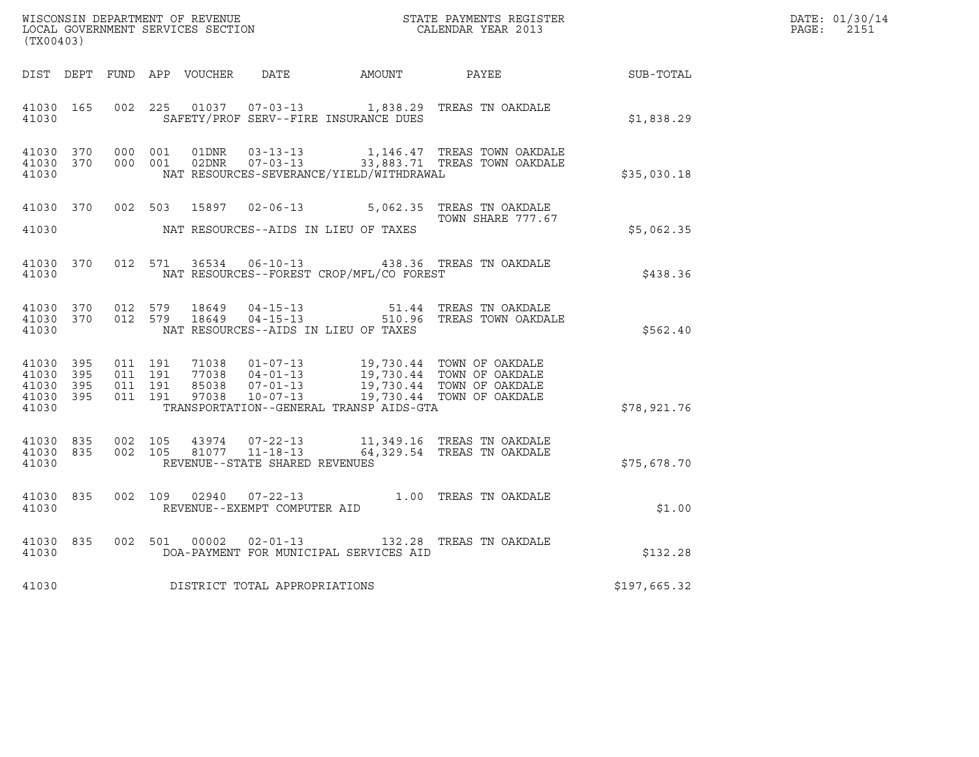| DATE: | 01/30/14 |
|-------|----------|
| PAGE: | 2151     |

| WISCONSIN DEPARTMENT OF REVENUE<br>LOCAL GOVERNMENT SERVICES SECTION<br>CALENDAR YEAR 2013<br>(TX00403) |                        |                                          |         |       |                                                  |                                          |                                                                                                                                                                                          |              | DATE: 01/30/14<br>$\mathtt{PAGE:}$<br>2151 |
|---------------------------------------------------------------------------------------------------------|------------------------|------------------------------------------|---------|-------|--------------------------------------------------|------------------------------------------|------------------------------------------------------------------------------------------------------------------------------------------------------------------------------------------|--------------|--------------------------------------------|
|                                                                                                         |                        |                                          |         |       |                                                  |                                          | DIST DEPT FUND APP VOUCHER DATE AMOUNT PAYEE PAYER SUB-TOTAL                                                                                                                             |              |                                            |
| 41030                                                                                                   | 41030 165              | 002 225                                  |         |       |                                                  | SAFETY/PROF SERV--FIRE INSURANCE DUES    | 01037  07-03-13   1,838.29   TREAS TN OAKDALE                                                                                                                                            | \$1,838.29   |                                            |
| 41030                                                                                                   | 41030 370<br>41030 370 | 000 001                                  | 000 001 | 01DNR |                                                  | NAT RESOURCES-SEVERANCE/YIELD/WITHDRAWAL | 03-13-13 1,146.47 TREAS TOWN OAKDALE<br>02DNR  07-03-13  33,883.71 TREAS TOWN OAKDALE                                                                                                    | \$35,030.18  |                                            |
| 41030                                                                                                   |                        |                                          |         |       |                                                  | NAT RESOURCES--AIDS IN LIEU OF TAXES     | 41030 370 002 503 15897 02-06-13 5,062.35 TREAS TN OAKDALE<br>TOWN SHARE 777.67                                                                                                          | \$5,062.35   |                                            |
| 41030                                                                                                   |                        |                                          |         |       |                                                  | NAT RESOURCES--FOREST CROP/MFL/CO FOREST | 41030 370 012 571 36534 06-10-13 438.36 TREAS TN OAKDALE                                                                                                                                 | \$438.36     |                                            |
| 41030                                                                                                   | 41030 370<br>41030 370 |                                          |         |       |                                                  | NAT RESOURCES--AIDS IN LIEU OF TAXES     | 012 579 18649 04-15-13 51.44 TREAS TN OAKDALE<br>012 579 18649 04-15-13 510.96 TREAS TOWN OAKDALE                                                                                        | \$562.40     |                                            |
| 41030 395<br>41030 395<br>41030 395<br>41030                                                            | 41030 395              | 011 191<br>011 191<br>011 191<br>011 191 |         |       |                                                  | TRANSPORTATION--GENERAL TRANSP AIDS-GTA  | 71038  01-07-13  19,730.44  TOWN OF OAKDALE<br>77038  04-01-13  19,730.44  TOWN OF OAKDALE<br>85038  07-01-13  19,730.44  TOWN OF OAKDALE<br>97038  10-07-13  19,730.44  TOWN OF OAKDALE | \$78,921.76  |                                            |
| 41030 835<br>41030                                                                                      | 41030 835              | 002 105<br>002 105                       |         |       | 81077 11-18-13<br>REVENUE--STATE SHARED REVENUES |                                          | 43974  07-22-13   11,349.16   TREAS TN OAKDALE<br>64,329.54 TREAS TN OAKDALE                                                                                                             | \$75,678.70  |                                            |
| 41030                                                                                                   | 41030 835              |                                          |         |       | REVENUE--EXEMPT COMPUTER AID                     |                                          | 002 109 02940 07-22-13 1.00 TREAS TN OAKDALE                                                                                                                                             | \$1.00       |                                            |
| 41030                                                                                                   | 41030 835              |                                          |         |       |                                                  | DOA-PAYMENT FOR MUNICIPAL SERVICES AID   | 002 501 00002 02-01-13 132.28 TREAS TN OAKDALE                                                                                                                                           | \$132.28     |                                            |
| 41030                                                                                                   |                        |                                          |         |       | DISTRICT TOTAL APPROPRIATIONS                    |                                          |                                                                                                                                                                                          | \$197,665.32 |                                            |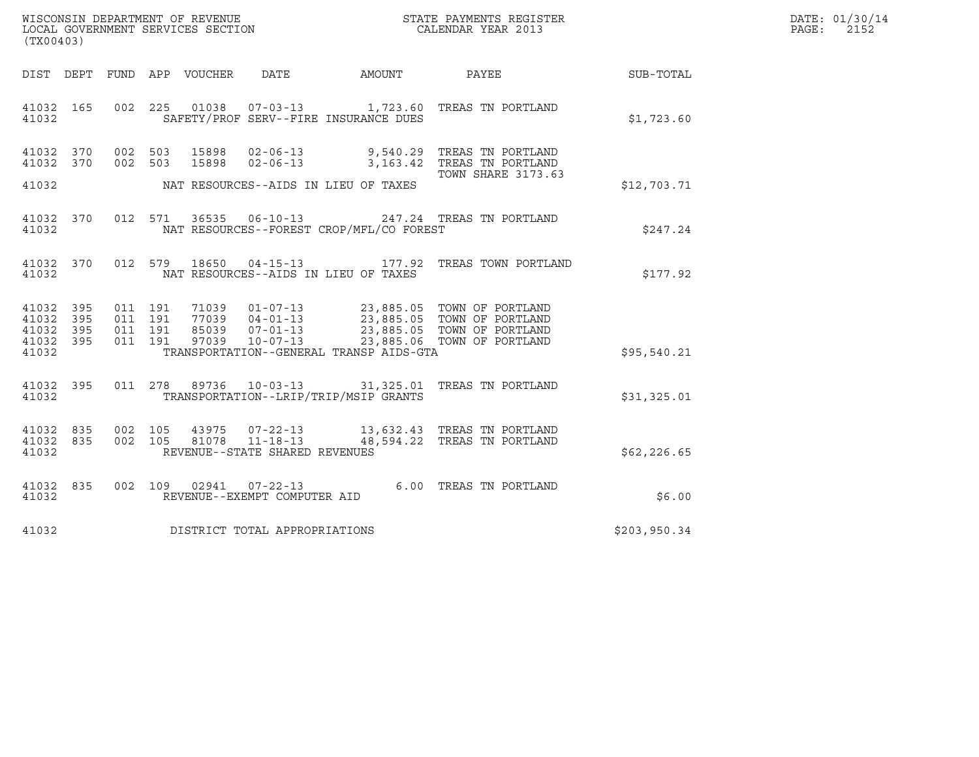| WISCONSIN DEPARTMENT OF REVENUE<br>LOCAL GOVERNMENT SERVICES SECTION<br>(TX00403) | STATE PAYMENTS REGISTER<br>CALENDAR YEAR 2013 | DATE: 01/30/14<br>PAGE:<br>2152 |
|-----------------------------------------------------------------------------------|-----------------------------------------------|---------------------------------|

| (TX00403)                            |                   |                    |                       |                                                        |                                          |                                                                                                                                     |              |
|--------------------------------------|-------------------|--------------------|-----------------------|--------------------------------------------------------|------------------------------------------|-------------------------------------------------------------------------------------------------------------------------------------|--------------|
| DIST DEPT                            |                   |                    | FUND APP VOUCHER DATE |                                                        | AMOUNT                                   | PAYEE                                                                                                                               | SUB-TOTAL    |
| 41032 165<br>41032                   |                   |                    |                       |                                                        | SAFETY/PROF SERV--FIRE INSURANCE DUES    | 002 225 01038 07-03-13 1,723.60 TREAS TN PORTLAND                                                                                   | \$1,723.60   |
| 41032<br>41032                       | 370<br>370        |                    |                       |                                                        |                                          | 002 503 15898 02-06-13 9,540.29 TREAS TN PORTLAND<br>002 503 15898 02-06-13 3,163.42 TREAS TN PORTLAND<br><b>TOWN SHARE 3173.63</b> |              |
| 41032                                |                   |                    |                       |                                                        | NAT RESOURCES--AIDS IN LIEU OF TAXES     |                                                                                                                                     | \$12,703.71  |
| 41032 370<br>41032                   |                   |                    |                       | 012 571 36535 06-10-13                                 | NAT RESOURCES--FOREST CROP/MFL/CO FOREST | 247.24 TREAS TN PORTLAND                                                                                                            | \$247.24     |
| 41032<br>41032                       | 370               | 012 579            |                       |                                                        | NAT RESOURCES--AIDS IN LIEU OF TAXES     | 18650  04-15-13   177.92   TREAS TOWN PORTLAND                                                                                      | \$177.92     |
| 41032 395<br>41032<br>41032<br>41032 | 395<br>395<br>395 | 011 191<br>011 191 |                       |                                                        |                                          | 011 191 71039 01-07-13 23,885.05 TOWN OF PORTLAND<br>011 191 77039 04-01-13 23,885.05 TOWN OF PORTLAND                              |              |
| 41032                                |                   |                    |                       |                                                        | TRANSPORTATION--GENERAL TRANSP AIDS-GTA  |                                                                                                                                     | \$95,540.21  |
| 41032<br>41032                       | 395               |                    |                       |                                                        | TRANSPORTATION--LRIP/TRIP/MSIP GRANTS    | 011 278 89736 10-03-13 31,325.01 TREAS TN PORTLAND                                                                                  | \$31,325.01  |
| 41032 835<br>41032<br>41032          | 835               | 002 105<br>002 105 | 43975                 | REVENUE--STATE SHARED REVENUES                         |                                          | 07-22-13 13,632.43 TREAS TN PORTLAND<br>81078  11-18-13  48,594.22  TREAS TN PORTLAND                                               | \$62, 226.65 |
| 41032<br>41032                       | 835               |                    |                       | 002 109 02941 07-22-13<br>REVENUE--EXEMPT COMPUTER AID |                                          | 6.00 TREAS TN PORTLAND                                                                                                              | \$6.00       |
| 41032                                |                   |                    |                       | DISTRICT TOTAL APPROPRIATIONS                          |                                          |                                                                                                                                     | \$203,950.34 |
|                                      |                   |                    |                       |                                                        |                                          |                                                                                                                                     |              |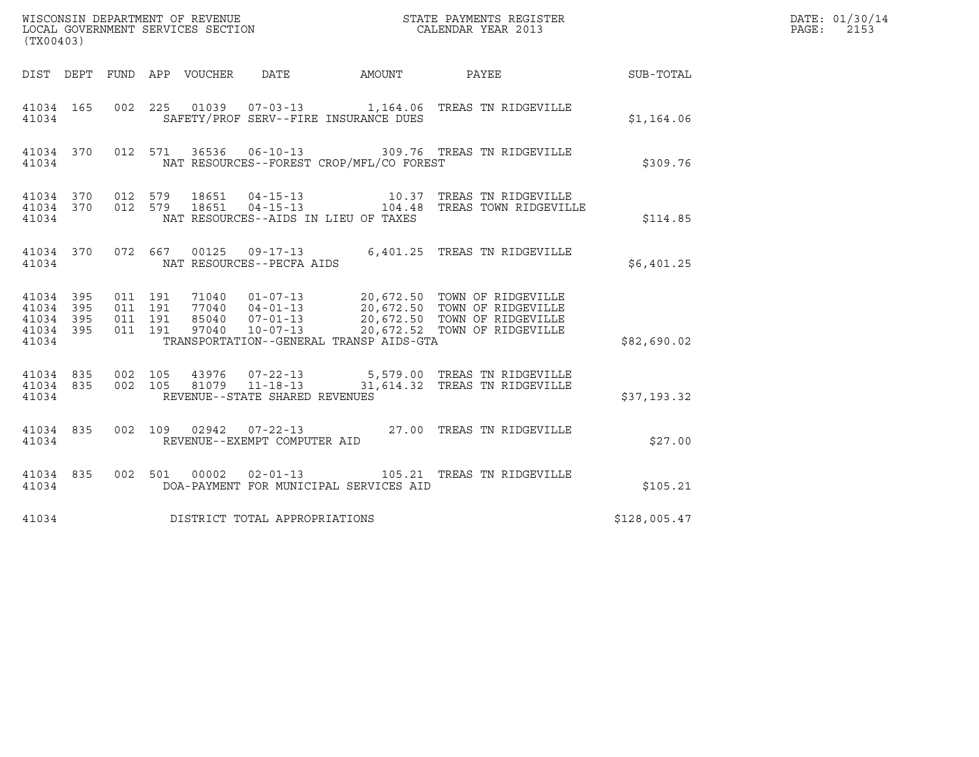| (TX00403)                                                    |                                                                                                                                               |                                                                                                                                                                                                  |              | DATE: 01/30/14<br>PAGE:<br>2153 |
|--------------------------------------------------------------|-----------------------------------------------------------------------------------------------------------------------------------------------|--------------------------------------------------------------------------------------------------------------------------------------------------------------------------------------------------|--------------|---------------------------------|
|                                                              | DIST DEPT FUND APP VOUCHER<br>DATE                                                                                                            | AMOUNT PAYEE                                                                                                                                                                                     | SUB-TOTAL    |                                 |
| 41034 165<br>41034                                           | 002 225 01039 07-03-13 1,164.06 TREAS TN RIDGEVILLE<br>SAFETY/PROF SERV--FIRE INSURANCE DUES                                                  |                                                                                                                                                                                                  | \$1,164.06   |                                 |
| 41034 370 012 571<br>41034                                   | NAT RESOURCES--FOREST CROP/MFL/CO FOREST                                                                                                      | 36536  06-10-13  309.76  TREAS TN RIDGEVILLE                                                                                                                                                     | \$309.76     |                                 |
| 41034 370 012 579<br>41034 370<br>41034                      | 012 579<br>NAT RESOURCES--AIDS IN LIEU OF TAXES                                                                                               |                                                                                                                                                                                                  | \$114.85     |                                 |
| 41034 370<br>41034                                           | 072 667 00125 09-17-13 6,401.25 TREAS TN RIDGEVILLE<br>NAT RESOURCES--PECFA AIDS                                                              |                                                                                                                                                                                                  | \$6,401.25   |                                 |
| 41034 395<br>41034<br>395<br>41034 395<br>41034 395<br>41034 | 011 191<br>011 191<br>011 191<br>011 191<br>TRANSPORTATION--GENERAL TRANSP AIDS-GTA                                                           | 71040  01-07-13  20,672.50 TOWN OF RIDGEVILLE<br>77040  04-01-13  20,672.50 TOWN OF RIDGEVILLE<br>85040  07-01-13  20,672.50 TOWN OF RIDGEVILLE<br>97040  10-07-13  20,672.52 TOWN OF RIDGEVILLE | \$82,690.02  |                                 |
| 41034 835<br>41034 835<br>41034                              | 002 105 43976 07-22-13 5,579.00 TREAS TN RIDGEVILLE<br>002 105 81079 11-18-13 31,614.32 TREAS TN RIDGEVILLE<br>REVENUE--STATE SHARED REVENUES |                                                                                                                                                                                                  | \$37,193.32  |                                 |
| 41034 835<br>41034                                           | 002 109 02942 07-22-13 27.00 TREAS TN RIDGEVILLE<br>REVENUE--EXEMPT COMPUTER AID                                                              |                                                                                                                                                                                                  | \$27.00      |                                 |
| 41034 835<br>41034                                           | 002 501 00002<br>$02 - 01 - 13$<br>DOA-PAYMENT FOR MUNICIPAL SERVICES AID                                                                     | 105.21 TREAS TN RIDGEVILLE                                                                                                                                                                       | \$105.21     |                                 |
| 41034                                                        | DISTRICT TOTAL APPROPRIATIONS                                                                                                                 |                                                                                                                                                                                                  | \$128,005.47 |                                 |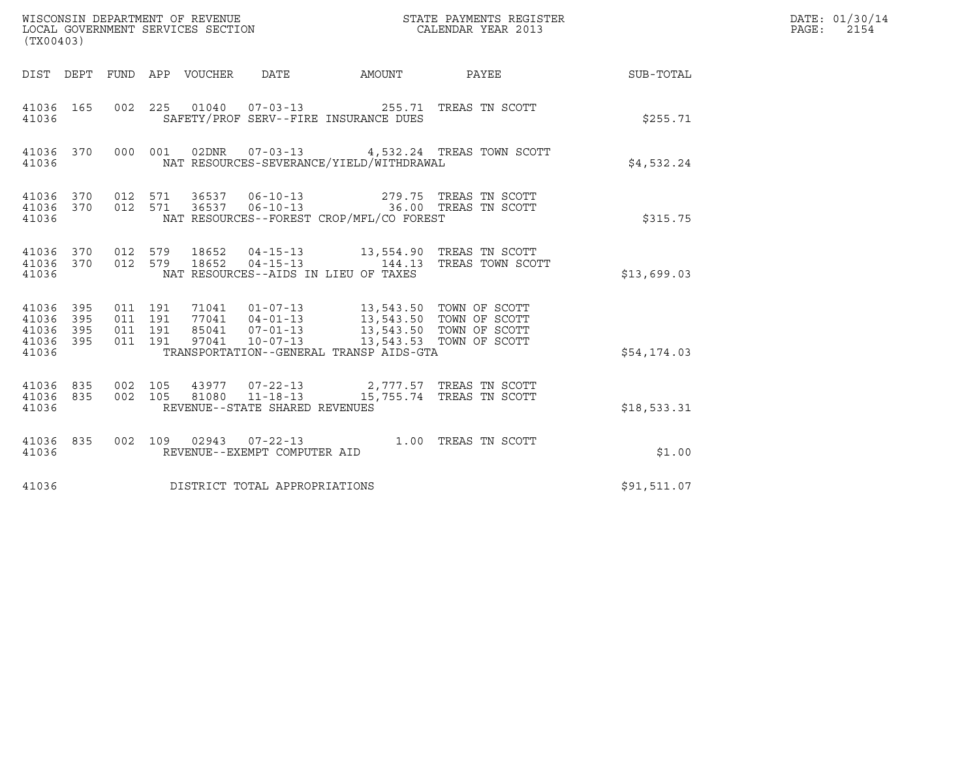| WISCONSIN DEPARTMENT OF REVENUE<br>LOCAL GOVERNMENT SERVICES SECTION<br>STATE PAYMENTS REGISTER<br>CALENDAR YEAR 2013<br>(TX00403) |                          |                                          |  |                                 |                                |                                                                                                                                                                                                                                                     |                                                                                                                    |                        | DATE: 01/30/14<br>PAGE: 2154 |
|------------------------------------------------------------------------------------------------------------------------------------|--------------------------|------------------------------------------|--|---------------------------------|--------------------------------|-----------------------------------------------------------------------------------------------------------------------------------------------------------------------------------------------------------------------------------------------------|--------------------------------------------------------------------------------------------------------------------|------------------------|------------------------------|
|                                                                                                                                    |                          |                                          |  | DIST DEPT FUND APP VOUCHER DATE |                                |                                                                                                                                                                                                                                                     |                                                                                                                    | AMOUNT PAYEE SUB-TOTAL |                              |
| 41036 165<br>41036                                                                                                                 |                          |                                          |  |                                 |                                | 002 225 01040 07-03-13 255.71 TREAS TN SCOTT<br>SAFETY/PROF SERV--FIRE INSURANCE DUES                                                                                                                                                               |                                                                                                                    | \$255.71               |                              |
| 41036 370<br>41036                                                                                                                 |                          |                                          |  |                                 |                                | NAT RESOURCES-SEVERANCE/YIELD/WITHDRAWAL                                                                                                                                                                                                            | 000 001 02DNR 07-03-13 4,532.24 TREAS TOWN SCOTT                                                                   | \$4,532.24             |                              |
| 41036                                                                                                                              |                          |                                          |  |                                 |                                | $\begin{array}{cccccccc} 41036 & 370 & 012 & 571 & 36537 & 06-10-13 & & & 279.75 & \text{TREAS TN SCOTT} \\ 41036 & 370 & 012 & 571 & 36537 & 06-10-13 & & & 36.00 & \text{TREAS TN SCOTT} \end{array}$<br>NAT RESOURCES--FOREST CROP/MFL/CO FOREST |                                                                                                                    | \$315.75               |                              |
| 41036                                                                                                                              |                          |                                          |  |                                 |                                | NAT RESOURCES--AIDS IN LIEU OF TAXES                                                                                                                                                                                                                | 41036 370 012 579 18652 04-15-13 13,554.90 TREAS TN SCOTT 41036 370 012 579 18652 04-15-13 144.13 TREAS TOWN SCOTT | \$13,699.03            |                              |
| 41036<br>41036<br>41036<br>41036<br>41036                                                                                          | 395<br>395<br>395<br>395 | 011 191<br>011 191<br>011 191<br>011 191 |  |                                 |                                | TRANSPORTATION--GENERAL TRANSP AIDS-GTA                                                                                                                                                                                                             |                                                                                                                    | \$54,174.03            |                              |
| 41036<br>41036 835<br>41036                                                                                                        | 835                      | 002 105                                  |  |                                 | REVENUE--STATE SHARED REVENUES | 43977  07-22-13  2,777.57  TREAS TN SCOTT<br>002  105  81080  11-18-13  15,755.74  TREAS TN SCOTT                                                                                                                                                   |                                                                                                                    | \$18,533.31            |                              |
| 41036 835<br>41036                                                                                                                 |                          |                                          |  |                                 | REVENUE--EXEMPT COMPUTER AID   | 002 109 02943 07-22-13 1.00 TREAS TN SCOTT                                                                                                                                                                                                          |                                                                                                                    | \$1.00                 |                              |
| 41036                                                                                                                              |                          |                                          |  |                                 | DISTRICT TOTAL APPROPRIATIONS  |                                                                                                                                                                                                                                                     |                                                                                                                    | \$91,511.07            |                              |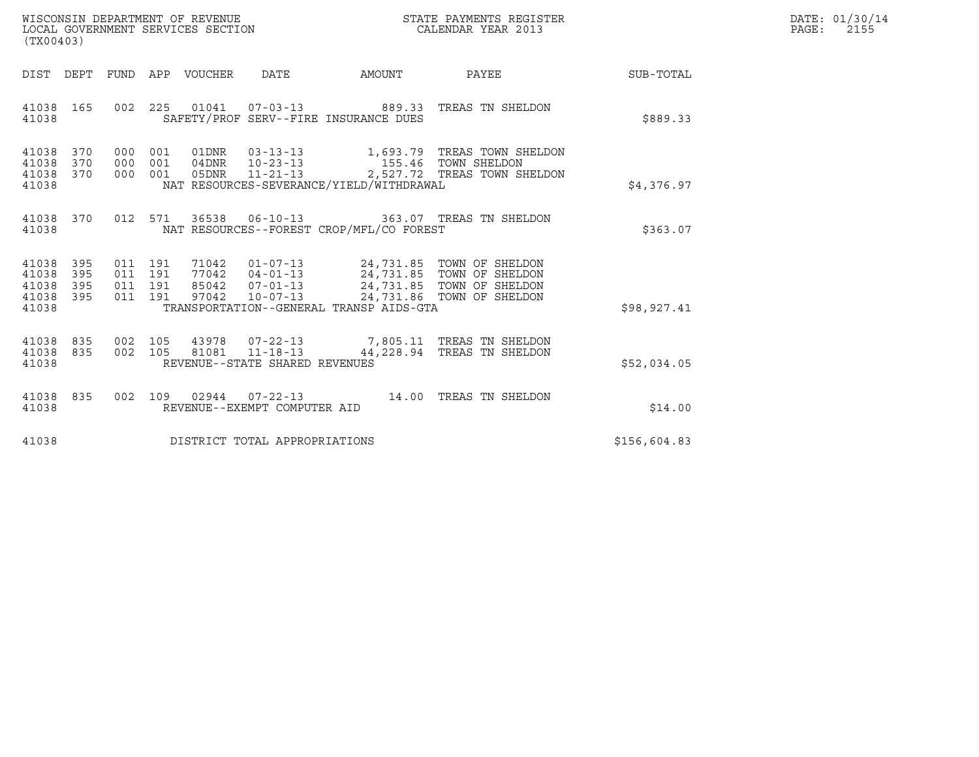| WISCONSIN DEPARTMENT OF REVENUE   | STATE PAYMENTS REGISTER | DATE: 01/30/14 |
|-----------------------------------|-------------------------|----------------|
| LOCAL GOVERNMENT SERVICES SECTION | CALENDAR YEAR 2013      | 2155<br>PAGE:  |

| (TX00403)                                                    |                                                                                                                                                                                                                                                         |                                                        | DATE: 01/30/14<br>$\mathtt{PAGE}$ :<br>2155 |
|--------------------------------------------------------------|---------------------------------------------------------------------------------------------------------------------------------------------------------------------------------------------------------------------------------------------------------|--------------------------------------------------------|---------------------------------------------|
|                                                              |                                                                                                                                                                                                                                                         | DIST DEPT FUND APP VOUCHER DATE AMOUNT PAYEE SUB-TOTAL |                                             |
| 41038 165<br>41038                                           | 002 225 01041 07-03-13 889.33 TREAS TN SHELDON<br>SAFETY/PROF SERV--FIRE INSURANCE DUES                                                                                                                                                                 | \$889.33                                               |                                             |
| 41038 370<br>41038<br>370<br>41038 370<br>41038              | 000 001 01DNR 03-13-13 1,693.79 TREAS TOWN SHELDON<br>000 001 04DNR 10-23-13 155.46 TOWN SHELDON<br>000 001 05DNR 11-21-13 2,527.72 TREAS TOWN SHELDON<br>NAT RESOURCES-SEVERANCE/YIELD/WITHDRAWAL                                                      | \$4,376.97                                             |                                             |
| 41038 370<br>41038                                           | 012 571 36538 06-10-13 363.07 TREAS TN SHELDON<br>NAT RESOURCES--FOREST CROP/MFL/CO FOREST                                                                                                                                                              | \$363.07                                               |                                             |
| 41038 395<br>41038<br>395<br>41038 395<br>41038 395<br>41038 | 011 191 71042 01-07-13 24,731.85 TOWN OF SHELDON<br>011 191 77042 04-01-13 24,731.85 TOWN OF SHELDON<br>011 191 97042 10-07-13 24,731.85 TOWN OF SHELDON<br>011 191 97042 10-07-13 24,731.86 TOWN OF SHELDON<br>TRANSPORTATION--GENERAL TRANSP AIDS-GTA | \$98,927.41                                            |                                             |
| 41038 835<br>41038 835<br>41038                              | 002 105 43978 07-22-13 7,805.11 TREAS TN SHELDON<br>002 105 81081 11-18-13 44,228.94 TREAS TN SHELDON<br>REVENUE--STATE SHARED REVENUES                                                                                                                 | \$52,034.05                                            |                                             |
| 41038 835<br>41038                                           | 002 109 02944 07-22-13 14.00 TREAS TN SHELDON<br>REVENUE--EXEMPT COMPUTER AID                                                                                                                                                                           | \$14.00                                                |                                             |
| 41038                                                        | DISTRICT TOTAL APPROPRIATIONS                                                                                                                                                                                                                           | \$156,604.83                                           |                                             |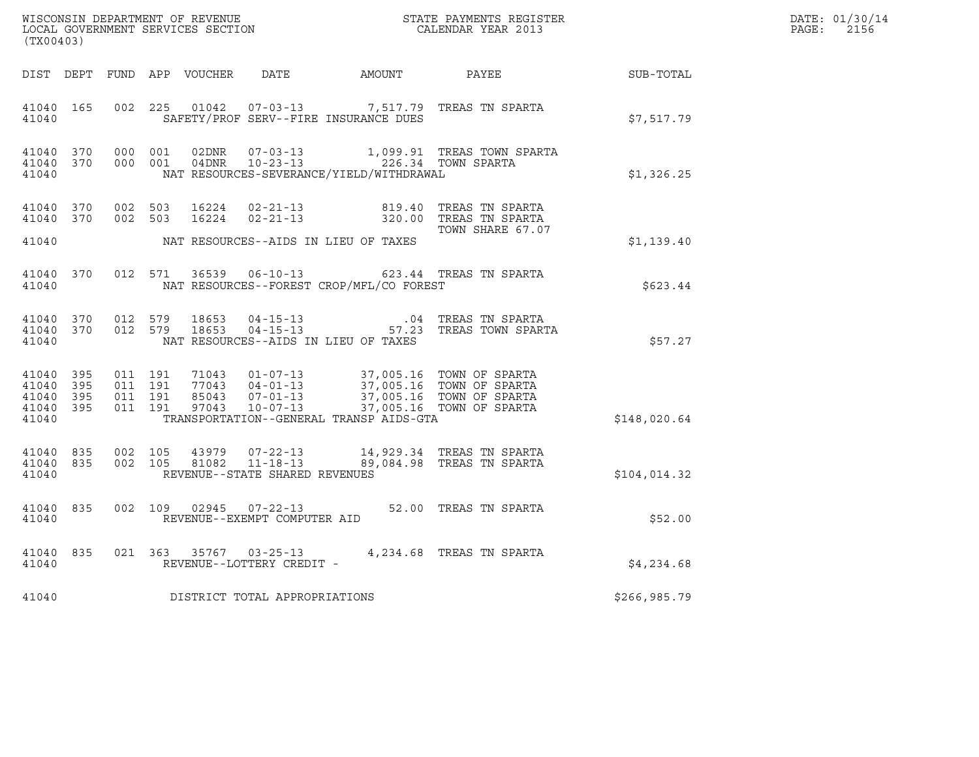| $\tt WISCONSIM DEPARTMENT OF REVENUE$ $\tt WISCONMIN SERS THE RAYMENT S REGISTERLOCAL GOVERNMENT SERVICES SECTION CALENDAR YEAR 2013$<br>(TX00403) |  |           |  |  |                                    |                                                |                                                                                                                                                                                                                                        |              | DATE: 01/30/14<br>PAGE: 2156 |
|----------------------------------------------------------------------------------------------------------------------------------------------------|--|-----------|--|--|------------------------------------|------------------------------------------------|----------------------------------------------------------------------------------------------------------------------------------------------------------------------------------------------------------------------------------------|--------------|------------------------------|
|                                                                                                                                                    |  |           |  |  |                                    |                                                | DIST DEPT FUND APP VOUCHER DATE AMOUNT PAYEE TO SUB-TOTAL                                                                                                                                                                              |              |                              |
|                                                                                                                                                    |  | 4 1 0 4 0 |  |  |                                    | SAFETY/PROF SERV--FIRE INSURANCE DUES          | 41040 165 002 225 01042 07-03-13 7,517.79 TREAS TN SPARTA                                                                                                                                                                              | \$7,517.79   |                              |
| 41040                                                                                                                                              |  |           |  |  |                                    | NAT RESOURCES-SEVERANCE/YIELD/WITHDRAWAL       | 41040 370 000 001 02DNR 07-03-13 1,099.91 TREAS TOWN SPARTA<br>41040 370 000 001 04DNR 10-23-13 226.34 TOWN SPARTA                                                                                                                     | \$1,326.25   |                              |
|                                                                                                                                                    |  |           |  |  |                                    | 41040 NAT RESOURCES--AIDS IN LIEU OF TAXES     | 41040 370 002 503 16224 02-21-13 819.40 TREAS TN SPARTA<br>41040 370 002 503 16224 02-21-13 320.00 TREAS TN SPARTA<br>TOWN SHARE 67.07                                                                                                 | \$1,139.40   |                              |
|                                                                                                                                                    |  |           |  |  |                                    | 41040 NAT RESOURCES--FOREST CROP/MFL/CO FOREST | 41040 370 012 571 36539 06-10-13 623.44 TREAS TN SPARTA                                                                                                                                                                                | \$623.44     |                              |
| 41040                                                                                                                                              |  |           |  |  |                                    | NAT RESOURCES--AIDS IN LIEU OF TAXES           | $\begin{array}{cccccccc} 41040& 370& 012& 579& 18653& 04-15-13& .04 & \text{TREAS TN SPARTA}\\ 41040& 370& 012& 579& 18653& 04-15-13& .57.23 & \text{TREAS TOWN SPARTA} \end{array}$                                                   | \$57.27      |                              |
| 41040                                                                                                                                              |  |           |  |  |                                    | TRANSPORTATION--GENERAL TRANSP AIDS-GTA        | 41040 395 011 191 71043 01-07-13 37,005.16 TOWN OF SPARTA<br>41040 395 011 191 77043 04-01-13 37,005.16 TOWN OF SPARTA<br>41040 395 011 191 85043 07-01-13 37,005.16 TOWN OF SPARTA<br>41040 395 011 191 97043 10-07-13 37,005.16 TOWN | \$148,020.64 |                              |
| 41040                                                                                                                                              |  |           |  |  | REVENUE--STATE SHARED REVENUES     |                                                | 41040 835 002 105 43979 07-22-13 14,929.34 TREAS TN SPARTA<br>41040 835 002 105 81082 11-18-13 89,084.98 TREAS TN SPARTA                                                                                                               | \$104,014.32 |                              |
|                                                                                                                                                    |  |           |  |  | 41040 REVENUE--EXEMPT COMPUTER AID |                                                | 41040 835 002 109 02945 07-22-13 52.00 TREAS TN SPARTA                                                                                                                                                                                 | \$52.00      |                              |
| 41040                                                                                                                                              |  |           |  |  | REVENUE--LOTTERY CREDIT -          |                                                | 41040 835 021 363 35767 03-25-13 4,234.68 TREAS TN SPARTA                                                                                                                                                                              | \$4,234.68   |                              |
| 41040                                                                                                                                              |  |           |  |  | DISTRICT TOTAL APPROPRIATIONS      |                                                |                                                                                                                                                                                                                                        | \$266,985.79 |                              |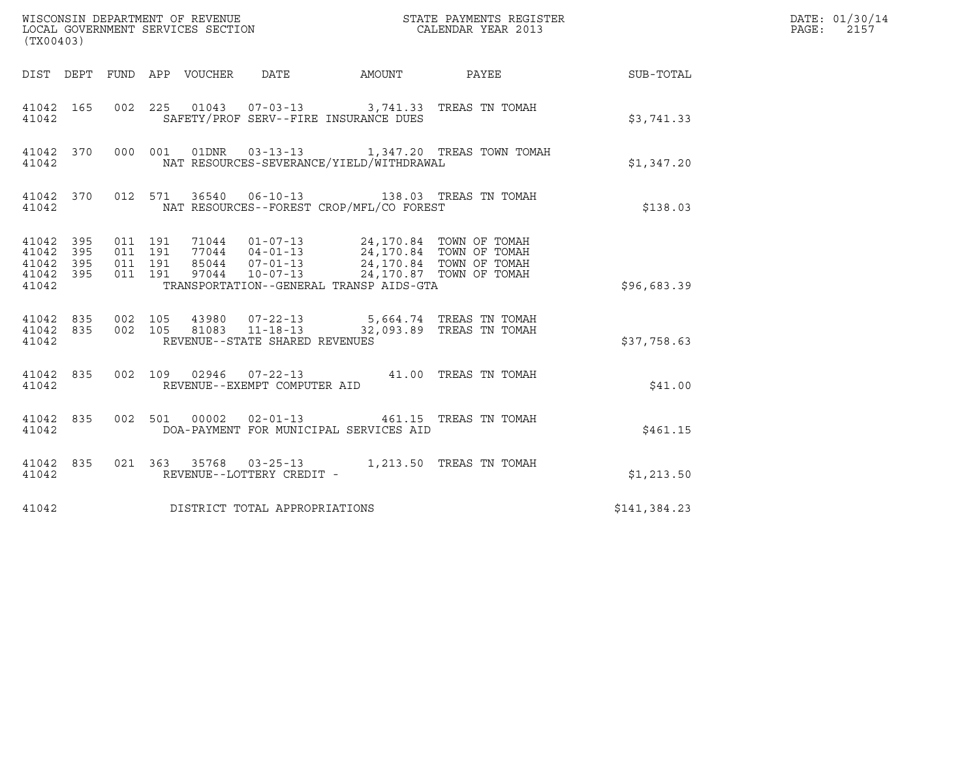| (TX00403)          |  |                                                                                                                                                                                                                                                                                                                                               |              | DATE: 01/30/14<br>PAGE:<br>2157 |
|--------------------|--|-----------------------------------------------------------------------------------------------------------------------------------------------------------------------------------------------------------------------------------------------------------------------------------------------------------------------------------------------|--------------|---------------------------------|
|                    |  | DIST DEPT FUND APP VOUCHER DATE AMOUNT PAYEE SUB-TOTAL                                                                                                                                                                                                                                                                                        |              |                                 |
| 41042              |  | 41042 165 002 225 01043 07-03-13 3,741.33 TREAS TN TOMAH<br>SAFETY/PROF SERV--FIRE INSURANCE DUES                                                                                                                                                                                                                                             | \$3,741.33   |                                 |
| 41042              |  | 41042 370 000 001 01DNR 03-13-13 1,347.20 TREAS TOWN TOMAH<br>NAT RESOURCES-SEVERANCE/YIELD/WITHDRAWAL                                                                                                                                                                                                                                        | \$1,347.20   |                                 |
| 41042              |  | 41042 370 012 571 36540 06-10-13 138.03 TREAS TN TOMAH<br>NAT RESOURCES--FOREST CROP/MFL/CO FOREST                                                                                                                                                                                                                                            | \$138.03     |                                 |
| 41042              |  | $\begin{array}{cccccccc} 41042 & 395 & 011 & 191 & 71044 & 01-07-13 & 24,170.84 & TOWN OF TOMAH \\ 41042 & 395 & 011 & 191 & 77044 & 04-01-13 & 24,170.84 & TOWN OF TOMAH \\ 41042 & 395 & 011 & 191 & 85044 & 07-01-13 & 24,170.84 & TOWN OF TOMAH \\ 41042 & 395 & 011 & 191 & 97044 & 10-07-13$<br>TRANSPORTATION--GENERAL TRANSP AIDS-GTA | \$96,683.39  |                                 |
| 41042              |  | 41042 835 002 105 43980 07-22-13 5,664.74 TREAS TN TOMAH<br>41042 835 002 105 81083 11-18-13 32,093.89 TREAS TN TOMAH<br>REVENUE--STATE SHARED REVENUES                                                                                                                                                                                       | \$37,758.63  |                                 |
| 41042              |  | 41042 835 002 109 02946 07-22-13 41.00 TREAS TN TOMAH<br>REVENUE--EXEMPT COMPUTER AID                                                                                                                                                                                                                                                         | \$41.00      |                                 |
| 41042 835<br>41042 |  | 002 501 00002 02-01-13 461.15 TREAS TN TOMAH<br>DOA-PAYMENT FOR MUNICIPAL SERVICES AID                                                                                                                                                                                                                                                        | \$461.15     |                                 |
| 41042 835<br>41042 |  | 021 363 35768 03-25-13 1,213.50 TREAS TN TOMAH<br>REVENUE--LOTTERY CREDIT -                                                                                                                                                                                                                                                                   | \$1,213.50   |                                 |
| 41042              |  | DISTRICT TOTAL APPROPRIATIONS                                                                                                                                                                                                                                                                                                                 | \$141,384.23 |                                 |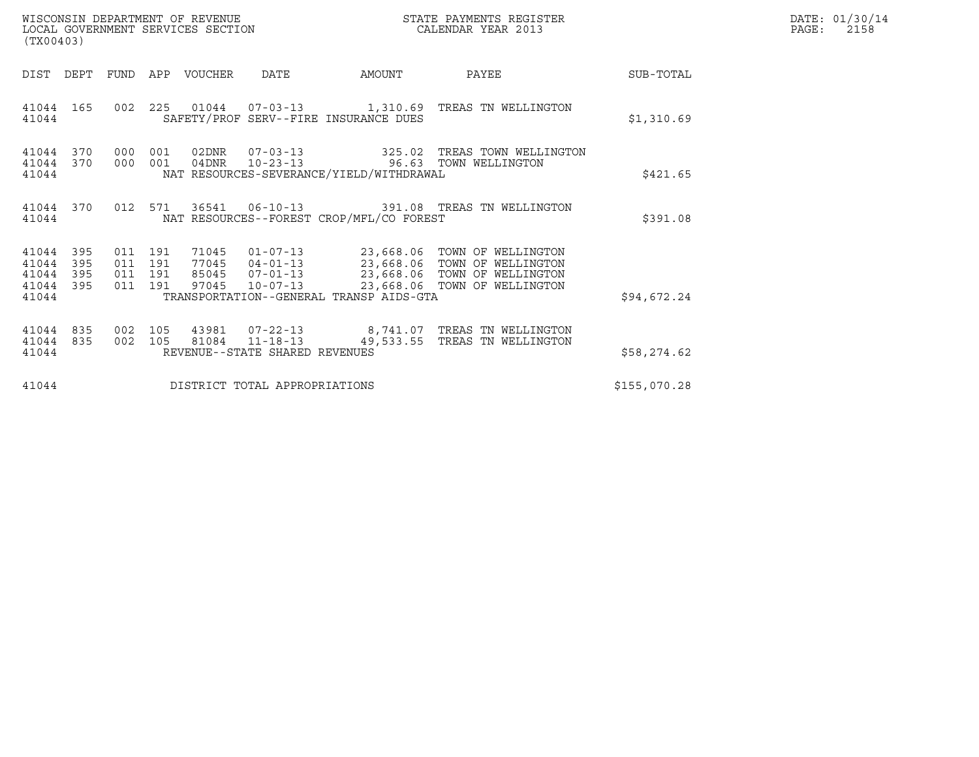| WISCONSIN DEPARTMENT OF REVENUE<br>STATE PAYMENTS REGISTER<br>LOCAL GOVERNMENT SERVICES SECTION<br>CALENDAR YEAR 2013<br>(TX00403) |                            |                                          |            |                  |                                |                                          |                                                                                                                                                                                    |              | DATE: 01/30/14<br>PAGE:<br>2158 |
|------------------------------------------------------------------------------------------------------------------------------------|----------------------------|------------------------------------------|------------|------------------|--------------------------------|------------------------------------------|------------------------------------------------------------------------------------------------------------------------------------------------------------------------------------|--------------|---------------------------------|
| DIST                                                                                                                               | DEPT                       |                                          |            | FUND APP VOUCHER | DATE                           | AMOUNT                                   | PAYEE                                                                                                                                                                              | SUB-TOTAL    |                                 |
| 41044 165<br>41044                                                                                                                 |                            |                                          |            |                  |                                | SAFETY/PROF SERV--FIRE INSURANCE DUES    | 002  225  01044  07-03-13   1,310.69  TREAS TN WELLINGTON                                                                                                                          | \$1,310.69   |                                 |
| 41044<br>41044 370<br>41044                                                                                                        | 370                        | 000<br>000                               | 001<br>001 | 04DNR            | 02DNR 07-03-13                 | NAT RESOURCES-SEVERANCE/YIELD/WITHDRAWAL | 325.02 TREAS TOWN WELLINGTON<br>10-23-13 96.63 TOWN WELLINGTON                                                                                                                     | \$421.65     |                                 |
| 41044 370<br>41044                                                                                                                 |                            |                                          | 012 571    |                  |                                | NAT RESOURCES--FOREST CROP/MFL/CO FOREST | 36541  06-10-13  391.08  TREAS TN WELLINGTON                                                                                                                                       | \$391.08     |                                 |
| 41044<br>41044<br>41044<br>41044<br>41044                                                                                          | - 395<br>395<br>395<br>395 | 011 191<br>011 191<br>011 191<br>011 191 |            | 97045            | $10 - 07 - 13$                 | TRANSPORTATION--GENERAL TRANSP AIDS-GTA  | 71045  01-07-13  23,668.06  TOWN OF WELLINGTON<br>77045  04-01-13  23,668.06  TOWN OF WELLINGTON<br>85045  07-01-13  23,668.06  TOWN OF WELLINGTON<br>23,668.06 TOWN OF WELLINGTON | \$94,672.24  |                                 |
| 41044<br>41044 835<br>41044                                                                                                        | 835                        | 002<br>002 105                           | 105        | 81084            | REVENUE--STATE SHARED REVENUES |                                          | 43981  07-22-13  8,741.07  TREAS TN WELLINGTON<br>11-18-13 49,533.55 TREAS TN WELLINGTON                                                                                           | \$58,274.62  |                                 |
| 41044                                                                                                                              |                            |                                          |            |                  | DISTRICT TOTAL APPROPRIATIONS  |                                          |                                                                                                                                                                                    | \$155,070.28 |                                 |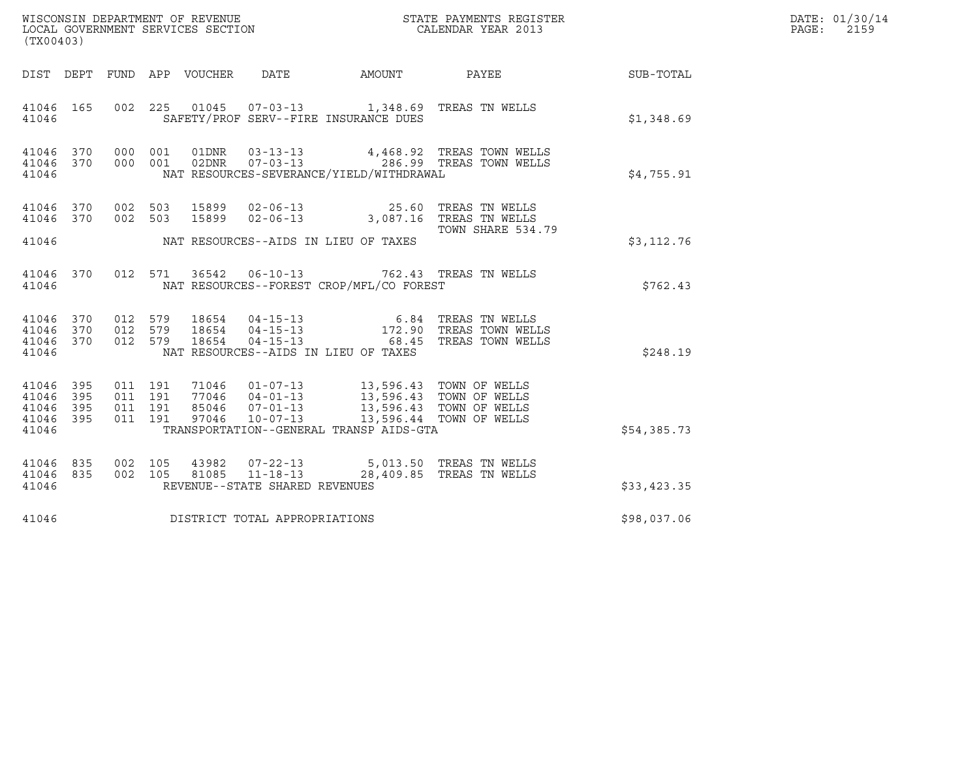| DATE: 01/30/14<br>PAGE:<br>2159<br>(TX00403)<br>DATE<br>DIST DEPT FUND APP VOUCHER<br>41046 165<br>002 225 01045 07-03-13 1,348.69 TREAS TN WELLS<br>SAFETY/PROF SERV--FIRE INSURANCE DUES<br>41046<br>\$1,348.69<br>000 001 01DNR 03-13-13 4,468.92 TREAS TOWN WELLS<br>000 001 02DNR 07-03-13 286.99 TREAS TOWN WELLS<br>41046 370<br>41046 370<br>NAT RESOURCES-SEVERANCE/YIELD/WITHDRAWAL<br>\$4,755.91<br>41046<br>02-06-13 25.60 TREAS TN WELLS<br>02-06-13 3,087.16 TREAS TN WELLS<br>41046<br>370<br>002 503<br>15899<br>002 503<br>15899<br>41046 370<br>TOWN SHARE 534.79<br>NAT RESOURCES--AIDS IN LIEU OF TAXES<br>41046<br>\$3,112.76<br>36542 06-10-13 762.43 TREAS TN WELLS<br>012 571<br>41046 370<br>\$762.43<br>NAT RESOURCES--FOREST CROP/MFL/CO FOREST<br>41046<br>012 579<br>18654  04-15-13   6.84   TREAS TN WELLS<br>18654  04-15-13   172.90   TREAS TOWN WELLS<br>18654  04-15-13   68.45   TREAS TOWN WELLS<br>41046 370<br>012 579<br>41046 370<br>012 579<br>41046 370<br>NAT RESOURCES--AIDS IN LIEU OF TAXES<br>41046<br>\$248.19<br>41046 395<br>011 191<br>71046  01-07-13  13,596.43  TOWN OF WELLS<br>011 191<br>41046<br>395<br>$77046$ $85046$ $07-01-13$ $10-07-13$<br>41046 395<br>011 191<br>41046 395<br>011 191<br>13,596.44 TOWN OF WELLS<br>TRANSPORTATION--GENERAL TRANSP AIDS-GTA<br>41046<br>\$54,385.73<br>43982  07-22-13  5,013.50 TREAS TN WELLS<br>81085  11-18-13  28,409.85 TREAS TN WELLS<br>41046 835<br>002 105<br>41046 835<br>002 105<br>28,409.85 TREAS TN WELLS<br>REVENUE--STATE SHARED REVENUES<br>41046<br>\$33,423.35<br>DISTRICT TOTAL APPROPRIATIONS<br>41046<br>\$98,037.06 |  |  |  |  |
|-------------------------------------------------------------------------------------------------------------------------------------------------------------------------------------------------------------------------------------------------------------------------------------------------------------------------------------------------------------------------------------------------------------------------------------------------------------------------------------------------------------------------------------------------------------------------------------------------------------------------------------------------------------------------------------------------------------------------------------------------------------------------------------------------------------------------------------------------------------------------------------------------------------------------------------------------------------------------------------------------------------------------------------------------------------------------------------------------------------------------------------------------------------------------------------------------------------------------------------------------------------------------------------------------------------------------------------------------------------------------------------------------------------------------------------------------------------------------------------------------------------------------------------------------------------------------------------------------------------------------------------------------|--|--|--|--|
|                                                                                                                                                                                                                                                                                                                                                                                                                                                                                                                                                                                                                                                                                                                                                                                                                                                                                                                                                                                                                                                                                                                                                                                                                                                                                                                                                                                                                                                                                                                                                                                                                                                 |  |  |  |  |
|                                                                                                                                                                                                                                                                                                                                                                                                                                                                                                                                                                                                                                                                                                                                                                                                                                                                                                                                                                                                                                                                                                                                                                                                                                                                                                                                                                                                                                                                                                                                                                                                                                                 |  |  |  |  |
|                                                                                                                                                                                                                                                                                                                                                                                                                                                                                                                                                                                                                                                                                                                                                                                                                                                                                                                                                                                                                                                                                                                                                                                                                                                                                                                                                                                                                                                                                                                                                                                                                                                 |  |  |  |  |
|                                                                                                                                                                                                                                                                                                                                                                                                                                                                                                                                                                                                                                                                                                                                                                                                                                                                                                                                                                                                                                                                                                                                                                                                                                                                                                                                                                                                                                                                                                                                                                                                                                                 |  |  |  |  |
|                                                                                                                                                                                                                                                                                                                                                                                                                                                                                                                                                                                                                                                                                                                                                                                                                                                                                                                                                                                                                                                                                                                                                                                                                                                                                                                                                                                                                                                                                                                                                                                                                                                 |  |  |  |  |
|                                                                                                                                                                                                                                                                                                                                                                                                                                                                                                                                                                                                                                                                                                                                                                                                                                                                                                                                                                                                                                                                                                                                                                                                                                                                                                                                                                                                                                                                                                                                                                                                                                                 |  |  |  |  |
|                                                                                                                                                                                                                                                                                                                                                                                                                                                                                                                                                                                                                                                                                                                                                                                                                                                                                                                                                                                                                                                                                                                                                                                                                                                                                                                                                                                                                                                                                                                                                                                                                                                 |  |  |  |  |
|                                                                                                                                                                                                                                                                                                                                                                                                                                                                                                                                                                                                                                                                                                                                                                                                                                                                                                                                                                                                                                                                                                                                                                                                                                                                                                                                                                                                                                                                                                                                                                                                                                                 |  |  |  |  |
|                                                                                                                                                                                                                                                                                                                                                                                                                                                                                                                                                                                                                                                                                                                                                                                                                                                                                                                                                                                                                                                                                                                                                                                                                                                                                                                                                                                                                                                                                                                                                                                                                                                 |  |  |  |  |
|                                                                                                                                                                                                                                                                                                                                                                                                                                                                                                                                                                                                                                                                                                                                                                                                                                                                                                                                                                                                                                                                                                                                                                                                                                                                                                                                                                                                                                                                                                                                                                                                                                                 |  |  |  |  |
|                                                                                                                                                                                                                                                                                                                                                                                                                                                                                                                                                                                                                                                                                                                                                                                                                                                                                                                                                                                                                                                                                                                                                                                                                                                                                                                                                                                                                                                                                                                                                                                                                                                 |  |  |  |  |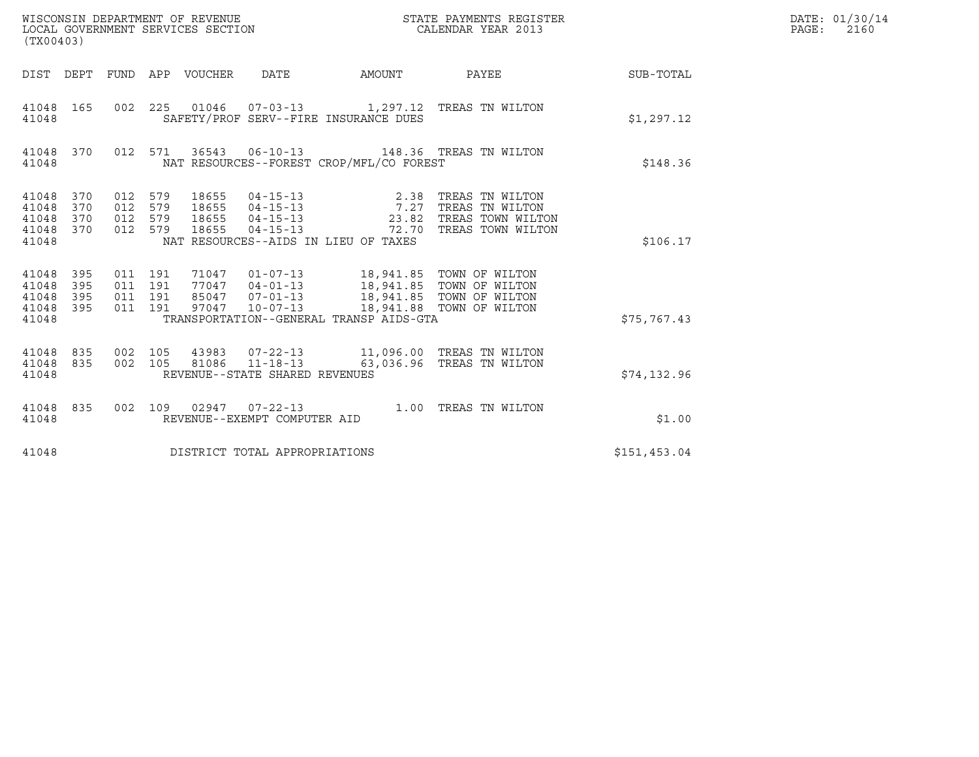| WISCONSIN DEPARTMENT OF REVENUE<br>LOCAL GOVERNMENT SERVICES SECTION<br>(TX00403)                                 |                                                                                                                                                                                                                                 |        | STATE PAYMENTS REGISTER<br>CALENDAR YEAR 2013      |              | DATE: 01/30/14<br>PAGE:<br>2160 |
|-------------------------------------------------------------------------------------------------------------------|---------------------------------------------------------------------------------------------------------------------------------------------------------------------------------------------------------------------------------|--------|----------------------------------------------------|--------------|---------------------------------|
| DIST DEPT FUND APP VOUCHER                                                                                        | DATE                                                                                                                                                                                                                            | AMOUNT | PAYEE                                              | SUB-TOTAL    |                                 |
| 002 225<br>41048 165<br>41048                                                                                     | 01046  07-03-13  1,297.12  TREAS TN WILTON<br>SAFETY/PROF SERV--FIRE INSURANCE DUES                                                                                                                                             |        |                                                    | \$1,297.12   |                                 |
| 41048 370<br>41048                                                                                                | 012 571 36543 06-10-13 148.36 TREAS TN WILTON<br>NAT RESOURCES--FOREST CROP/MFL/CO FOREST                                                                                                                                       |        |                                                    | \$148.36     |                                 |
| 012 579<br>41048<br>370<br>012 579<br>370<br>41048<br>012 579<br>370<br>41048<br>012 579<br>370<br>41048<br>41048 | 18655<br>04-15-13 2.38 TREAS TN WILTON<br>04-15-13 7.27 TREAS TN WILTON<br>18655<br>$04 - 15 - 13$<br>18655<br>18655<br>$04 - 15 - 13$<br>NAT RESOURCES--AIDS IN LIEU OF TAXES                                                  |        | 23.82 TREAS TOWN WILTON<br>72.70 TREAS TOWN WILTON | \$106.17     |                                 |
| 011 191<br>41048<br>395<br>011 191<br>395<br>41048<br>011 191<br>395<br>41048<br>011 191<br>395<br>41048<br>41048 | 71047  01-07-13  18,941.85  TOWN OF WILTON<br>77047  04-01-13  18,941.85  TOWN OF WILTON<br>85047  07-01-13  18,941.85  TOWN OF WILTON<br>97047  10-07-13  18,941.88  TOWN OF WILTON<br>TRANSPORTATION--GENERAL TRANSP AIDS-GTA |        |                                                    | \$75,767.43  |                                 |
| 002 105<br>41048<br>835<br>002 105<br>41048 835<br>41048                                                          | 43983  07-22-13  11,096.00 TREAS TN WILTON<br>$11 - 18 - 13$<br>81086<br>REVENUE--STATE SHARED REVENUES                                                                                                                         |        | 63,036.96 TREAS TN WILTON                          | \$74,132.96  |                                 |
| 41048 835<br>002 109<br>41048                                                                                     | REVENUE--EXEMPT COMPUTER AID                                                                                                                                                                                                    |        |                                                    | \$1.00       |                                 |
| 41048                                                                                                             | DISTRICT TOTAL APPROPRIATIONS                                                                                                                                                                                                   |        |                                                    | \$151,453.04 |                                 |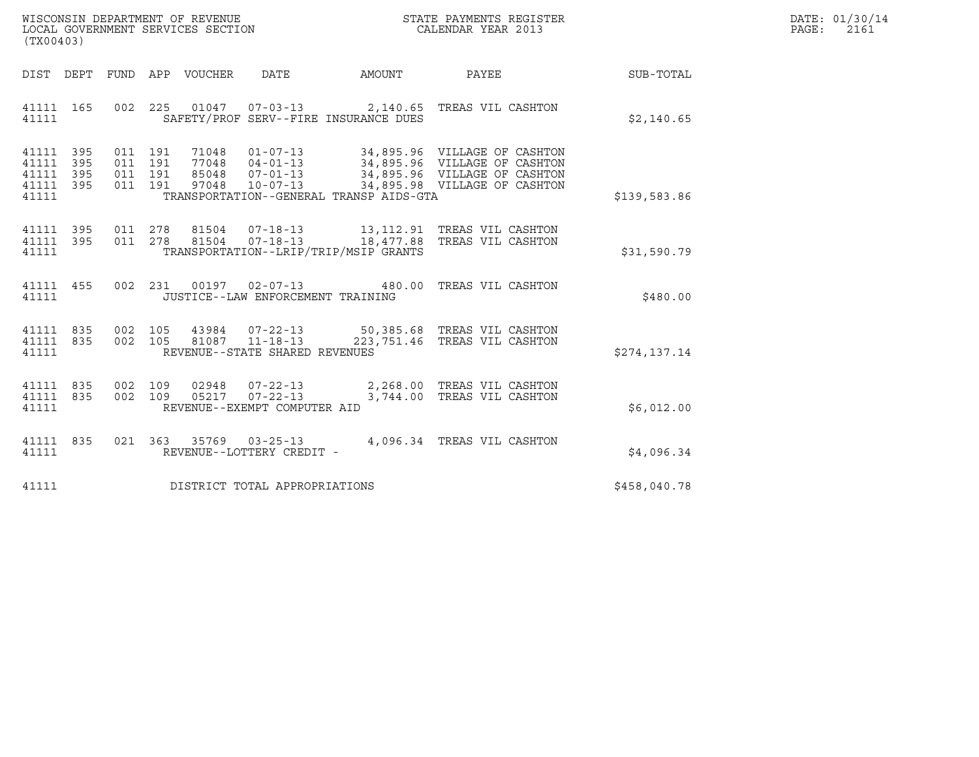| WISCONSIN DEPARTMENT OF REVENUE   | STATE PAYMENTS REGISTER | DATE: 01/30/14 |
|-----------------------------------|-------------------------|----------------|
| LOCAL GOVERNMENT SERVICES SECTION | CALENDAR YEAR 2013      | PAGE:<br>2161  |

| (TX00403)                                                          |                          |                                                               |                                                                             |          |                                                                                                                                                |              |
|--------------------------------------------------------------------|--------------------------|---------------------------------------------------------------|-----------------------------------------------------------------------------|----------|------------------------------------------------------------------------------------------------------------------------------------------------|--------------|
| DIST DEPT                                                          |                          | FUND APP VOUCHER                                              | DATE                                                                        | AMOUNT   | PAYEE                                                                                                                                          | SUB-TOTAL    |
| 41111 165<br>41111                                                 | 002                      | 225                                                           | SAFETY/PROF SERV--FIRE INSURANCE DUES                                       |          | 01047  07-03-13  2,140.65  TREAS VIL CASHTON                                                                                                   | \$2,140.65   |
| 395<br>41111<br>395<br>41111<br>395<br>41111<br>41111 395<br>41111 | 011<br>011<br>011<br>011 | 191<br>191<br>77048  04-01-13<br>191<br>85048<br>191<br>97048 | $07 - 01 - 13$<br>$10 - 07 - 13$<br>TRANSPORTATION--GENERAL TRANSP AIDS-GTA |          | 71048  01-07-13  34,895.96  VILLAGE OF CASHTON<br>34,895.96 VILLAGE OF CASHTON<br>34,895.96 VILLAGE OF CASHTON<br>34,895.98 VILLAGE OF CASHTON | \$139,583.86 |
| 395<br>41111<br>41111<br>395<br>41111                              | 011<br>011               | 278<br>278                                                    | TRANSPORTATION--LRIP/TRIP/MSIP GRANTS                                       |          |                                                                                                                                                | \$31,590.79  |
| 455<br>41111<br>41111                                              | 002                      |                                                               | 231 00197 02-07-13 480.00<br>JUSTICE--LAW ENFORCEMENT TRAINING              |          | TREAS VIL CASHTON                                                                                                                              | \$480.00     |
| 835<br>41111<br>835<br>41111<br>41111                              | 002<br>002               | 105<br>105<br>81087                                           | $11 - 18 - 13$<br>REVENUE--STATE SHARED REVENUES                            |          | 43984  07-22-13  50,385.68  TREAS VIL CASHTON<br>223,751.46 TREAS VIL CASHTON                                                                  | \$274,137.14 |
| 835<br>41111<br>835<br>41111<br>41111                              | 002<br>002               | 109<br>02948<br>109<br>05217 07-22-13                         | $07 - 22 - 13$<br>REVENUE--EXEMPT COMPUTER AID                              | 3,744.00 | 2,268.00 TREAS VIL CASHTON<br>TREAS VIL CASHTON                                                                                                | \$6,012.00   |
| 835<br>41111<br>41111                                              | 021                      | 363 35769 03-25-13                                            | REVENUE--LOTTERY CREDIT -                                                   |          | 4,096.34 TREAS VIL CASHTON                                                                                                                     | \$4,096.34   |
| 41111                                                              |                          |                                                               | DISTRICT TOTAL APPROPRIATIONS                                               |          |                                                                                                                                                | \$458,040.78 |

(TX00403)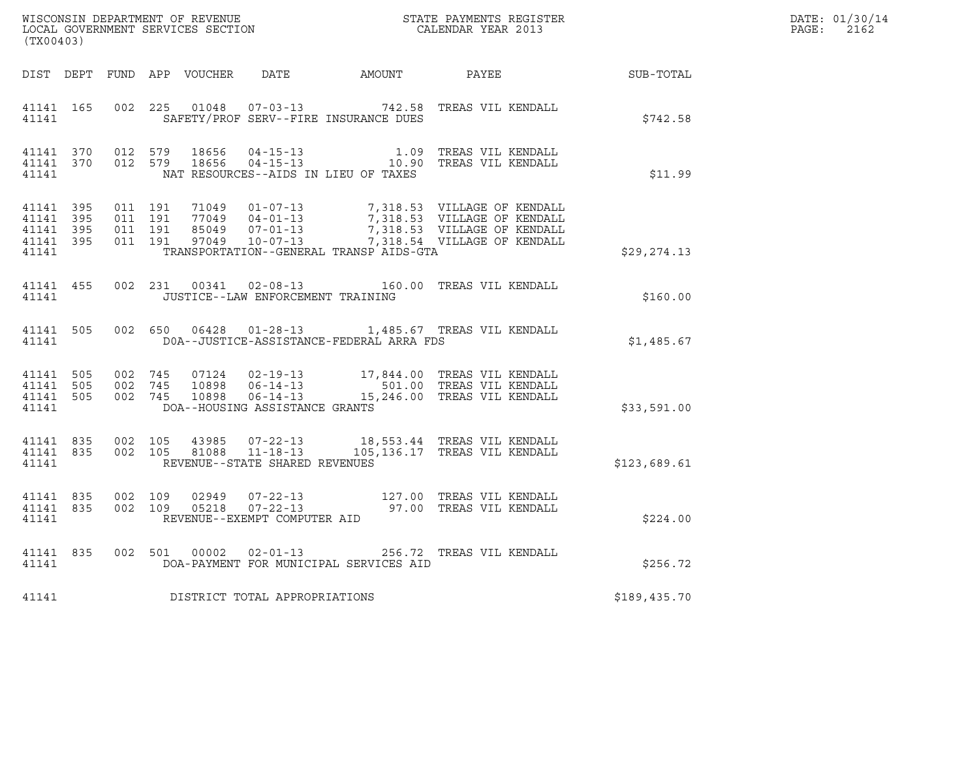| (TX00403) |           |  |                                         |                                                | ${\tt WISCONSIN} \begin{tabular}{l} DEPARTMENT OF REVIEW \\ LOCAL BONERNMENT SERVICES SECTION \\ \end{tabular}$                                                                                                                                                                            |              | DATE: 01/30/14 |
|-----------|-----------|--|-----------------------------------------|------------------------------------------------|--------------------------------------------------------------------------------------------------------------------------------------------------------------------------------------------------------------------------------------------------------------------------------------------|--------------|----------------|
|           |           |  |                                         |                                                | DIST DEPT FUND APP VOUCHER DATE AMOUNT PAYEE PATE SUB-TOTAL                                                                                                                                                                                                                                |              |                |
|           | 4 1 1 4 1 |  |                                         |                                                | 41141 165 002 225 01048 07-03-13 742.58 TREAS VIL KENDALL<br>SAFETY/PROF SERV--FIRE INSURANCE DUES                                                                                                                                                                                         | \$742.58     |                |
|           |           |  |                                         |                                                | 41141 370 012 579 18656 04-15-13 1.09 TREAS VIL KENDALL<br>41141 370 012 579 18656 04-15-13 10.90 TREAS VIL KENDALL                                                                                                                                                                        | \$11.99      |                |
|           |           |  |                                         | 41141 TRANSPORTATION--GENERAL TRANSP AIDS-GTA  |                                                                                                                                                                                                                                                                                            | \$29,274.13  |                |
|           |           |  | 41141 JUSTICE--LAW ENFORCEMENT TRAINING |                                                | 41141 455 002 231 00341 02-08-13 160.00 TREAS VIL KENDALL                                                                                                                                                                                                                                  | \$160.00     |                |
|           |           |  |                                         | 41141 DOA--JUSTICE-ASSISTANCE-FEDERAL ARRA FDS | 41141 505 002 650 06428 01-28-13 1,485.67 TREAS VIL KENDALL                                                                                                                                                                                                                                | \$1,485.67   |                |
| 41141     |           |  | DOA--HOUSING ASSISTANCE GRANTS          |                                                | $\begin{array}{cccc} 41141 & 505 & 002 & 745 & 07124 & 02-19-13 & 17,844.00 & \text{TREAS VIL KENDALL} \\ 41141 & 505 & 002 & 745 & 10898 & 06-14-13 & 501.00 & \text{TREAS VIL KENDALL} \\ 41141 & 505 & 002 & 745 & 10898 & 06-14-13 & 15,246.00 & \text{TREAS VIL KENDALL} \end{array}$ | \$33,591.00  |                |
|           |           |  | 41141 REVENUE--STATE SHARED REVENUES    |                                                | 41141 835 002 105 43985 07-22-13 18,553.44 TREAS VIL KENDALL<br>41141 835 002 105 81088 11-18-13 105,136.17 TREAS VIL KENDALL                                                                                                                                                              | \$123,689.61 |                |
|           |           |  | 41141 REVENUE--EXEMPT COMPUTER AID      |                                                | $\begin{array}{cccc} 41141 & 835 & 002 & 109 & 02949 & 07\texttt{-}22\texttt{-}13 & & 127.00 & \texttt{TREAS} \text{ VIL KENDALL} \\ 41141 & 835 & 002 & 109 & 05218 & 07\texttt{-}22\texttt{-}13 & & 97.00 & \texttt{TREAS} \text{ VIL KENDALL} \end{array}$                              | \$224.00     |                |
|           |           |  |                                         | 41141 DOA-PAYMENT FOR MUNICIPAL SERVICES AID   | 41141 835 002 501 00002 02-01-13 256.72 TREAS VIL KENDALL                                                                                                                                                                                                                                  | \$256.72     |                |
| 41141     |           |  | DISTRICT TOTAL APPROPRIATIONS           |                                                |                                                                                                                                                                                                                                                                                            | \$189,435.70 |                |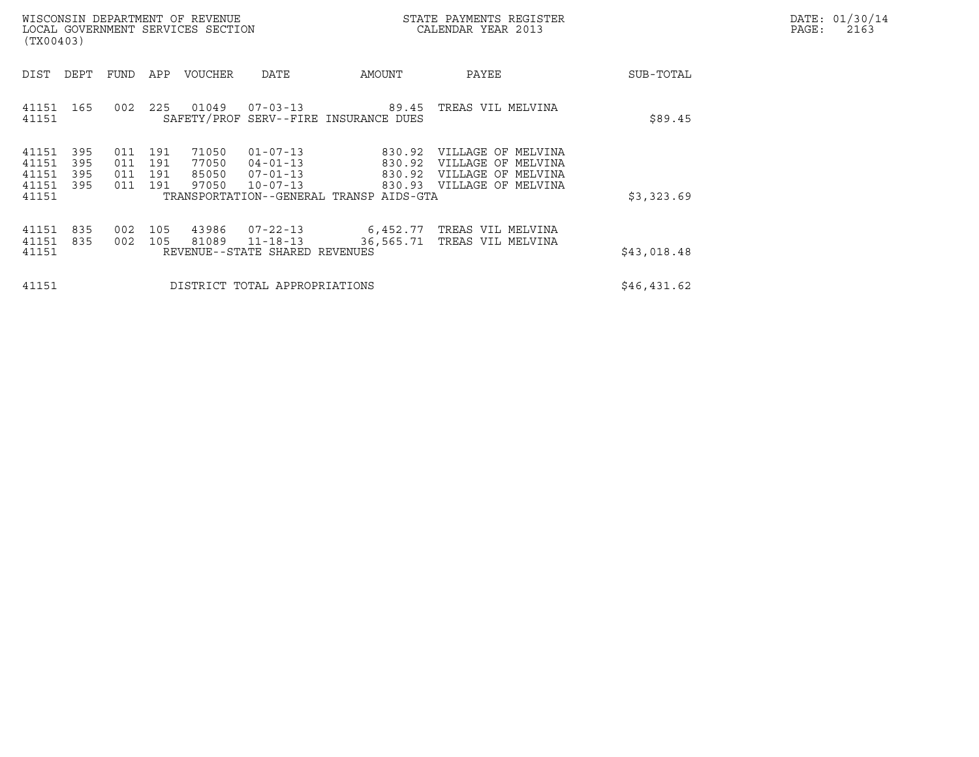|       | DATE: 01/30/14 |
|-------|----------------|
| PAGE: | 2163           |

|                                           | WISCONSIN DEPARTMENT OF REVENUE<br>LOCAL GOVERNMENT SERVICES SECTION<br>(TX00403) |                          |                          |                                  |                                                                      |                                                                                 | STATE PAYMENTS REGISTER<br>CALENDAR YEAR 2013                                        |             | DATE: 01/30/14<br>PAGE:<br>2163 |
|-------------------------------------------|-----------------------------------------------------------------------------------|--------------------------|--------------------------|----------------------------------|----------------------------------------------------------------------|---------------------------------------------------------------------------------|--------------------------------------------------------------------------------------|-------------|---------------------------------|
| DIST                                      | DEPT                                                                              | FUND                     | APP                      | VOUCHER                          | DATE                                                                 | AMOUNT                                                                          | PAYEE                                                                                | SUB-TOTAL   |                                 |
| 41151 165<br>41151                        |                                                                                   | 002                      | 225                      | 01049                            | 07-03-13                                                             | 89.45<br>SAFETY/PROF SERV--FIRE INSURANCE DUES                                  | TREAS VIL MELVINA                                                                    | \$89.45     |                                 |
| 41151<br>41151<br>41151<br>41151<br>41151 | 395<br>395<br>395<br>395                                                          | 011<br>011<br>011<br>011 | 191<br>191<br>191<br>191 | 71050<br>77050<br>85050<br>97050 | $01 - 07 - 13$<br>$04 - 01 - 13$<br>$07 - 01 - 13$<br>$10 - 07 - 13$ | 830.92<br>830.92<br>830.92<br>830.93<br>TRANSPORTATION--GENERAL TRANSP AIDS-GTA | VILLAGE OF MELVINA<br>VILLAGE OF MELVINA<br>VILLAGE OF MELVINA<br>VILLAGE OF MELVINA | \$3,323.69  |                                 |
| 41151<br>41151<br>41151                   | 835<br>835                                                                        | 002<br>002               | 105<br>105               | 43986<br>81089                   | 07-22-13<br>$11 - 18 - 13$<br>REVENUE--STATE SHARED REVENUES         | 6,452.77<br>36,565.71                                                           | TREAS VIL MELVINA<br>TREAS VIL MELVINA                                               | \$43,018.48 |                                 |
| 41151                                     |                                                                                   |                          |                          |                                  | DISTRICT TOTAL APPROPRIATIONS                                        |                                                                                 |                                                                                      | \$46,431.62 |                                 |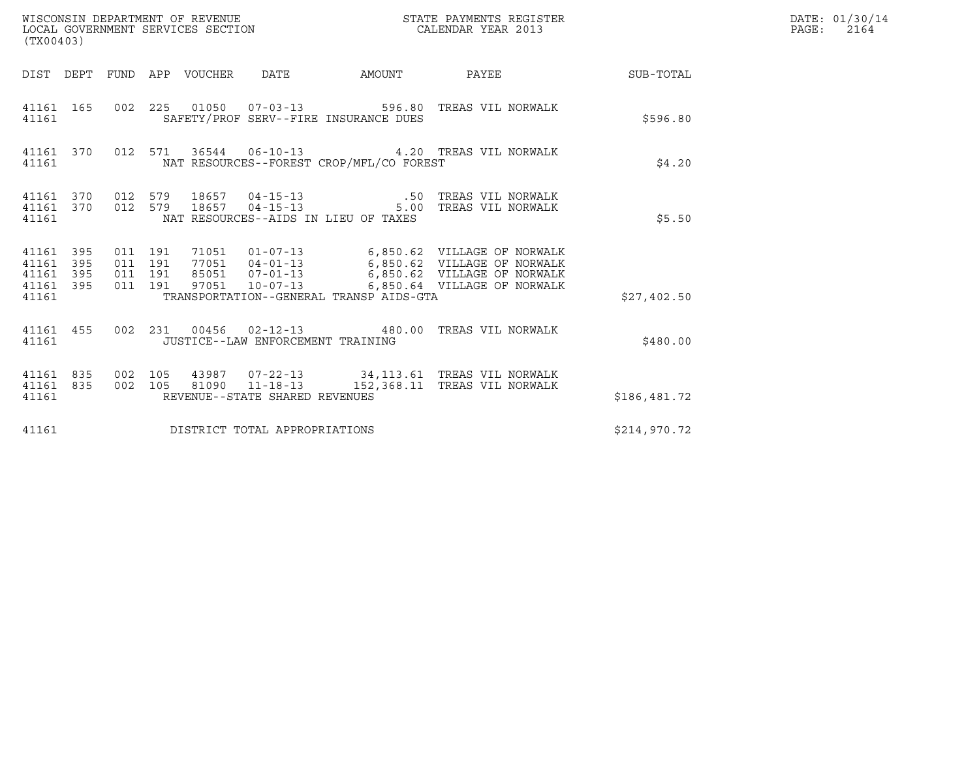| WISCONSIN DEPARTMENT OF REVENUE<br>LOCAL GOVERNMENT SERVICES SECTION<br>(TX00403)                                                                                                                                                                                                                                                                                | STATE PAYMENTS REGISTER<br>CALENDAR YEAR 2013 |              | DATE: 01/30/14<br>PAGE:<br>2164 |
|------------------------------------------------------------------------------------------------------------------------------------------------------------------------------------------------------------------------------------------------------------------------------------------------------------------------------------------------------------------|-----------------------------------------------|--------------|---------------------------------|
| DIST DEPT FUND APP VOUCHER DATE<br>AMOUNT PAYEE                                                                                                                                                                                                                                                                                                                  |                                               | SUB-TOTAL    |                                 |
| 002  225  01050  07-03-13  596.80 TREAS VIL NORWALK<br>41161 165<br>SAFETY/PROF SERV--FIRE INSURANCE DUES<br>41161                                                                                                                                                                                                                                               |                                               | \$596.80     |                                 |
| 41161 370 012 571 36544 06-10-13 4.20 TREAS VIL NORWALK<br>NAT RESOURCES--FOREST CROP/MFL/CO FOREST<br>41161                                                                                                                                                                                                                                                     |                                               | \$4.20       |                                 |
| 41161 370 012 579 18657 04-15-13   50 TREAS VIL NORWALK<br>18657  04-15-13   5.00 TREAS VIL NORWALK<br>012 579<br>41161 370<br>NAT RESOURCES--AIDS IN LIEU OF TAXES<br>41161                                                                                                                                                                                     |                                               | \$5.50       |                                 |
| 71051  01-07-13   6,850.62  VILLAGE OF NORWALK<br>41161 395<br>011 191<br>77051  04-01-13   6,850.62  VILLAGE OF NORWALK<br>011 191<br>41161<br>395<br>85051  07-01-13   6,850.62  VILLAGE OF NORWALK<br>395<br>011 191<br>41161<br>011 191<br>395<br>97051<br>10-07-13 6,850.64 VILLAGE OF NORWALK<br>41161<br>41161<br>TRANSPORTATION--GENERAL TRANSP AIDS-GTA |                                               | \$27,402.50  |                                 |
| 002 231 00456 02-12-13 480.00 TREAS VIL NORWALK<br>41161 455<br>41161<br>JUSTICE--LAW ENFORCEMENT TRAINING                                                                                                                                                                                                                                                       |                                               | \$480.00     |                                 |
| 002 105<br>43987  07-22-13  34,113.61  TREAS VIL NORWALK<br>41161 835<br>$11 - 18 - 13$<br>835<br>002 105<br>81090<br>41161<br>REVENUE--STATE SHARED REVENUES<br>41161                                                                                                                                                                                           | 152,368.11 TREAS VIL NORWALK                  | \$186,481.72 |                                 |
| DISTRICT TOTAL APPROPRIATIONS<br>41161                                                                                                                                                                                                                                                                                                                           |                                               | \$214,970.72 |                                 |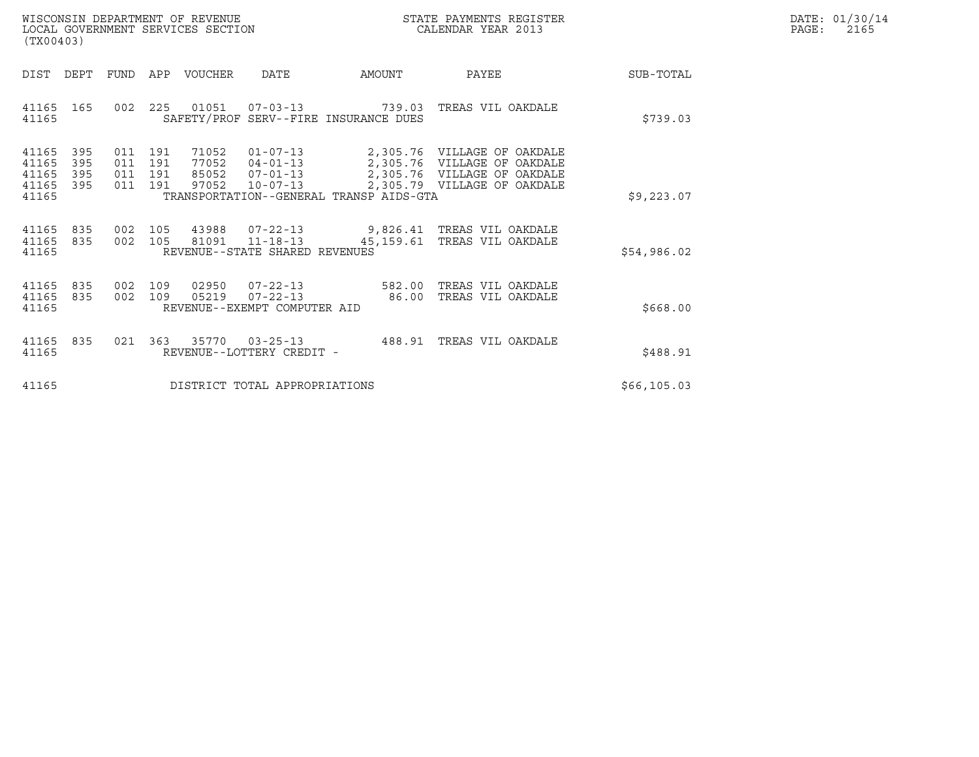| WISCONSIN DEPARTMENT OF REVENUE   | STATE PAYMENTS REGISTER | DATE: 01/30/14 |
|-----------------------------------|-------------------------|----------------|
| LOCAL GOVERNMENT SERVICES SECTION | CALENDAR YEAR 2013      | PAGE:<br>2165  |

| WISCONSIN DEPARTMENT OF REVENUE<br>LOCAL GOVERNMENT SERVICES SECTION<br>(TX00403) |     |                                                                          |                                                                      |                                         | STATE PAYMENTS REGISTER<br>CALENDAR YEAR 2013                                                                            |              | DATE: 01/30/14<br>PAGE:<br>2165 |
|-----------------------------------------------------------------------------------|-----|--------------------------------------------------------------------------|----------------------------------------------------------------------|-----------------------------------------|--------------------------------------------------------------------------------------------------------------------------|--------------|---------------------------------|
| DIST<br>DEPT                                                                      |     | FUND APP VOUCHER                                                         | DATE                                                                 | <b>AMOUNT</b>                           | PAYEE                                                                                                                    | SUB-TOTAL    |                                 |
| 41165 165<br>41165                                                                |     |                                                                          | SAFETY/PROF SERV--FIRE INSURANCE DUES                                |                                         | 002  225  01051  07-03-13  739.03  TREAS VIL OAKDALE                                                                     | \$739.03     |                                 |
| 395<br>41165<br>41165<br>395<br>395<br>41165<br>41165 395<br>41165                | 011 | 011 191<br>71052<br>011 191<br>77052<br>191<br>85052<br>97052<br>011 191 | $01 - 07 - 13$<br>$04 - 01 - 13$<br>$07 - 01 - 13$<br>$10 - 07 - 13$ | TRANSPORTATION--GENERAL TRANSP AIDS-GTA | 2,305.76 VILLAGE OF OAKDALE<br>2,305.76 VILLAGE OF OAKDALE<br>2,305.76 VILLAGE OF OAKDALE<br>2,305.79 VILLAGE OF OAKDALE | \$9,223.07   |                                 |
| 41165 835<br>41165 835<br>41165                                                   |     |                                                                          | 002 105 81091 11-18-13<br>REVENUE--STATE SHARED REVENUES             | 45,159.61                               | 002 105 43988 07-22-13 9,826.41 TREAS VIL OAKDALE<br>TREAS VIL OAKDALE                                                   | \$54,986.02  |                                 |
| 41165 835<br>41165 835<br>41165                                                   |     | 02950<br>002 109<br>002 109                                              | $07 - 22 - 13$<br>05219<br>REVENUE--EXEMPT COMPUTER AID              | $07 - 22 - 13$ 582.00<br>86.00          | TREAS VIL OAKDALE<br>TREAS VIL OAKDALE                                                                                   | \$668.00     |                                 |
| 41165 835<br>41165                                                                |     |                                                                          | REVENUE--LOTTERY CREDIT -                                            |                                         |                                                                                                                          | \$488.91     |                                 |
| 41165                                                                             |     |                                                                          | DISTRICT TOTAL APPROPRIATIONS                                        |                                         |                                                                                                                          | \$66, 105.03 |                                 |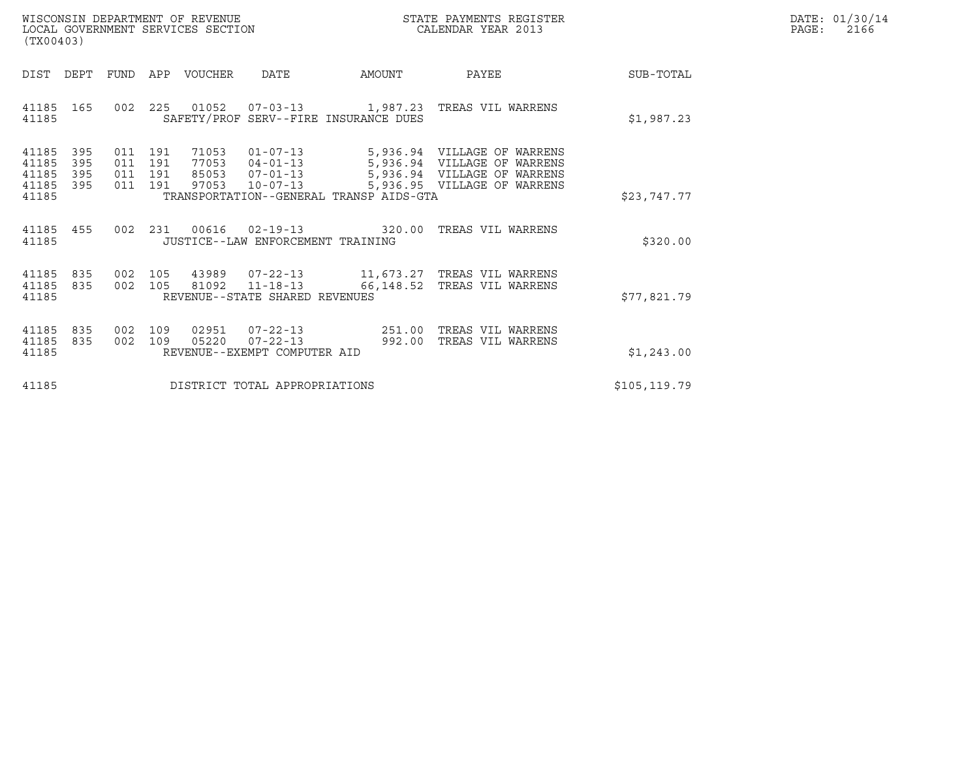| WISCONSIN DEPARTMENT OF REVENUE   | STATE PAYMENTS REGISTER | DATE: 01/30/14 |
|-----------------------------------|-------------------------|----------------|
| LOCAL GOVERNMENT SERVICES SECTION | CALENDAR YEAR 2013      | PAGE:<br>2166  |

| WISCONSIN DEPARTMENT OF REVENUE<br>LOCAL GOVERNMENT SERVICES SECTION<br>(TX00403) |                          |                               |            |                                  |                                                          |                                                | STATE PAYMENTS REGISTER<br>CALENDAR YEAR 2013                                                                                     |               | DATE: 01/30/14<br>$\mathtt{PAGE}$ :<br>2166 |
|-----------------------------------------------------------------------------------|--------------------------|-------------------------------|------------|----------------------------------|----------------------------------------------------------|------------------------------------------------|-----------------------------------------------------------------------------------------------------------------------------------|---------------|---------------------------------------------|
| DIST                                                                              | DEPT                     |                               |            | FUND APP VOUCHER                 | DATE                                                     | AMOUNT                                         | PAYEE                                                                                                                             | SUB-TOTAL     |                                             |
| 41185<br>41185                                                                    | 165                      | 002                           |            |                                  |                                                          | SAFETY/PROF SERV--FIRE INSURANCE DUES          | 225  01052  07-03-13   1,987.23   TREAS VIL WARRENS                                                                               | \$1,987.23    |                                             |
| 41185<br>41185<br>41185<br>41185<br>41185                                         | 395<br>395<br>395<br>395 | 011 191<br>011 191<br>011 191 | 011 191    | 71053<br>77053<br>85053<br>97053 | $04 - 01 - 13$<br>07-01-13<br>10-07-13                   | TRANSPORTATION--GENERAL TRANSP AIDS-GTA        | 01-07-13 5,936.94 VILLAGE OF WARRENS<br>5,936.94 VILLAGE OF WARRENS<br>5,936.94 VILLAGE OF WARRENS<br>5,936.95 VILLAGE OF WARRENS | \$23,747.77   |                                             |
| 41185 455<br>41185                                                                |                          |                               |            |                                  | JUSTICE--LAW ENFORCEMENT TRAINING                        | 002 231 00616 02-19-13 320.00                  | TREAS VIL WARRENS                                                                                                                 | \$320.00      |                                             |
| 41185<br>41185<br>41185                                                           | 835<br>835               |                               |            |                                  | 002 105 81092 11-18-13<br>REVENUE--STATE SHARED REVENUES | 66,148.52                                      | 002  105  43989  07-22-13  11,673.27  TREAS VIL WARRENS<br>TREAS VIL WARRENS                                                      | \$77,821.79   |                                             |
| 41185<br>41185<br>41185                                                           | 835<br>835               | 002<br>002                    | 109<br>109 | 02951<br>05220                   | REVENUE--EXEMPT COMPUTER AID                             | $07 - 22 - 13$ 251.00<br>$07 - 22 - 13$ 992.00 | TREAS VIL WARRENS<br>TREAS VIL WARRENS                                                                                            | \$1,243.00    |                                             |
| 41185                                                                             |                          |                               |            |                                  | DISTRICT TOTAL APPROPRIATIONS                            |                                                |                                                                                                                                   | \$105, 119.79 |                                             |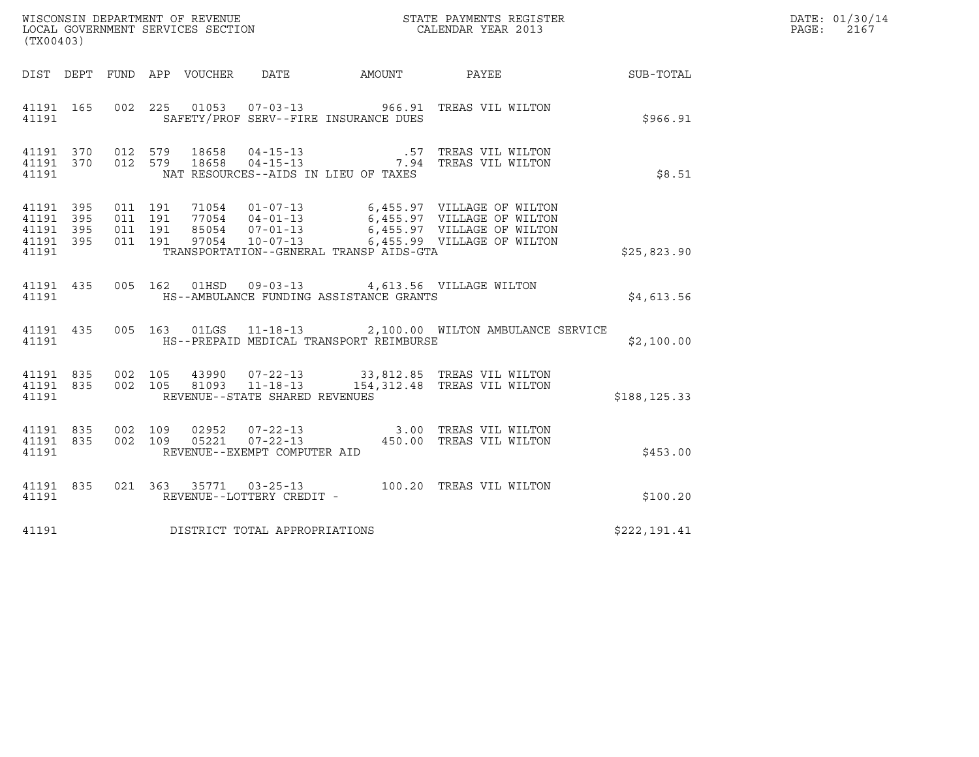| (TX00403)                                     |                   |         |               |                                                |                                                                                                     |                                                                                                                                                                                                                  |              | DATE: 01/30/14<br>PAGE:<br>2167 |
|-----------------------------------------------|-------------------|---------|---------------|------------------------------------------------|-----------------------------------------------------------------------------------------------------|------------------------------------------------------------------------------------------------------------------------------------------------------------------------------------------------------------------|--------------|---------------------------------|
|                                               |                   |         |               |                                                | DIST DEPT FUND APP VOUCHER DATE AMOUNT PAYEE                                                        |                                                                                                                                                                                                                  | SUB-TOTAL    |                                 |
| 41191                                         |                   |         |               |                                                | SAFETY/PROF SERV--FIRE INSURANCE DUES                                                               | 41191 165 002 225 01053 07-03-13 966.91 TREAS VIL WILTON                                                                                                                                                         | \$966.91     |                                 |
| 41191                                         |                   |         |               |                                                | NAT RESOURCES--AIDS IN LIEU OF TAXES                                                                |                                                                                                                                                                                                                  | \$8.51       |                                 |
| 41191 395<br>41191<br>41191<br>41191<br>41191 | 395<br>395<br>395 |         |               |                                                | TRANSPORTATION--GENERAL TRANSP AIDS-GTA                                                             | 011 191 71054 01-07-13 6,455.97 VILLAGE OF WILTON<br>011 191 77054 04-01-13 6,455.97 VILLAGE OF WILTON<br>011 191 85054 07-01-13 6,455.97 VILLAGE OF WILTON<br>011 191 97054 10-07-13 6,455.99 VILLAGE OF WILTON | \$25,823.90  |                                 |
| 41191                                         |                   |         |               |                                                | 41191 435 005 162 01HSD 09-03-13 4,613.56 VILLAGE WILTON<br>HS--AMBULANCE FUNDING ASSISTANCE GRANTS |                                                                                                                                                                                                                  | \$4,613.56   |                                 |
| 41191                                         |                   |         |               |                                                | HS--PREPAID MEDICAL TRANSPORT REIMBURSE                                                             | 41191 435 005 163 01LGS 11-18-13 2,100.00 WILTON AMBULANCE SERVICE                                                                                                                                               | \$2,100.00   |                                 |
| 41191                                         |                   |         |               | REVENUE--STATE SHARED REVENUES                 |                                                                                                     | 41191 835 002 105 43990 07-22-13 33,812.85 TREAS VIL WILTON<br>41191 835 002 105 81093 11-18-13 154,312.48 TREAS VIL WILTON                                                                                      | \$188,125.33 |                                 |
| 41191 835<br>41191 835<br>41191               |                   | 002 109 | 002 109 05221 | $07 - 22 - 13$<br>REVENUE--EXEMPT COMPUTER AID |                                                                                                     | 02952  07-22-13  3.00 TREAS VIL WILTON<br>450.00 TREAS VIL WILTON                                                                                                                                                | \$453.00     |                                 |
|                                               |                   |         |               |                                                |                                                                                                     | $\begin{tabular}{lllllll}41191&835&021&363&35771&03-25-13&100.20 \end{tabular} \begin{tabular}{lllllll} \bf 41191&835&021&363&35771&03-25-13&100.20 \end{tabular}$                                               | \$100.20     |                                 |
| 41191                                         |                   |         |               | DISTRICT TOTAL APPROPRIATIONS                  |                                                                                                     |                                                                                                                                                                                                                  | \$222,191.41 |                                 |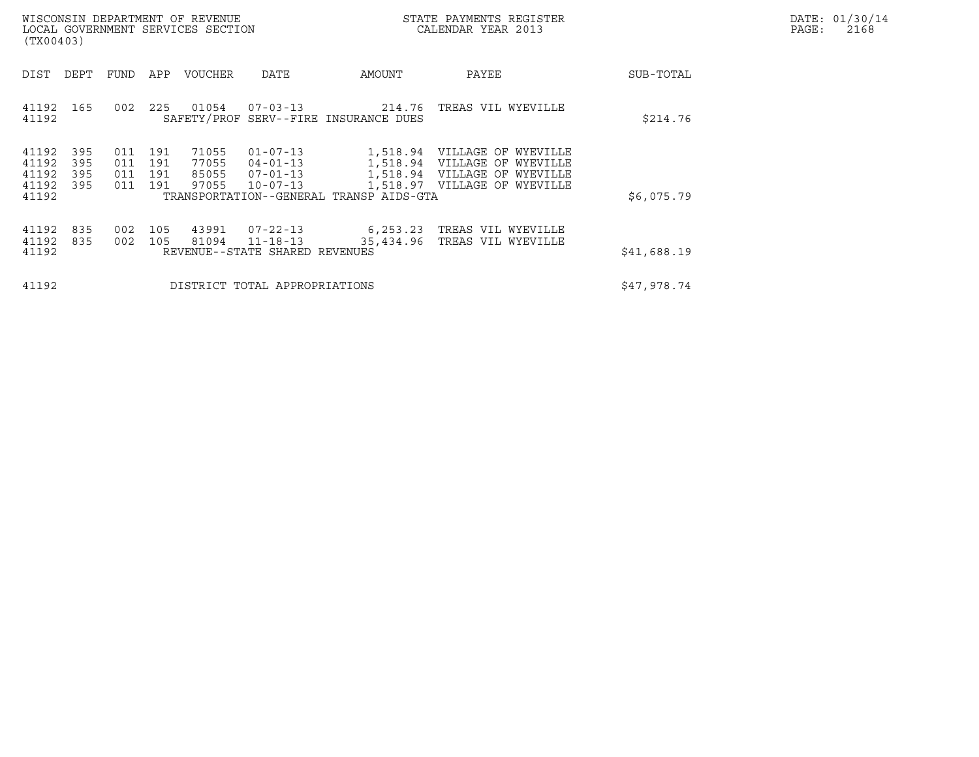|       | DATE: 01/30/14 |
|-------|----------------|
| PAGE: | 2168           |

| (TX00403)                                 |                          |                          |                          | WISCONSIN DEPARTMENT OF REVENUE<br>LOCAL GOVERNMENT SERVICES SECTION |                                                                      |                                         | STATE PAYMENTS REGISTER<br>CALENDAR YEAR 2013                                                                                |             | DATE: 01/30/14<br>PAGE:<br>2168 |
|-------------------------------------------|--------------------------|--------------------------|--------------------------|----------------------------------------------------------------------|----------------------------------------------------------------------|-----------------------------------------|------------------------------------------------------------------------------------------------------------------------------|-------------|---------------------------------|
| DIST                                      | DEPT                     | FUND                     | APP                      | VOUCHER                                                              | DATE                                                                 | AMOUNT                                  | PAYEE                                                                                                                        | SUB-TOTAL   |                                 |
| 41192<br>41192                            | 165                      | 002                      |                          | 225 01054                                                            | $07 - 03 - 13$                                                       | SAFETY/PROF SERV--FIRE INSURANCE DUES   | 214.76 TREAS VIL WYEVILLE                                                                                                    | \$214.76    |                                 |
| 41192<br>41192<br>41192<br>41192<br>41192 | 395<br>395<br>395<br>395 | 011<br>011<br>011<br>011 | 191<br>191<br>191<br>191 | 71055<br>77055<br>85055<br>97055                                     | $01 - 07 - 13$<br>$04 - 01 - 13$<br>$07 - 01 - 13$<br>$10 - 07 - 13$ | TRANSPORTATION--GENERAL TRANSP AIDS-GTA | 1,518.94 VILLAGE OF WYEVILLE<br>1,518.94 VILLAGE OF WYEVILLE<br>1,518.94 VILLAGE OF WYEVILLE<br>1,518.97 VILLAGE OF WYEVILLE | \$6,075.79  |                                 |
| 41192<br>41192<br>41192                   | 835<br>835               | 002<br>002               | 105<br>105               | 43991<br>81094                                                       | $07 - 22 - 13$<br>$11 - 18 - 13$<br>REVENUE--STATE SHARED REVENUES   | 6, 253.23<br>35,434.96                  | TREAS VIL WYEVILLE<br>TREAS VIL WYEVILLE                                                                                     | \$41,688.19 |                                 |
| 41192                                     |                          |                          |                          |                                                                      | DISTRICT TOTAL APPROPRIATIONS                                        | \$47,978.74                             |                                                                                                                              |             |                                 |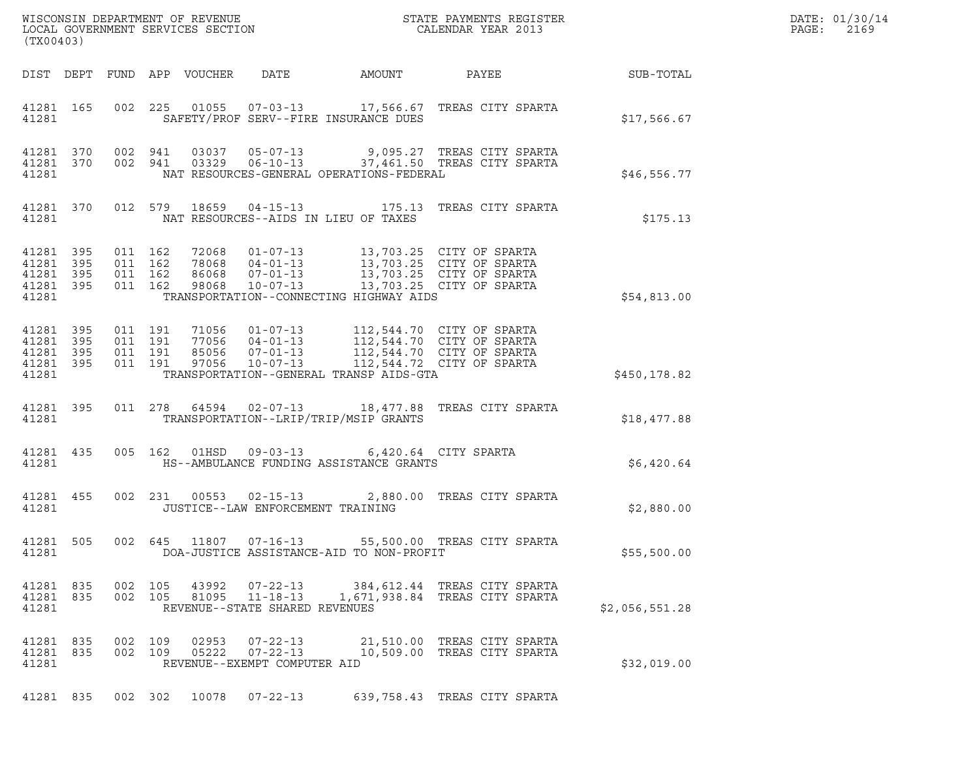| DATE: | 01/30/14 |
|-------|----------|
| PAGE: | 2169     |

| (TX00403)                                                         |         |                    |                |                                                                  |                                                                                        |                                                                                                                                                                                                                                                                                                                                           |                 | DATE: 01/30/14<br>PAGE:<br>2169 |
|-------------------------------------------------------------------|---------|--------------------|----------------|------------------------------------------------------------------|----------------------------------------------------------------------------------------|-------------------------------------------------------------------------------------------------------------------------------------------------------------------------------------------------------------------------------------------------------------------------------------------------------------------------------------------|-----------------|---------------------------------|
|                                                                   |         |                    |                |                                                                  | DIST DEPT FUND APP VOUCHER DATE AMOUNT                                                 |                                                                                                                                                                                                                                                                                                                                           | PAYEE SUB-TOTAL |                                 |
| 41281                                                             |         |                    |                |                                                                  | SAFETY/PROF SERV--FIRE INSURANCE DUES                                                  | 41281 165 002 225 01055 07-03-13 17,566.67 TREAS CITY SPARTA                                                                                                                                                                                                                                                                              | \$17,566.67     |                                 |
| 41281                                                             |         |                    |                |                                                                  | NAT RESOURCES-GENERAL OPERATIONS-FEDERAL                                               | $\begin{array}{cccccccc} 41281 & 370 & 002 & 941 & 03037 & 05-07-13 & & & 9,095.27 & \text{TREAS CITY SPARTA} \\ 41281 & 370 & 002 & 941 & 03329 & 06-10-13 & & & 37,461.50 & \text{TREAS CITY SPARTA} \end{array}$                                                                                                                       | \$46,556.77     |                                 |
| 41281                                                             |         |                    |                |                                                                  | NAT RESOURCES--AIDS IN LIEU OF TAXES                                                   | 41281 370 012 579 18659 04-15-13 175.13 TREAS CITY SPARTA                                                                                                                                                                                                                                                                                 | \$175.13        |                                 |
| 41281                                                             |         |                    |                |                                                                  | TRANSPORTATION--CONNECTING HIGHWAY AIDS                                                | $\begin{array}{cccccccc} 41281 & 395 & 011 & 162 & 72068 & 01\texttt{-}07\texttt{-}13 & 13\texttt{,}703.25 & \texttt{CITY OF SPARTA} \\ 41281 & 395 & 011 & 162 & 78068 & 04\texttt{-}01\texttt{-}13 & 13\texttt{,}703.25 & \texttt{CITY OF SPARTA} \\ 41281 & 395 & 011 & 162 & 86068 & 07\texttt{-}01\texttt{-}13 & 13\texttt{,}703.25$ | \$54,813.00     |                                 |
| 41281 395 011 191<br>41281 395<br>41281 395<br>41281 395<br>41281 | 011 191 | 011 191<br>011 191 |                |                                                                  | TRANSPORTATION--GENERAL TRANSP AIDS-GTA                                                | 71056  01-07-13  112,544.70  CITY OF SPARTA<br>77056  04-01-13  112,544.70  CITY OF SPARTA<br>85056  07-01-13  112,544.70  CITY OF SPARTA<br>97056  10-07-13  112,544.72  CITY OF SPARTA                                                                                                                                                  | \$450,178.82    |                                 |
| 41281 395<br>41281                                                |         |                    |                |                                                                  | TRANSPORTATION--LRIP/TRIP/MSIP GRANTS                                                  | 011  278  64594  02-07-13  18,477.88  TREAS CITY SPARTA                                                                                                                                                                                                                                                                                   | \$18,477.88     |                                 |
| 41281 435<br>41281                                                |         |                    |                |                                                                  | 005 162 01HSD 09-03-13 6,420.64 CITY SPARTA<br>HS--AMBULANCE FUNDING ASSISTANCE GRANTS |                                                                                                                                                                                                                                                                                                                                           | \$6,420.64      |                                 |
| 41281                                                             |         |                    |                | 41281 455 002 231 00553 02-15-13                                 | JUSTICE--LAW ENFORCEMENT TRAINING                                                      | 2,880.00 TREAS CITY SPARTA                                                                                                                                                                                                                                                                                                                | \$2,880.00      |                                 |
| 41281 505<br>41281                                                |         |                    |                |                                                                  | DOA-JUSTICE ASSISTANCE-AID TO NON-PROFIT                                               | 002 645 11807 07-16-13 55,500.00 TREAS CITY SPARTA                                                                                                                                                                                                                                                                                        | \$55,500.00     |                                 |
| 41281 835<br>41281 835<br>41281                                   | 002 105 | 002 105            |                | REVENUE--STATE SHARED REVENUES                                   |                                                                                        | 43992  07-22-13  384,612.44 TREAS CITY SPARTA<br>81095    11-18-13    1,671,938.84    TREAS CITY SPARTA                                                                                                                                                                                                                                   | \$2,056,551.28  |                                 |
| 41281 835<br>41281 835<br>41281                                   |         | 002 109<br>002 109 | 02953<br>05222 | $07 - 22 - 13$<br>$07 - 22 - 13$<br>REVENUE--EXEMPT COMPUTER AID |                                                                                        | 21,510.00 TREAS CITY SPARTA<br>10,509.00 TREAS CITY SPARTA                                                                                                                                                                                                                                                                                | \$32,019.00     |                                 |
|                                                                   |         |                    |                | 41281 835 002 302 10078 07-22-13                                 |                                                                                        | 639,758.43 TREAS CITY SPARTA                                                                                                                                                                                                                                                                                                              |                 |                                 |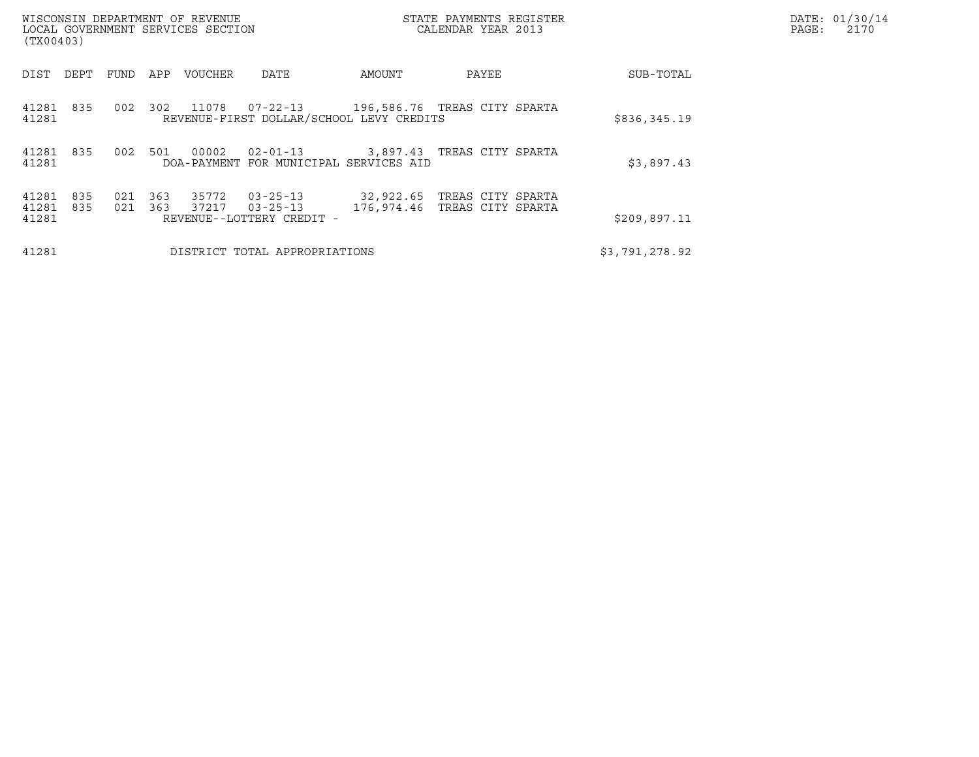| WISCONSIN DEPARTMENT OF REVENUE<br>LOCAL GOVERNMENT SERVICES SECTION<br>(TX00403) |            |            |                |                                                               | STATE PAYMENTS REGISTER<br>CALENDAR YEAR 2013 |                   | DATE: 01/30/14<br>PAGE:<br>2170 |                |  |
|-----------------------------------------------------------------------------------|------------|------------|----------------|---------------------------------------------------------------|-----------------------------------------------|-------------------|---------------------------------|----------------|--|
| DEPT<br>DIST                                                                      | FUND       | APP        | VOUCHER        | DATE                                                          | AMOUNT                                        | PAYEE             |                                 | SUB-TOTAL      |  |
| 41281 835<br>41281                                                                | 002        | 302        | 11078          | 07-22-13<br>REVENUE-FIRST DOLLAR/SCHOOL LEVY CREDITS          | 196,586.76 TREAS CITY SPARTA                  |                   |                                 | \$836,345.19   |  |
| 41281 835<br>41281                                                                | 002        | 501        | 00002          | $02 - 01 - 13$<br>DOA-PAYMENT FOR MUNICIPAL SERVICES AID      | 3,897.43                                      | TREAS CITY SPARTA |                                 | \$3,897.43     |  |
| 41281<br>835<br>41281<br>835<br>41281                                             | 021<br>021 | 363<br>363 | 35772<br>37217 | $03 - 25 - 13$<br>$03 - 25 - 13$<br>REVENUE--LOTTERY CREDIT - | 32,922.65<br>176,974.46 TREAS CITY SPARTA     | TREAS CITY SPARTA |                                 | \$209,897.11   |  |
| 41281                                                                             |            |            |                | DISTRICT TOTAL APPROPRIATIONS                                 |                                               |                   |                                 | \$3,791,278.92 |  |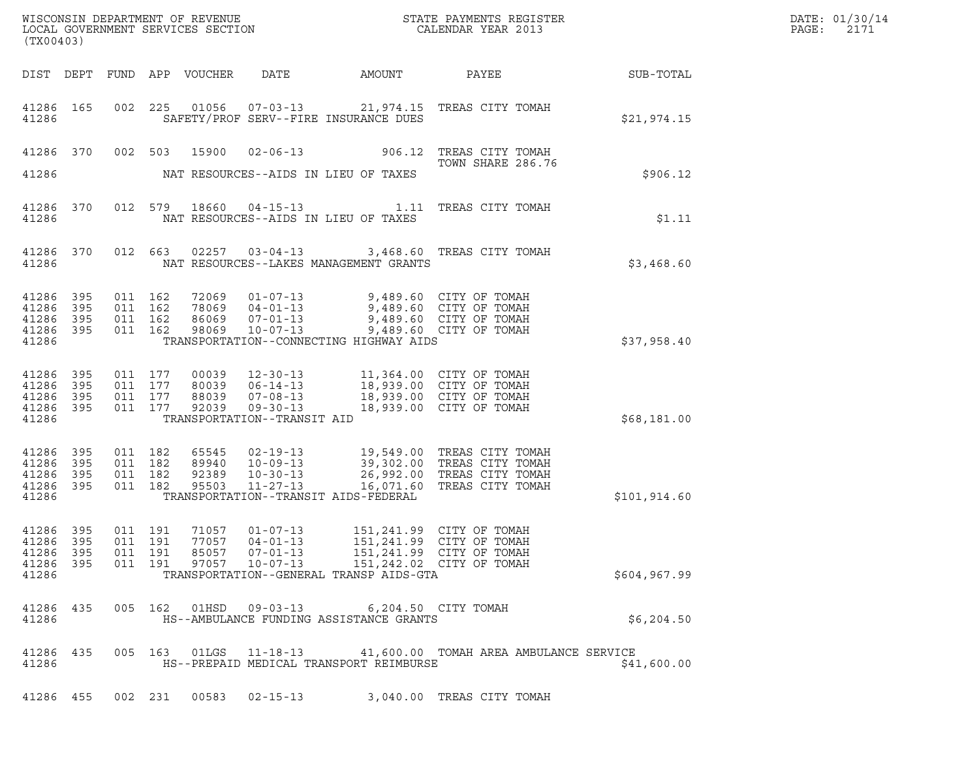| (TX00403)                                                 |                   |                                          |         |                                  |                                                                  |                                                                                                                                                                             |                                                                                                                                        |                  | DATE: 01/30/14<br>PAGE:<br>2171 |
|-----------------------------------------------------------|-------------------|------------------------------------------|---------|----------------------------------|------------------------------------------------------------------|-----------------------------------------------------------------------------------------------------------------------------------------------------------------------------|----------------------------------------------------------------------------------------------------------------------------------------|------------------|---------------------------------|
|                                                           |                   |                                          |         | DIST DEPT FUND APP VOUCHER       | DATE                                                             | AMOUNT                                                                                                                                                                      | PAYEE                                                                                                                                  | <b>SUB-TOTAL</b> |                                 |
| 41286                                                     | 41286 165         |                                          |         |                                  |                                                                  | SAFETY/PROF SERV--FIRE INSURANCE DUES                                                                                                                                       | 002 225 01056 07-03-13 21,974.15 TREAS CITY TOMAH                                                                                      | \$21,974.15      |                                 |
|                                                           |                   | 41286 370 002 503                        |         | 15900                            |                                                                  |                                                                                                                                                                             | 02-06-13 906.12 TREAS CITY TOMAH<br>TOWN SHARE 286.76                                                                                  |                  |                                 |
| 41286                                                     |                   |                                          |         |                                  |                                                                  | NAT RESOURCES--AIDS IN LIEU OF TAXES                                                                                                                                        |                                                                                                                                        | \$906.12         |                                 |
| 41286                                                     | 41286 370         |                                          |         |                                  |                                                                  | NAT RESOURCES--AIDS IN LIEU OF TAXES                                                                                                                                        | 012 579 18660 04-15-13 1.11 TREAS CITY TOMAH                                                                                           | \$1.11           |                                 |
| 41286 370<br>41286                                        |                   |                                          | 012 663 |                                  |                                                                  | NAT RESOURCES--LAKES MANAGEMENT GRANTS                                                                                                                                      | 02257  03-04-13  3,468.60  TREAS CITY TOMAH                                                                                            | \$3,468.60       |                                 |
| 41286<br>41286<br>41286<br>41286 395<br>41286             | 395<br>395<br>395 | 011 162<br>011 162<br>011 162<br>011 162 |         |                                  | 98069 10-07-13                                                   | 72069  01-07-13  9,489.60  CITY OF TOMAH<br>78069  04-01-13  9,489.60  CITY OF TOMAH<br>86069  07-01-13  9,489.60  CITY OF TOMAH<br>TRANSPORTATION--CONNECTING HIGHWAY AIDS | 9,489.60 CITY OF TOMAH                                                                                                                 | \$37,958.40      |                                 |
| 41286<br>41286<br>41286<br>41286 395<br>41286             | 395<br>395<br>395 | 011 177<br>011 177<br>011 177            | 011 177 | 88039<br>92039                   | $07 - 08 - 13$<br>$09 - 30 - 13$<br>TRANSPORTATION--TRANSIT AID  | 00039 12-30-13 11,364.00 CITY OF TOMAH<br>18,939.00 CITY OF TOMAH                                                                                                           | 18,939.00 CITY OF TOMAH                                                                                                                | \$68,181.00      |                                 |
| 41286<br>41286 395<br>41286<br>41286 395<br>41286         | 395<br>395        | 011 182<br>011 182<br>011 182            | 011 182 | 65545<br>89940<br>92389<br>95503 | $10 - 30 - 13$<br>$11 - 27 - 13$                                 | TRANSPORTATION--TRANSIT AIDS-FEDERAL                                                                                                                                        | 02-19-13 19,549.00 TREAS CITY TOMAH<br>10-09-13 39,302.00 TREAS CITY TOMAH<br>26,992.00 TREAS CITY TOMAH<br>16,071.60 TREAS CITY TOMAH | \$101, 914.60    |                                 |
| 41286 395<br>41286 395<br>41286 395<br>41286 395<br>41286 |                   | 011 191<br>011 191<br>011 191            | 011 191 | 71057<br>85057<br>97057          | 01-07-13<br>77057   04-01-13<br>$07 - 01 - 13$<br>$10 - 07 - 13$ | TRANSPORTATION--GENERAL TRANSP AIDS-GTA                                                                                                                                     | 151,241.99 CITY OF TOMAH<br>151,241.99 CITY OF TOMAH<br>151,241.99 CITY OF TOMAH<br>151,242.02 CITY OF TOMAH                           | \$604, 967.99    |                                 |
| 41286 435<br>41286                                        |                   |                                          |         |                                  | 005 162 01HSD 09-03-13                                           | HS--AMBULANCE FUNDING ASSISTANCE GRANTS                                                                                                                                     | 6,204.50 CITY TOMAH                                                                                                                    | \$6,204.50       |                                 |
| 41286 435<br>41286                                        |                   |                                          |         |                                  |                                                                  | HS--PREPAID MEDICAL TRANSPORT REIMBURSE                                                                                                                                     | 005  163  01LGS  11-18-13  41,600.00 TOMAH AREA AMBULANCE SERVICE                                                                      | \$41,600.00      |                                 |
|                                                           |                   |                                          |         |                                  |                                                                  |                                                                                                                                                                             | 41286 455 002 231 00583 02-15-13 3,040.00 TREAS CITY TOMAH                                                                             |                  |                                 |